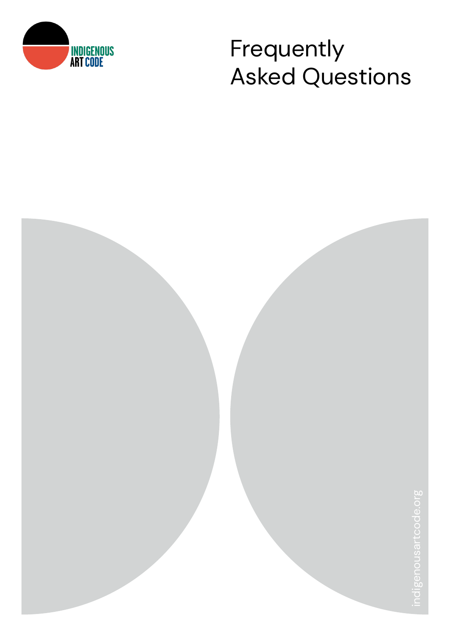

# **INDIGENOUS** Frequently Asked Questions

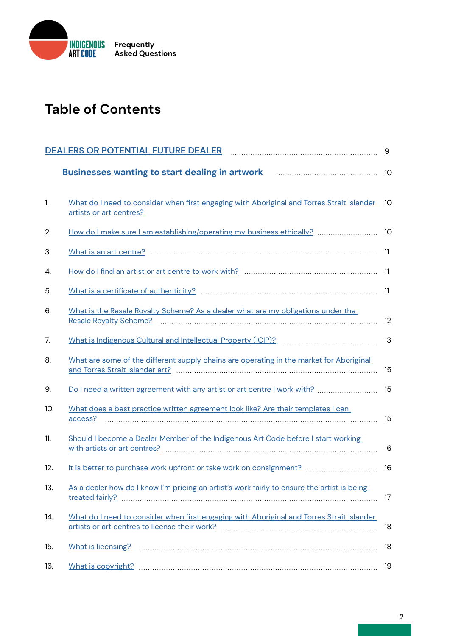

# **Table of Contents**

|     | DEALERS OR POTENTIAL FUTURE DEALER FOR THE CONTROLLER SERVICE OF POTENTIAL FUTURE DEALER                                   | 9       |
|-----|----------------------------------------------------------------------------------------------------------------------------|---------|
|     | <b>Businesses wanting to start dealing in artwork manually construct to Businesses wanting to start dealing in artwork</b> | -10     |
| 1.  | What do I need to consider when first engaging with Aboriginal and Torres Strait Islander<br>artists or art centres?       | 10      |
| 2.  |                                                                                                                            |         |
| 3.  |                                                                                                                            |         |
| 4.  |                                                                                                                            |         |
| 5.  |                                                                                                                            |         |
| 6.  | What is the Resale Royalty Scheme? As a dealer what are my obligations under the                                           | 12      |
| 7.  |                                                                                                                            |         |
| 8.  | What are some of the different supply chains are operating in the market for Aboriginal                                    | 15      |
| 9.  | Do I need a written agreement with any artist or art centre I work with?                                                   | 15      |
| 10. | What does a best practice written agreement look like? Are their templates I can                                           | 15      |
| 11. | Should I become a Dealer Member of the Indigenous Art Code before I start working                                          | 16      |
| 12. |                                                                                                                            | 16      |
| 13. | As a dealer how do I know I'm pricing an artist's work fairly to ensure the artist is being                                | $17 \,$ |
| 14. | What do I need to consider when first engaging with Aboriginal and Torres Strait Islander                                  | 18      |
| 15. |                                                                                                                            | 18      |
| 16. |                                                                                                                            | 19      |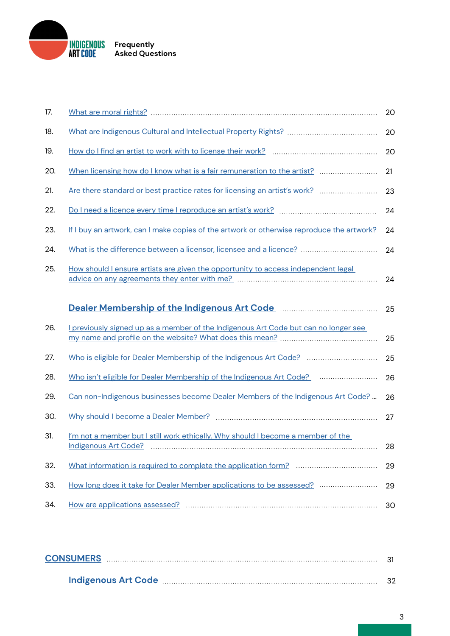

| 17. |                                                                                                       | 20 |
|-----|-------------------------------------------------------------------------------------------------------|----|
| 18. |                                                                                                       | 20 |
| 19. |                                                                                                       | 20 |
| 20. | When licensing how do I know what is a fair remuneration to the artist?                               | 21 |
| 21. | Are there standard or best practice rates for licensing an artist's work?                             | 23 |
| 22. |                                                                                                       | 24 |
| 23. | If I buy an artwork, can I make copies of the artwork or otherwise reproduce the artwork?             | 24 |
| 24. | What is the difference between a licensor, licensee and a licence?                                    | 24 |
| 25. | How should I ensure artists are given the opportunity to access independent legal                     | 24 |
|     | Dealer Membership of the Indigenous Art Code <b>Manual</b> Content Membership of the Indiana Art Code | 25 |
| 26. | I previously signed up as a member of the Indigenous Art Code but can no longer see                   | 25 |
| 27. | Who is eligible for Dealer Membership of the Indigenous Art Code?                                     | 25 |
| 28. | Who isn't eligible for Dealer Membership of the Indigenous Art Code?                                  | 26 |
| 29. | Can non-Indigenous businesses become Dealer Members of the Indigenous Art Code?                       | 26 |
| 30. |                                                                                                       | 27 |
| 31. | I'm not a member but I still work ethically. Why should I become a member of the                      | 28 |
| 32. |                                                                                                       | 29 |
| 33. | How long does it take for Dealer Member applications to be assessed?                                  | 29 |
| 34. |                                                                                                       | 30 |

| <b>CONSUMERS</b> |                            |  |  |  |
|------------------|----------------------------|--|--|--|
|                  | <b>Indigenous Art Code</b> |  |  |  |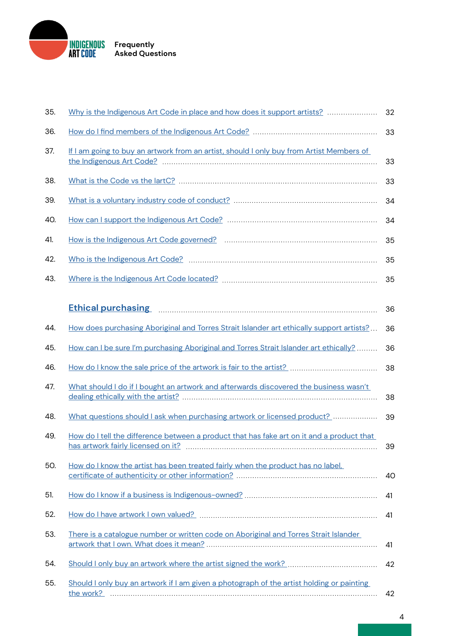

| 35. | Why is the Indigenous Art Code in place and how does it support artists?                  | 32 |
|-----|-------------------------------------------------------------------------------------------|----|
| 36. |                                                                                           | 33 |
| 37. | If I am going to buy an artwork from an artist, should I only buy from Artist Members of  | 33 |
| 38. |                                                                                           | 33 |
| 39. |                                                                                           | 34 |
| 40. |                                                                                           | 34 |
| 41. |                                                                                           | 35 |
| 42. |                                                                                           | 35 |
| 43. |                                                                                           | 35 |
|     |                                                                                           |    |
|     | Ethical purchasing <b>Ethical</b> purchasing <b>Ethical</b>                               | 36 |
| 44. | How does purchasing Aboriginal and Torres Strait Islander art ethically support artists?  | 36 |
| 45. | How can I be sure I'm purchasing Aboriginal and Torres Strait Islander art ethically?     | 36 |
| 46. |                                                                                           | 38 |
| 47. | What should I do if I bought an artwork and afterwards discovered the business wasn't     | 38 |
| 48. | What questions should I ask when purchasing artwork or licensed product?                  | 39 |
| 49. | How do I tell the difference between a product that has fake art on it and a product that | 39 |
| 50. | How do I know the artist has been treated fairly when the product has no label,           | 40 |
| 51. |                                                                                           | 41 |
| 52. |                                                                                           | 41 |
| 53. | There is a catalogue number or written code on Aboriginal and Torres Strait Islander      | 41 |
| 54. |                                                                                           | 42 |
| 55. | Should I only buy an artwork if I am given a photograph of the artist holding or painting | 42 |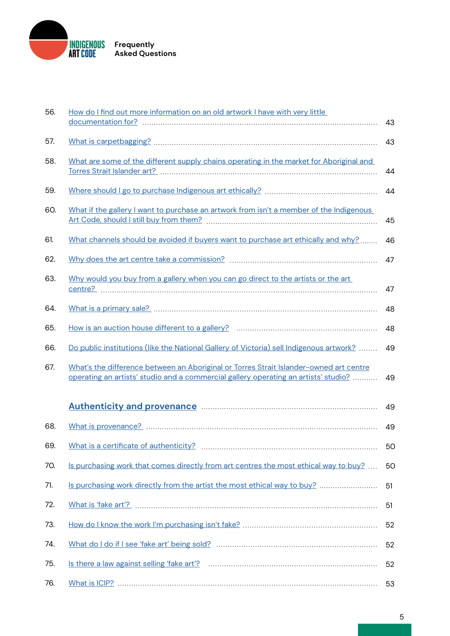

| 56. | How do I find out more information on an old artwork I have with very little                                                                                                  | 43 |
|-----|-------------------------------------------------------------------------------------------------------------------------------------------------------------------------------|----|
| 57. |                                                                                                                                                                               | 43 |
| 58. | What are some of the different supply chains operating in the market for Aboriginal and                                                                                       | 44 |
| 59. |                                                                                                                                                                               | 44 |
| 60. | What if the gallery I want to purchase an artwork from isn't a member of the Indigenous                                                                                       | 45 |
| 61. | What channels should be avoided if buyers want to purchase art ethically and why?                                                                                             | 46 |
| 62. |                                                                                                                                                                               | 47 |
| 63. | Why would you buy from a gallery when you can go direct to the artists or the art                                                                                             | 47 |
| 64. |                                                                                                                                                                               | 48 |
| 65. |                                                                                                                                                                               | 48 |
| 66. | Do public institutions (like the National Gallery of Victoria) sell Indigenous artwork?                                                                                       | 49 |
| 67. | What's the difference between an Aboriginal or Torres Strait Islander-owned art centre<br>operating an artists' studio and a commercial gallery operating an artists' studio? | 49 |
|     | Authenticity and provenance manufactured and all and provenance and all and all and all and all and all and a                                                                 | 49 |
| 68. |                                                                                                                                                                               | 49 |
| 69. |                                                                                                                                                                               | 50 |
| 70. | Is purchasing work that comes directly from art centres the most ethical way to buy?                                                                                          | 50 |
| 71. | Is purchasing work directly from the artist the most ethical way to buy?                                                                                                      | 51 |
| 72. |                                                                                                                                                                               | 51 |
| 73. |                                                                                                                                                                               | 52 |
| 74. |                                                                                                                                                                               | 52 |
| 75. |                                                                                                                                                                               | 52 |
| 76. |                                                                                                                                                                               | 53 |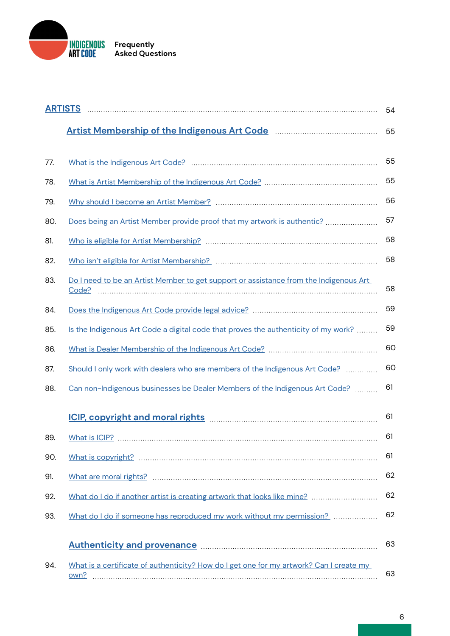

|     |                                                                                                               | 54 |
|-----|---------------------------------------------------------------------------------------------------------------|----|
|     | Artist Membership of the Indigenous Art Code <b>Material Artist Membership of the Indigenous Art Code</b>     | 55 |
|     |                                                                                                               |    |
| 77. |                                                                                                               | 55 |
| 78. |                                                                                                               | 55 |
| 79. |                                                                                                               | 56 |
| 80. |                                                                                                               | 57 |
| 81. |                                                                                                               | 58 |
| 82. |                                                                                                               | 58 |
| 83. | Do I need to be an Artist Member to get support or assistance from the Indigenous Art<br>Code?                | 58 |
| 84. |                                                                                                               | 59 |
| 85. | Is the Indigenous Art Code a digital code that proves the authenticity of my work?                            | 59 |
| 86. |                                                                                                               | 60 |
| 87. | Should I only work with dealers who are members of the Indigenous Art Code?                                   | 60 |
| 88. | Can non-Indigenous businesses be Dealer Members of the Indigenous Art Code?                                   | 61 |
|     | ICIP, copyright and moral rights Manuscription and TCIP, copyright and moral rights                           | 61 |
| 89. |                                                                                                               | 61 |
| 90. |                                                                                                               | 61 |
| 91. |                                                                                                               | 62 |
| 92. | What do I do if another artist is creating artwork that looks like mine?                                      | 62 |
| 93. | What do I do if someone has reproduced my work without my permission?                                         | 62 |
|     |                                                                                                               |    |
|     | Authenticity and provenance manufactured and all and provenance and all and all and all and all and all and a | 63 |
| 94. | What is a certificate of authenticity? How do I get one for my artwork? Can I create my<br>own?               | 63 |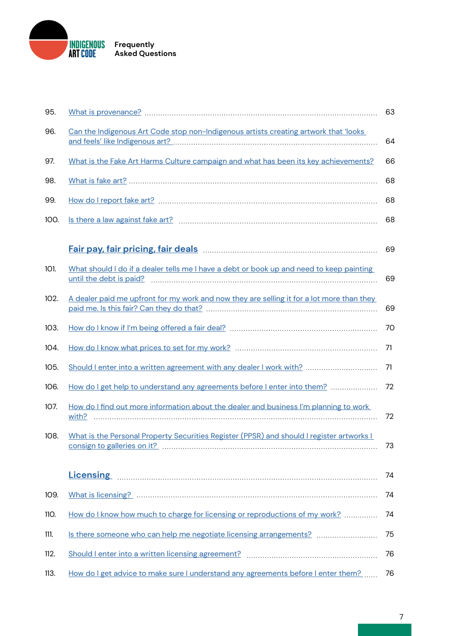

| 95.  |                                                                                           | 63 |
|------|-------------------------------------------------------------------------------------------|----|
| 96.  | Can the Indigenous Art Code stop non-Indigenous artists creating artwork that 'looks      | 64 |
| 97.  | What is the Fake Art Harms Culture campaign and what has been its key achievements?       | 66 |
| 98.  |                                                                                           | 68 |
| 99.  |                                                                                           | 68 |
| 100. |                                                                                           | 68 |
|      |                                                                                           | 69 |
| 101. | What should I do if a dealer tells me I have a debt or book up and need to keep painting  | 69 |
| 102. | A dealer paid me upfront for my work and now they are selling it for a lot more than they | 69 |
| 103. |                                                                                           | 70 |
| 104. |                                                                                           | 71 |
| 105. | Should I enter into a written agreement with any dealer I work with?                      | 71 |
| 106. | How do I get help to understand any agreements before I enter into them?                  | 72 |
| 107. | How do I find out more information about the dealer and business I'm planning to work     | 72 |
| 108. | What is the Personal Property Securities Register (PPSR) and should I register artworks I | 73 |
|      |                                                                                           | 74 |
| 109. |                                                                                           | 74 |
| 110. | How do I know how much to charge for licensing or reproductions of my work?               | 74 |
| 111. |                                                                                           | 75 |
| 112. |                                                                                           | 76 |
| 113. | How do I get advice to make sure I understand any agreements before I enter them?         | 76 |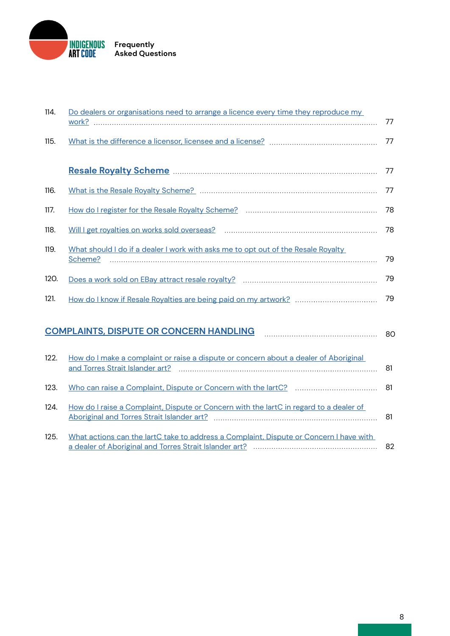

| 114. | Do dealers or organisations need to arrange a licence every time they reproduce my           | 77 |  |  |  |
|------|----------------------------------------------------------------------------------------------|----|--|--|--|
| 115. |                                                                                              | 77 |  |  |  |
|      | Resale Royalty Scheme Manuscritt New York Resale Royalty Scheme                              | 77 |  |  |  |
| 116. |                                                                                              | 77 |  |  |  |
| 117. |                                                                                              | 78 |  |  |  |
| 118. |                                                                                              | 78 |  |  |  |
| 119. | What should I do if a dealer I work with asks me to opt out of the Resale Royalty<br>Scheme? | 79 |  |  |  |
| 120. |                                                                                              | 79 |  |  |  |
| 121. |                                                                                              | 79 |  |  |  |
|      | <b>COMPLAINTS, DISPUTE OR CONCERN HANDLING</b>                                               |    |  |  |  |
| 122. | How do I make a complaint or raise a dispute or concern about a dealer of Aboriginal         | 81 |  |  |  |
| 123. |                                                                                              | 81 |  |  |  |
| 124. | How do I raise a Complaint, Dispute or Concern with the lartC in regard to a dealer of       | 81 |  |  |  |
| 125. | What actions can the lartC take to address a Complaint, Dispute or Concern I have with       | 82 |  |  |  |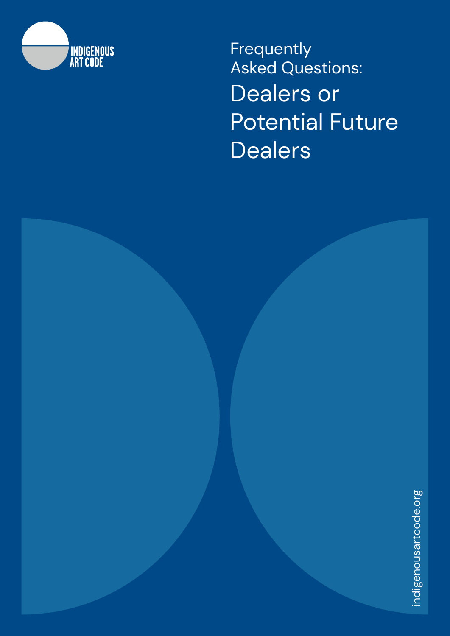<span id="page-8-0"></span>

**Frequently** Asked Questions: Dealers or Potential Future **Dealers**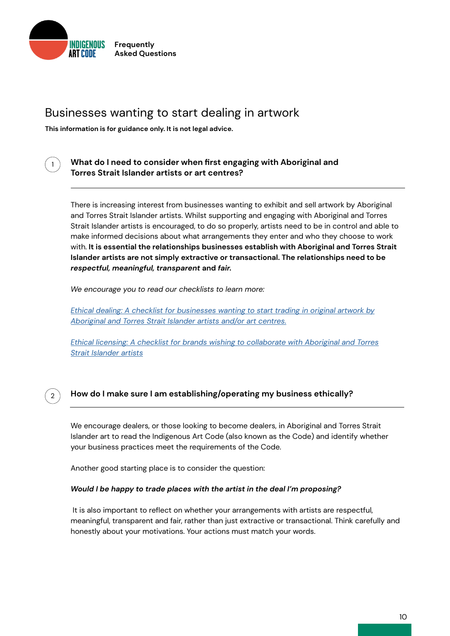<span id="page-9-0"></span>

# Businesses wanting to start dealing in artwork

**This information is for guidance only. It is not legal advice.**



2

#### **What do I need to consider when first engaging with Aboriginal and Torres Strait Islander artists or art centres?**

There is increasing interest from businesses wanting to exhibit and sell artwork by Aboriginal and Torres Strait Islander artists. Whilst supporting and engaging with Aboriginal and Torres Strait Islander artists is encouraged, to do so properly, artists need to be in control and able to make informed decisions about what arrangements they enter and who they choose to work with. **It is essential the relationships businesses establish with Aboriginal and Torres Strait Islander artists are not simply extractive or transactional. The relationships need to be**  *respectful, meaningful, transparent* **and** *fair.*

*We encourage you to read our checklists to learn more:*

*[Ethical dealing: A checklist for businesses wanting to start trading in original artwork by](http://) [Aboriginal and Torres Strait Islander artists and/or art centres.](http://)*

*[Ethical licensing: A checklist for brands wishing to collaborate with Aboriginal and Torres](http://) [Strait Islander artists](http://)*

### **How do I make sure I am establishing/operating my business ethically?**

We encourage dealers, or those looking to become dealers, in Aboriginal and Torres Strait Islander art to read the Indigenous Art Code (also known as the Code) and identify whether your business practices meet the requirements of the Code.

Another good starting place is to consider the question:

#### *Would I be happy to trade places with the artist in the deal I'm proposing?*

 It is also important to reflect on whether your arrangements with artists are respectful, meaningful, transparent and fair, rather than just extractive or transactional. Think carefully and honestly about your motivations. Your actions must match your words.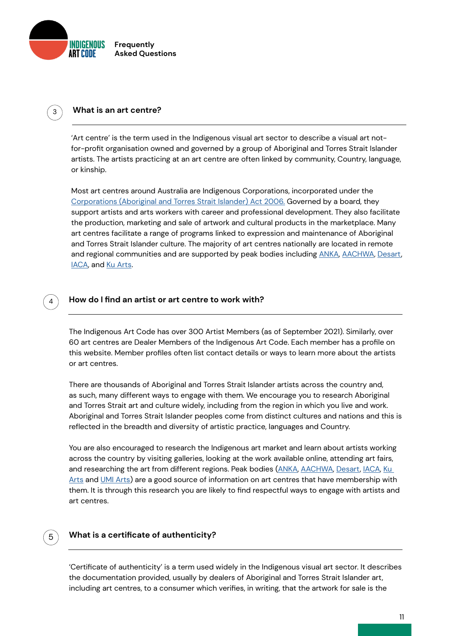<span id="page-10-0"></span>

#### 3 **What is an art centre?**

'Art centre' is the term used in the Indigenous visual art sector to describe a visual art notfor-profit organisation owned and governed by a group of Aboriginal and Torres Strait Islander artists. The artists practicing at an art centre are often linked by community, Country, language, or kinship.

Most art centres around Australia are Indigenous Corporations, incorporated under the [Corporations \(Aboriginal and Torres Strait Islander\) Act 2006.](http://Corporations (Aboriginal and Torres Strait Islander) Act 2006.) Governed by a board, they support artists and arts workers with career and professional development. They also facilitate the production, marketing and sale of artwork and cultural products in the marketplace. Many art centres facilitate a range of programs linked to expression and maintenance of Aboriginal and Torres Strait Islander culture. The majority of art centres nationally are located in remote and regional communities and are supported by peak bodies including [ANKA](https://anka.org.au), [AACHWA](https://aachwa.com.au/), [Desart](https://desart.com.au/), [IACA](https://iaca.com.au/), and [Ku Arts](https://www.anangukuarts.com.au/).

#### **How do I find an artist or art centre to work with?**

The Indigenous Art Code has over 300 Artist Members (as of September 2021). Similarly, over 60 art centres are Dealer Members of the Indigenous Art Code. Each member has a profile on this website. Member profiles often list contact details or ways to learn more about the artists or art centres.

There are thousands of Aboriginal and Torres Strait Islander artists across the country and, as such, many different ways to engage with them. We encourage you to research Aboriginal and Torres Strait art and culture widely, including from the region in which you live and work. Aboriginal and Torres Strait Islander peoples come from distinct cultures and nations and this is reflected in the breadth and diversity of artistic practice, languages and Country.

You are also encouraged to research the Indigenous art market and learn about artists working across the country by visiting galleries, looking at the work available online, attending art fairs, and researching the art from different regions. Peak bodies [\(ANKA,](https://www.instagram.com/indigenousartcodeaustralia/) [AACHWA](https://aachwa.com.au/), [Desart](https://desart.com.au/), [IACA](https://iaca.com.au/), Ku [Arts](https://www.anangukuarts.com.au/) and [UMI Arts](https://umiarts.com.au/)) are a good source of information on art centres that have membership with them. It is through this research you are likely to find respectful ways to engage with artists and art centres.

# 5

4

#### **What is a certificate of authenticity?**

'Certificate of authenticity' is a term used widely in the Indigenous visual art sector. It describes the documentation provided, usually by dealers of Aboriginal and Torres Strait Islander art, including art centres, to a consumer which verifies, in writing, that the artwork for sale is the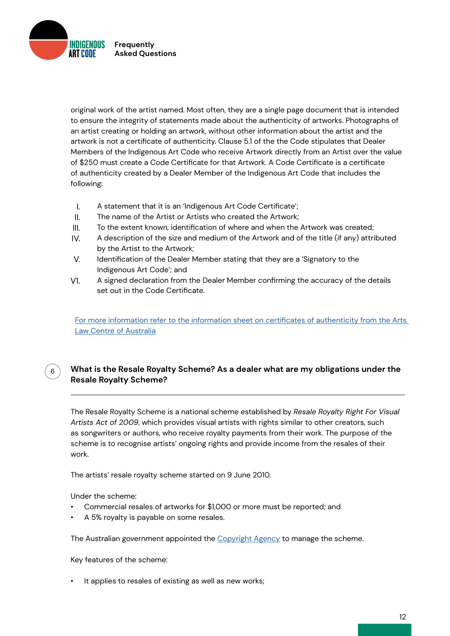<span id="page-11-0"></span>**INDIGENOUS Frequently Asked Questions**

> original work of the artist named. Most often, they are a single page document that is intended to ensure the integrity of statements made about the authenticity of artworks. Photographs of an artist creating or holding an artwork, without other information about the artist and the artwork is not a certificate of authenticity. Clause 5.1 of the the Code stipulates that Dealer Members of the Indigenous Art Code who receive Artwork directly from an Artist over the value of \$250 must create a Code Certificate for that Artwork. A Code Certificate is a certificate of authenticity created by a Dealer Member of the Indigenous Art Code that includes the following:

- I. A statement that it is an 'Indigenous Art Code Certificate';
- II. The name of the Artist or Artists who created the Artwork;
- III. To the extent known, identification of where and when the Artwork was created;
- IV. A description of the size and medium of the Artwork and of the title (if any) attributed by the Artist to the Artwork;
- V. Identification of the Dealer Member stating that they are a 'Signatory to the Indigenous Art Code'; and
- V1. A signed declaration from the Dealer Member confirming the accuracy of the details set out in the Code Certificate.

[For more information refer to the information sheet on certificates of authenticity from the Arts](https://www.artslaw.com.au/information-sheet/certificates-of-authenticity-aitb/)  [Law Centre of Australia](https://www.artslaw.com.au/information-sheet/certificates-of-authenticity-aitb/)

## **What is the Resale Royalty Scheme? As a dealer what are my obligations under the Resale Royalty Scheme?**

The Resale Royalty Scheme is a national scheme established by *Resale Royalty Right For Visual Artists Act of 2009*, which provides visual artists with rights similar to other creators, such as songwriters or authors, who receive royalty payments from their work. The purpose of the scheme is to recognise artists' ongoing rights and provide income from the resales of their work.

The artists' resale royalty scheme started on 9 June 2010.

Under the scheme:

6

- Commercial resales of artworks for \$1,000 or more must be reported; and
- A 5% royalty is payable on some resales.

The Australian government appointed the [Copyright Agency](https://www.resaleroyalty.org.au/about-resale-royalty.aspx) to manage the scheme.

Key features of the scheme:

It applies to resales of existing as well as new works;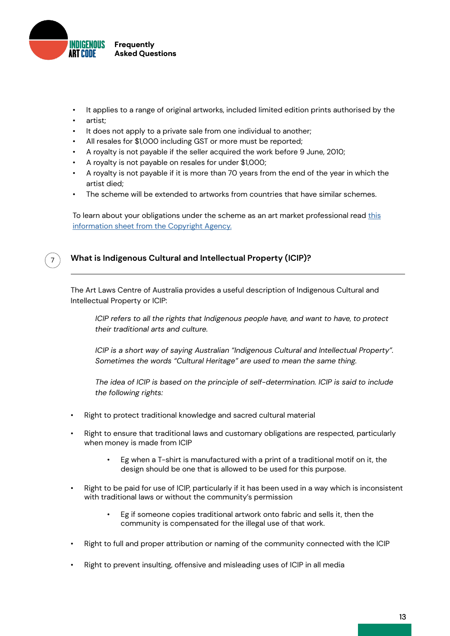<span id="page-12-0"></span>

- It applies to a range of original artworks, included limited edition prints authorised by the
- artist;
- It does not apply to a private sale from one individual to another;
- All resales for \$1,000 including GST or more must be reported;
- A royalty is not payable if the seller acquired the work before 9 June, 2010;
- A royalty is not payable on resales for under \$1,000;
- A royalty is not payable if it is more than 70 years from the end of the year in which the artist died;
- The scheme will be extended to artworks from countries that have similar schemes.

To learn about your obligations under the scheme as an art market professional read [this](https://static-copyright-com-au.s3.amazonaws.com/uploads/2015/09/AMPs-2015-06-09.pdf) [information sheet from the Copyright Agency.](https://static-copyright-com-au.s3.amazonaws.com/uploads/2015/09/AMPs-2015-06-09.pdf)



### **What is Indigenous Cultural and Intellectual Property (ICIP)?**

The Art Laws Centre of Australia provides a useful description of Indigenous Cultural and Intellectual Property or ICIP:

*ICIP refers to all the rights that Indigenous people have, and want to have, to protect their traditional arts and culture.* 

*ICIP is a short way of saying Australian "Indigenous Cultural and Intellectual Property". Sometimes the words "Cultural Heritage" are used to mean the same thing.* 

*The idea of ICIP is based on the principle of self-determination. ICIP is said to include the following rights:*

- Right to protect traditional knowledge and sacred cultural material
- Right to ensure that traditional laws and customary obligations are respected, particularly when money is made from ICIP
	- Eg when a T-shirt is manufactured with a print of a traditional motif on it, the design should be one that is allowed to be used for this purpose.
- Right to be paid for use of ICIP, particularly if it has been used in a way which is inconsistent with traditional laws or without the community's permission
	- Eg if someone copies traditional artwork onto fabric and sells it, then the community is compensated for the illegal use of that work.
- Right to full and proper attribution or naming of the community connected with the ICIP
- Right to prevent insulting, offensive and misleading uses of ICIP in all media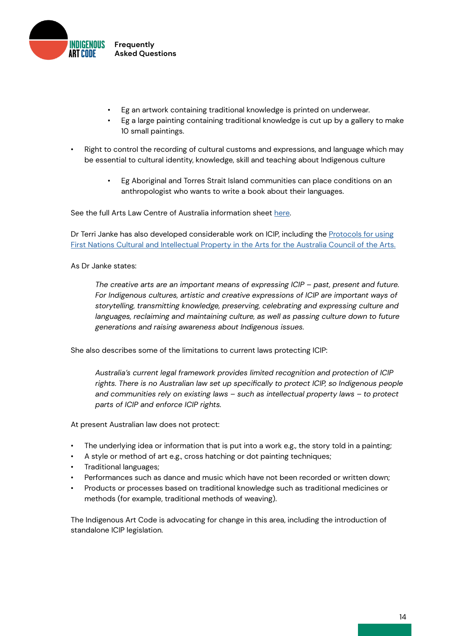

- Eg an artwork containing traditional knowledge is printed on underwear.
- Eg a large painting containing traditional knowledge is cut up by a gallery to make 10 small paintings.
- Right to control the recording of cultural customs and expressions, and language which may be essential to cultural identity, knowledge, skill and teaching about Indigenous culture
	- Eg Aboriginal and Torres Strait Island communities can place conditions on an anthropologist who wants to write a book about their languages.

See the full Arts Law Centre of Australia information sheet [here](https://www.artslaw.com.au/information-sheet/indigenous-cultural-and-intellectual-property-icip-aitb/).

Dr Terri Janke has also developed considerable work on ICIP, including the [Protocols for using](https://australiacouncil.gov.au/investment-and-development/protocols-and-resources/protocols-for-using-first-nations-cultural-and-intellectual-property-in-the-arts/) [First Nations Cultural and Intellectual Property in the Arts for the Australia Council of the Arts.](https://australiacouncil.gov.au/investment-and-development/protocols-and-resources/protocols-for-using-first-nations-cultural-and-intellectual-property-in-the-arts/)

#### As Dr Janke states:

*The creative arts are an important means of expressing ICIP – past, present and future. For Indigenous cultures, artistic and creative expressions of ICIP are important ways of storytelling, transmitting knowledge, preserving, celebrating and expressing culture and*  languages, reclaiming and maintaining culture, as well as passing culture down to future *generations and raising awareness about Indigenous issues.*

She also describes some of the limitations to current laws protecting ICIP:

*Australia's current legal framework provides limited recognition and protection of ICIP rights. There is no Australian law set up specifically to protect ICIP, so Indigenous people and communities rely on existing laws – such as intellectual property laws – to protect parts of ICIP and enforce ICIP rights.* 

At present Australian law does not protect:

- The underlying idea or information that is put into a work e.g., the story told in a painting;
- A style or method of art e.g., cross hatching or dot painting techniques;
- Traditional languages;
- Performances such as dance and music which have not been recorded or written down;
- Products or processes based on traditional knowledge such as traditional medicines or methods (for example, traditional methods of weaving).

The Indigenous Art Code is advocating for change in this area, including the introduction of standalone ICIP legislation.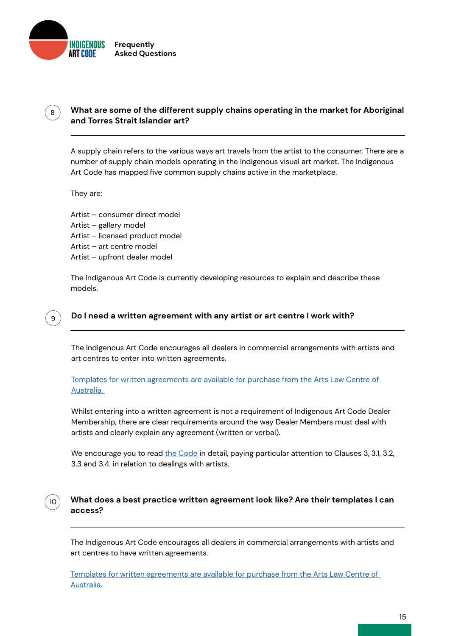<span id="page-14-0"></span>

## **What are some of the different supply chains operating in the market for Aboriginal and Torres Strait Islander art?**

A supply chain refers to the various ways art travels from the artist to the consumer. There are a number of supply chain models operating in the Indigenous visual art market. The Indigenous Art Code has mapped five common supply chains active in the marketplace.

They are:

9

8

10

Artist – consumer direct model Artist – gallery model Artist – licensed product model Artist – art centre model Artist – upfront dealer model

The Indigenous Art Code is currently developing resources to explain and describe these models.

#### **Do I need a written agreement with any artist or art centre I work with?**

The Indigenous Art Code encourages all dealers in commercial arrangements with artists and art centres to enter into written agreements.

[Templates for written agreements are available for purchase from the Arts Law Centre of](https://www.artslaw.com.au/info-hub/results/?i_am=anybody&looking_for=sample-agreements&about_search=anything&paginate=1&order_by=alphabetical&query=)  [Australia.](https://www.artslaw.com.au/info-hub/results/?i_am=anybody&looking_for=sample-agreements&about_search=anything&paginate=1&order_by=alphabetical&query=) 

Whilst entering into a written agreement is not a requirement of Indigenous Art Code Dealer Membership, there are clear requirements around the way Dealer Members must deal with artists and clearly explain any agreement (written or verbal).

We encourage you to read [the Code](https://indigenousartcode.org/wp-content/uploads/2017/03/Indigenous-Art-Code.pdf) in detail, paying particular attention to Clauses 3, 3.1, 3.2, 3.3 and 3.4. in relation to dealings with artists.

#### **What does a best practice written agreement look like? Are their templates I can access?**

The Indigenous Art Code encourages all dealers in commercial arrangements with artists and art centres to have written agreements.

[Templates for written agreements are available for purchase from the Arts Law Centre of](https://www.artslaw.com.au/info-hub/results/?i_am=anybody&looking_for=sample-agreements&about_search=anything&paginate=1&order_by=alphabetical&query=)  [Australia.](https://www.artslaw.com.au/info-hub/results/?i_am=anybody&looking_for=sample-agreements&about_search=anything&paginate=1&order_by=alphabetical&query=)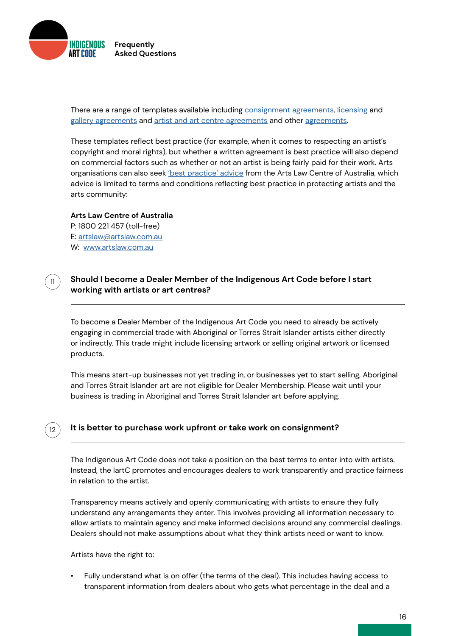<span id="page-15-0"></span>

There are a range of templates available including **consignment** agreements, [licensing](https://www.artslaw.com.au/product/copyright-licensing-agreement/) and [gallery agreements](https://www.artslaw.com.au/info-hub/results/?i_am=anybody&looking_for=sample-agreements&about_search=anything&paginate=1&order_by=alphabetical&query=gallery) and [artist and art centre agreements](https://www.artslaw.com.au/product/indigenous-artist-and-art-centre-agreement-artists-in-the-black/) and other [agreements](https://www.artslaw.com.au/info-hub/results/?i_am=anybody&looking_for=sample-agreements&about_search=anything&paginate=1&order_by=alphabetical&query=).

These templates reflect best practice (for example, when it comes to respecting an artist's copyright and moral rights), but whether a written agreement is best practice will also depend on commercial factors such as whether or not an artist is being fairly paid for their work. Arts organisations can also seek ['best practice' advice](https://www.artslaw.com.au/services/best-practice-advice/) from the Arts Law Centre of Australia, which advice is limited to terms and conditions reflecting best practice in protecting artists and the arts community:

**Arts Law Centre of Australia** P: 1800 221 457 (toll-free) E: [artslaw@artslaw.com.au](mailto:artslaw%40artslaw.com.au?subject=) W: [www.artslaw.com.au](http://www.artslaw.com.au)

11

12

#### **Should I become a Dealer Member of the Indigenous Art Code before I start working with artists or art centres?**

To become a Dealer Member of the Indigenous Art Code you need to already be actively engaging in commercial trade with Aboriginal or Torres Strait Islander artists either directly or indirectly. This trade might include licensing artwork or selling original artwork or licensed products.

This means start-up businesses not yet trading in, or businesses yet to start selling, Aboriginal and Torres Strait Islander art are not eligible for Dealer Membership. Please wait until your business is trading in Aboriginal and Torres Strait Islander art before applying.

#### **It is better to purchase work upfront or take work on consignment?**

The Indigenous Art Code does not take a position on the best terms to enter into with artists. Instead, the IartC promotes and encourages dealers to work transparently and practice fairness in relation to the artist.

Transparency means actively and openly communicating with artists to ensure they fully understand any arrangements they enter. This involves providing all information necessary to allow artists to maintain agency and make informed decisions around any commercial dealings. Dealers should not make assumptions about what they think artists need or want to know.

Artists have the right to:

• Fully understand what is on offer (the terms of the deal). This includes having access to transparent information from dealers about who gets what percentage in the deal and a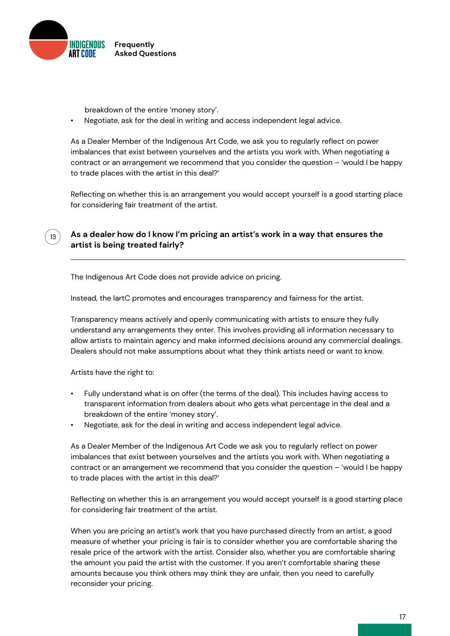<span id="page-16-0"></span>

breakdown of the entire 'money story'.

• Negotiate, ask for the deal in writing and access independent legal advice.

As a Dealer Member of the Indigenous Art Code, we ask you to regularly reflect on power imbalances that exist between yourselves and the artists you work with. When negotiating a contract or an arrangement we recommend that you consider the question – 'would I be happy to trade places with the artist in this deal?'

Reflecting on whether this is an arrangement you would accept yourself is a good starting place for considering fair treatment of the artist.

### **As a dealer how do I know I'm pricing an artist's work in a way that ensures the artist is being treated fairly?**

The Indigenous Art Code does not provide advice on pricing.

Instead, the IartC promotes and encourages transparency and fairness for the artist.

Transparency means actively and openly communicating with artists to ensure they fully understand any arrangements they enter. This involves providing all information necessary to allow artists to maintain agency and make informed decisions around any commercial dealings. Dealers should not make assumptions about what they think artists need or want to know.

Artists have the right to:

13

- Fully understand what is on offer (the terms of the deal). This includes having access to transparent information from dealers about who gets what percentage in the deal and a breakdown of the entire 'money story'.
- Negotiate, ask for the deal in writing and access independent legal advice.

As a Dealer Member of the Indigenous Art Code we ask you to regularly reflect on power imbalances that exist between yourselves and the artists you work with. When negotiating a contract or an arrangement we recommend that you consider the question – 'would I be happy to trade places with the artist in this deal?'

Reflecting on whether this is an arrangement you would accept yourself is a good starting place for considering fair treatment of the artist.

When you are pricing an artist's work that you have purchased directly from an artist, a good measure of whether your pricing is fair is to consider whether you are comfortable sharing the resale price of the artwork with the artist. Consider also, whether you are comfortable sharing the amount you paid the artist with the customer. If you aren't comfortable sharing these amounts because you think others may think they are unfair, then you need to carefully reconsider your pricing.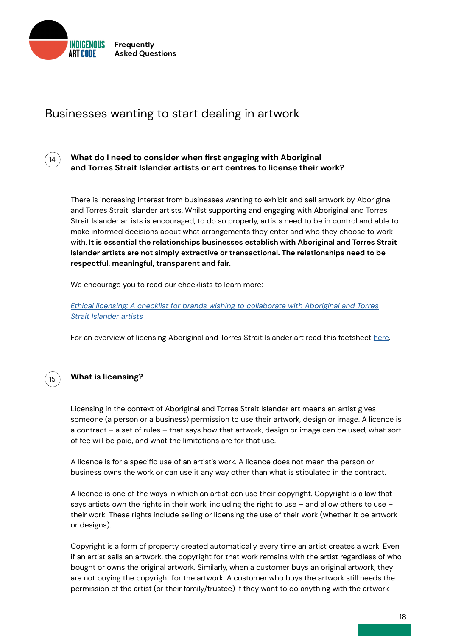<span id="page-17-0"></span>

# Businesses wanting to start dealing in artwork



**What do I need to consider when first engaging with Aboriginal and Torres Strait Islander artists or art centres to license their work?**

There is increasing interest from businesses wanting to exhibit and sell artwork by Aboriginal and Torres Strait Islander artists. Whilst supporting and engaging with Aboriginal and Torres Strait Islander artists is encouraged, to do so properly, artists need to be in control and able to make informed decisions about what arrangements they enter and who they choose to work with. **It is essential the relationships businesses establish with Aboriginal and Torres Strait Islander artists are not simply extractive or transactional. The relationships need to be respectful, meaningful, transparent and fair.** 

We encourage you to read our checklists to learn more:

*[Ethical licensing: A checklist for brands wishing to collaborate with Aboriginal and Torres](http://) [Strait Islander artists](http://)* 

For an overview of licensing Aboriginal and Torres Strait Islander art read this factsheet [here.](https://www.artslaw.com.au/information-sheet/licensing-aitb/)



### **What is licensing?**

Licensing in the context of Aboriginal and Torres Strait Islander art means an artist gives someone (a person or a business) permission to use their artwork, design or image. A licence is a contract – a set of rules – that says how that artwork, design or image can be used, what sort of fee will be paid, and what the limitations are for that use.

A licence is for a specific use of an artist's work. A licence does not mean the person or business owns the work or can use it any way other than what is stipulated in the contract.

A licence is one of the ways in which an artist can use their copyright. Copyright is a law that says artists own the rights in their work, including the right to use – and allow others to use – their work. These rights include selling or licensing the use of their work (whether it be artwork or designs).

Copyright is a form of property created automatically every time an artist creates a work. Even if an artist sells an artwork, the copyright for that work remains with the artist regardless of who bought or owns the original artwork. Similarly, when a customer buys an original artwork, they are not buying the copyright for the artwork. A customer who buys the artwork still needs the permission of the artist (or their family/trustee) if they want to do anything with the artwork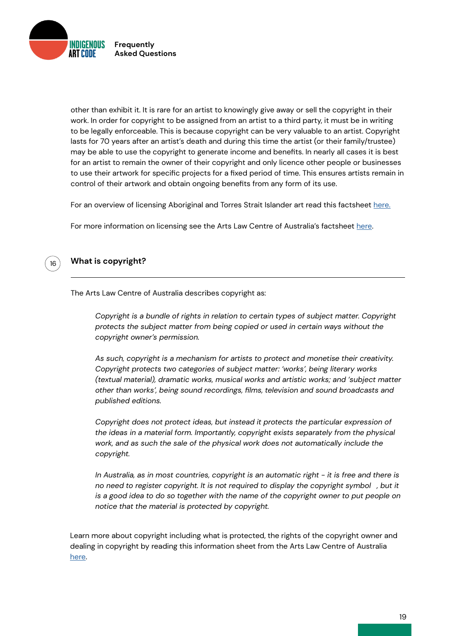<span id="page-18-0"></span>

other than exhibit it. It is rare for an artist to knowingly give away or sell the copyright in their work. In order for copyright to be assigned from an artist to a third party, it must be in writing to be legally enforceable. This is because copyright can be very valuable to an artist. Copyright lasts for 70 years after an artist's death and during this time the artist (or their family/trustee) may be able to use the copyright to generate income and benefits. In nearly all cases it is best for an artist to remain the owner of their copyright and only licence other people or businesses to use their artwork for specific projects for a fixed period of time. This ensures artists remain in control of their artwork and obtain ongoing benefits from any form of its use.

For an overview of licensing Aboriginal and Torres Strait Islander art read this factsheet [here.](https://indigenousartcode.org/wp-content/uploads/2022/02/Licensing-ATSI-Art-Overview.pdf)

For more information on licensing see the Arts Law Centre of Australia's factsheet [here](https://www.artslaw.com.au/information-sheet/licensing-aitb/).

# 16

### **What is copyright?**

The Arts Law Centre of Australia describes copyright as:

*Copyright is a bundle of rights in relation to certain types of subject matter. Copyright protects the subject matter from being copied or used in certain ways without the copyright owner's permission.*

*As such, copyright is a mechanism for artists to protect and monetise their creativity. Copyright protects two categories of subject matter: 'works', being literary works (textual material), dramatic works, musical works and artistic works; and 'subject matter other than works', being sound recordings, films, television and sound broadcasts and published editions.* 

*Copyright does not protect ideas, but instead it protects the particular expression of the ideas in a material form. Importantly, copyright exists separately from the physical work, and as such the sale of the physical work does not automatically include the copyright.*

*In Australia, as in most countries, copyright is an automatic right - it is free and there is no need to register copyright. It is not required to display the copyright symbol, but it is a good idea to do so together with the name of the copyright owner to put people on notice that the material is protected by copyright.*

Learn more about copyright including what is protected, the rights of the copyright owner and dealing in copyright by reading this information sheet from the Arts Law Centre of Australia [here](https://www.artslaw.com.au/information-sheet/copyright/).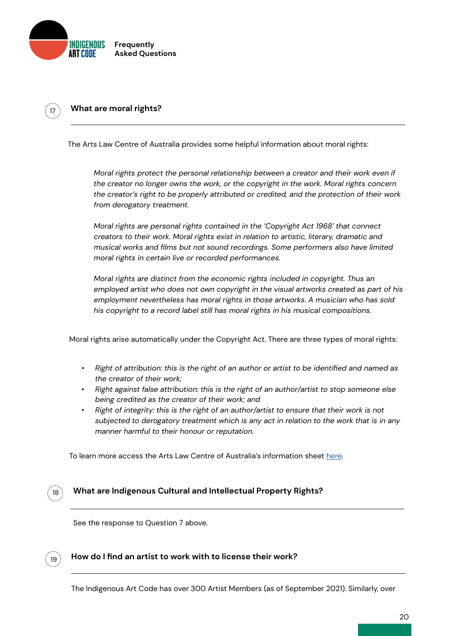<span id="page-19-0"></span>

#### <sup>17</sup> **What are moral rights?**

The Arts Law Centre of Australia provides some helpful information about moral rights:

*Moral rights protect the personal relationship between a creator and their work even if the creator no longer owns the work, or the copyright in the work. Moral rights concern the creator's right to be properly attributed or credited, and the protection of their work from derogatory treatment.*

*Moral rights are personal rights contained in the 'Copyright Act 1968' that connect creators to their work. Moral rights exist in relation to artistic, literary, dramatic and musical works and films but not sound recordings. Some performers also have limited moral rights in certain live or recorded performances.* 

*Moral rights are distinct from the economic rights included in copyright. Thus an employed artist who does not own copyright in the visual artworks created as part of his employment nevertheless has moral rights in those artworks. A musician who has sold his copyright to a record label still has moral rights in his musical compositions.*

Moral rights arise automatically under the Copyright Act. There are three types of moral rights:

- *• Right of attribution: this is the right of an author or artist to be identified and named as the creator of their work;*
- *• Right against false attribution: this is the right of an author/artist to stop someone else being credited as the creator of their work; and*
- *• Right of integrity: this is the right of an author/artist to ensure that their work is not subjected to derogatory treatment which is any act in relation to the work that is in any manner harmful to their honour or reputation.*

To learn more access the Arts Law Centre of Australia's information sheet [here](https://www.artslaw.com.au/information-sheet/moral-rights/).



#### **What are Indigenous Cultural and Intellectual Property Rights?**

See the response to Question 7 above.



#### **How do I find an artist to work with to license their work?**

The Indigenous Art Code has over 300 Artist Members (as of September 2021). Similarly, over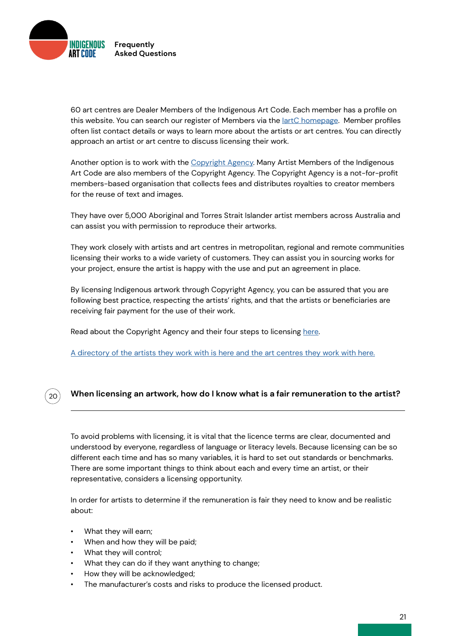<span id="page-20-0"></span>

60 art centres are Dealer Members of the Indigenous Art Code. Each member has a profile on this website. You can search our register of Members via the [IartC homepage.](https://indigenousartcode.org/) Member profiles often list contact details or ways to learn more about the artists or art centres. You can directly approach an artist or art centre to discuss licensing their work.

Another option is to work with the [Copyright Agency](https://www.copyright.com.au/). Many Artist Members of the Indigenous Art Code are also members of the Copyright Agency. The Copyright Agency is a not-for-profit members-based organisation that collects fees and distributes royalties to creator members for the reuse of text and images.

They have over 5,000 Aboriginal and Torres Strait Islander artist members across Australia and can assist you with permission to reproduce their artworks.

They work closely with artists and art centres in metropolitan, regional and remote communities licensing their works to a wide variety of customers. They can assist you in sourcing works for your project, ensure the artist is happy with the use and put an agreement in place.

By licensing Indigenous artwork through Copyright Agency, you can be assured that you are following best practice, respecting the artists' rights, and that the artists or beneficiaries are receiving fair payment for the use of their work.

Read about the Copyright Agency and their four steps to licensing [here.](https://www.copyright.com.au/licences-permission/visual-art-licences/four-steps-to-licence/)

[A directory of the artists they work with is here and the art centres they work with here.](https://www.copyright.com.au/licences-permission/visual-art-licences/licensing-indigenous-artwork/)

# 20

### **When licensing an artwork, how do I know what is a fair remuneration to the artist?**

To avoid problems with licensing, it is vital that the licence terms are clear, documented and understood by everyone, regardless of language or literacy levels. Because licensing can be so different each time and has so many variables, it is hard to set out standards or benchmarks. There are some important things to think about each and every time an artist, or their representative, considers a licensing opportunity.

In order for artists to determine if the remuneration is fair they need to know and be realistic about:

- What they will earn;
- When and how they will be paid;
- What they will control;
- What they can do if they want anything to change;
- How they will be acknowledged;
- The manufacturer's costs and risks to produce the licensed product.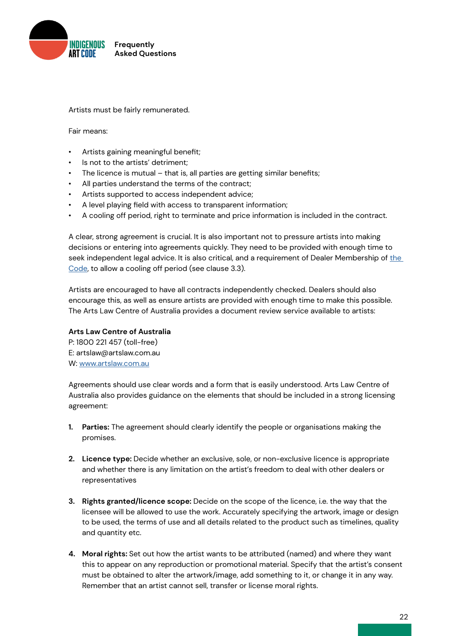

Artists must be fairly remunerated.

Fair means:

- Artists gaining meaningful benefit;
- Is not to the artists' detriment;
- The licence is mutual that is, all parties are getting similar benefits;
- All parties understand the terms of the contract;
- Artists supported to access independent advice;
- A level playing field with access to transparent information;
- A cooling off period, right to terminate and price information is included in the contract.

A clear, strong agreement is crucial. It is also important not to pressure artists into making decisions or entering into agreements quickly. They need to be provided with enough time to seek independent legal advice. It is also critical, and a requirement of Dealer Membership of the [Code](http://indigenousartcode.org/wp-content/uploads/2021/09/Indigenous-Art-Code.pdf), to allow a cooling off period (see clause 3.3).

Artists are encouraged to have all contracts independently checked. Dealers should also encourage this, as well as ensure artists are provided with enough time to make this possible. The Arts Law Centre of Australia provides a document review service available to artists:

#### **Arts Law Centre of Australia**

P: 1800 221 457 (toll-free) E: artslaw@artslaw.com.au W: [www.artslaw.com.au](http://www.artslaw.com.au)

Agreements should use clear words and a form that is easily understood. Arts Law Centre of Australia also provides guidance on the elements that should be included in a strong licensing agreement:

- **1. Parties:** The agreement should clearly identify the people or organisations making the promises.
- **2. Licence type:** Decide whether an exclusive, sole, or non-exclusive licence is appropriate and whether there is any limitation on the artist's freedom to deal with other dealers or representatives
- **3. Rights granted/licence scope:** Decide on the scope of the licence, i.e. the way that the licensee will be allowed to use the work. Accurately specifying the artwork, image or design to be used, the terms of use and all details related to the product such as timelines, quality and quantity etc.
- **4. Moral rights:** Set out how the artist wants to be attributed (named) and where they want this to appear on any reproduction or promotional material. Specify that the artist's consent must be obtained to alter the artwork/image, add something to it, or change it in any way. Remember that an artist cannot sell, transfer or license moral rights.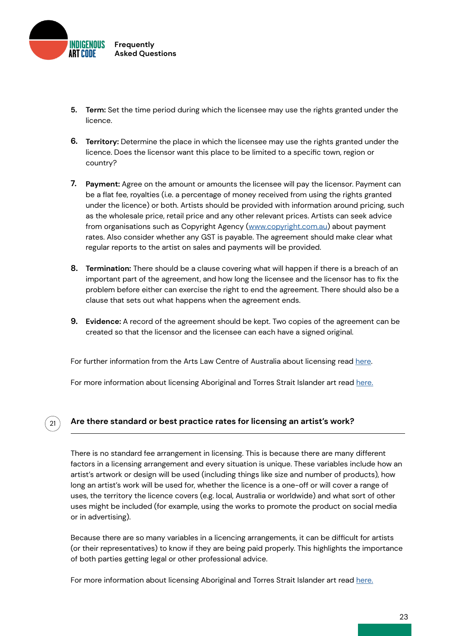<span id="page-22-0"></span>

21

- **Term:** Set the time period during which the licensee may use the rights granted under the **5.** licence.
- **Territory:** Determine the place in which the licensee may use the rights granted under the **6.** licence. Does the licensor want this place to be limited to a specific town, region or country?
- **Payment:** Agree on the amount or amounts the licensee will pay the licensor. Payment can **7.** be a flat fee, royalties (i.e. a percentage of money received from using the rights granted under the licence) or both. Artists should be provided with information around pricing, such as the wholesale price, retail price and any other relevant prices. Artists can seek advice from organisations such as Copyright Agency [\(www.copyright.com.au](https://www.copyright.com.au/)) about payment rates. Also consider whether any GST is payable. The agreement should make clear what regular reports to the artist on sales and payments will be provided.
- **Termination:** There should be a clause covering what will happen if there is a breach of an **8.** important part of the agreement, and how long the licensee and the licensor has to fix the problem before either can exercise the right to end the agreement. There should also be a clause that sets out what happens when the agreement ends.
- **Evidence:** A record of the agreement should be kept. Two copies of the agreement can be **9.** created so that the licensor and the licensee can each have a signed original.

For further information from the Arts Law Centre of Australia about licensing read [here](https://www.artslaw.com.au/information-sheet/licensing-aitb/).

For more information about licensing Aboriginal and Torres Strait Islander art read [here.](https://indigenousartcode.org/wp-content/uploads/2022/02/Licensing-ATSI-Art-Overview.pdf)

### **Are there standard or best practice rates for licensing an artist's work?**

There is no standard fee arrangement in licensing. This is because there are many different factors in a licensing arrangement and every situation is unique. These variables include how an artist's artwork or design will be used (including things like size and number of products), how long an artist's work will be used for, whether the licence is a one-off or will cover a range of uses, the territory the licence covers (e.g. local, Australia or worldwide) and what sort of other uses might be included (for example, using the works to promote the product on social media or in advertising).

Because there are so many variables in a licencing arrangements, it can be difficult for artists (or their representatives) to know if they are being paid properly. This highlights the importance of both parties getting legal or other professional advice.

For more information about licensing Aboriginal and Torres Strait Islander art read [here.](https://indigenousartcode.org/wp-content/uploads/2022/02/Licensing-ATSI-Art-Overview.pdf)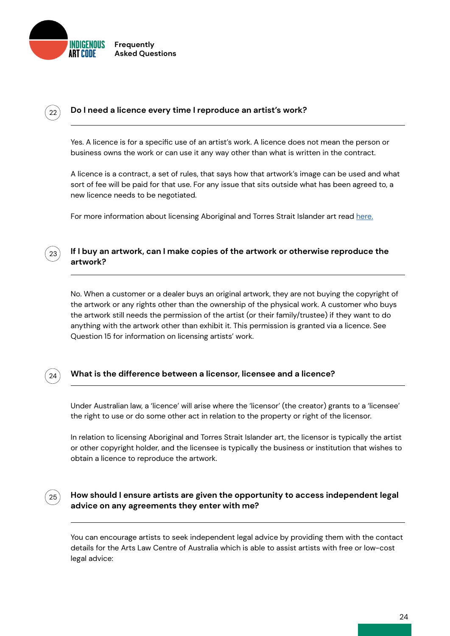<span id="page-23-0"></span>

#### **Do I need a licence every time I reproduce an artist's work?**

Yes. A licence is for a specific use of an artist's work. A licence does not mean the person or business owns the work or can use it any way other than what is written in the contract.

A licence is a contract, a set of rules, that says how that artwork's image can be used and what sort of fee will be paid for that use. For any issue that sits outside what has been agreed to, a new licence needs to be negotiated.

For more information about licensing Aboriginal and Torres Strait Islander art read [here.](https://indigenousartcode.org/wp-content/uploads/2022/02/Licensing-ATSI-Art-Overview.pdf)

#### **If I buy an artwork, can I make copies of the artwork or otherwise reproduce the artwork?**

No. When a customer or a dealer buys an original artwork, they are not buying the copyright of the artwork or any rights other than the ownership of the physical work. A customer who buys the artwork still needs the permission of the artist (or their family/trustee) if they want to do anything with the artwork other than exhibit it. This permission is granted via a licence. See Question 15 for information on licensing artists' work.

# $24$

23

 $22$ 

### **What is the difference between a licensor, licensee and a licence?**

Under Australian law, a 'licence' will arise where the 'licensor' (the creator) grants to a 'licensee' the right to use or do some other act in relation to the property or right of the licensor.

In relation to licensing Aboriginal and Torres Strait Islander art, the licensor is typically the artist or other copyright holder, and the licensee is typically the business or institution that wishes to obtain a licence to reproduce the artwork.

# 25

#### **How should I ensure artists are given the opportunity to access independent legal advice on any agreements they enter with me?**

You can encourage artists to seek independent legal advice by providing them with the contact details for the Arts Law Centre of Australia which is able to assist artists with free or low-cost legal advice: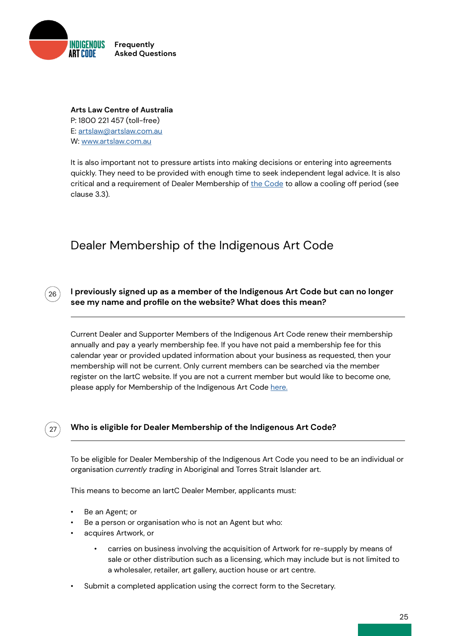<span id="page-24-0"></span>

### **Arts Law Centre of Australia** P: 1800 221 457 (toll-free) E: [artslaw@artslaw.com.au](mailto:artslaw%40artslaw.com.au?subject=) W: [www.artslaw.com.au](http://www.artslaw.com.au)

It is also important not to pressure artists into making decisions or entering into agreements quickly. They need to be provided with enough time to seek independent legal advice. It is also critical and a requirement of Dealer Membership of [the Code](http://indigenousartcode.org/wp-content/uploads/2021/09/Indigenous-Art-Code.pdf) to allow a cooling off period (see clause 3.3).

# Dealer Membership of the Indigenous Art Code



 $27$ 

**I previously signed up as a member of the Indigenous Art Code but can no longer see my name and profile on the website? What does this mean?**

Current Dealer and Supporter Members of the Indigenous Art Code renew their membership annually and pay a yearly membership fee. If you have not paid a membership fee for this calendar year or provided updated information about your business as requested, then your membership will not be current. Only current members can be searched via the member register on the IartC website. If you are not a current member but would like to become one, please apply for Membership of the Indigenous Art Code [here.](https://indigenousartcode.org/become-a-member-or-supporter/)

# **Who is eligible for Dealer Membership of the Indigenous Art Code?**

To be eligible for Dealer Membership of the Indigenous Art Code you need to be an individual or organisation *currently trading* in Aboriginal and Torres Strait Islander art.

This means to become an IartC Dealer Member, applicants must:

- Be an Agent; or
- Be a person or organisation who is not an Agent but who:
- acquires Artwork, or
	- carries on business involving the acquisition of Artwork for re-supply by means of sale or other distribution such as a licensing, which may include but is not limited to a wholesaler, retailer, art gallery, auction house or art centre.
- Submit a completed application using the correct form to the Secretary.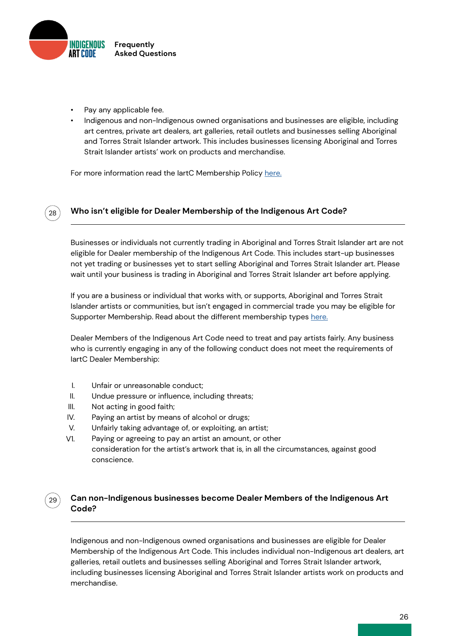<span id="page-25-0"></span>

- Pay any applicable fee.
- Indigenous and non-Indigenous owned organisations and businesses are eligible, including art centres, private art dealers, art galleries, retail outlets and businesses selling Aboriginal and Torres Strait Islander artwork. This includes businesses licensing Aboriginal and Torres Strait Islander artists' work on products and merchandise.

For more information read the lartC Membership Policy [here.](https://indigenousartcode.org/become-a-member-or-supporter/
)



29

### **Who isn't eligible for Dealer Membership of the Indigenous Art Code?**

Businesses or individuals not currently trading in Aboriginal and Torres Strait Islander art are not eligible for Dealer membership of the Indigenous Art Code. This includes start-up businesses not yet trading or businesses yet to start selling Aboriginal and Torres Strait Islander art. Please wait until your business is trading in Aboriginal and Torres Strait Islander art before applying.

If you are a business or individual that works with, or supports, Aboriginal and Torres Strait Islander artists or communities, but isn't engaged in commercial trade you may be eligible for Supporter Membership. Read about the different membership types [here.](http://here.)

Dealer Members of the Indigenous Art Code need to treat and pay artists fairly. Any business who is currently engaging in any of the following conduct does not meet the requirements of IartC Dealer Membership:

- I. Unfair or unreasonable conduct;
- II. Undue pressure or influence, including threats;
- III. Not acting in good faith;
- IV. Paying an artist by means of alcohol or drugs;
- V. Unfairly taking advantage of, or exploiting, an artist;
- V1. Paying or agreeing to pay an artist an amount, or other consideration for the artist's artwork that is, in all the circumstances, against good conscience.

### **Can non-Indigenous businesses become Dealer Members of the Indigenous Art Code?**

Indigenous and non-Indigenous owned organisations and businesses are eligible for Dealer Membership of the Indigenous Art Code. This includes individual non-Indigenous art dealers, art galleries, retail outlets and businesses selling Aboriginal and Torres Strait Islander artwork, including businesses licensing Aboriginal and Torres Strait Islander artists work on products and merchandise.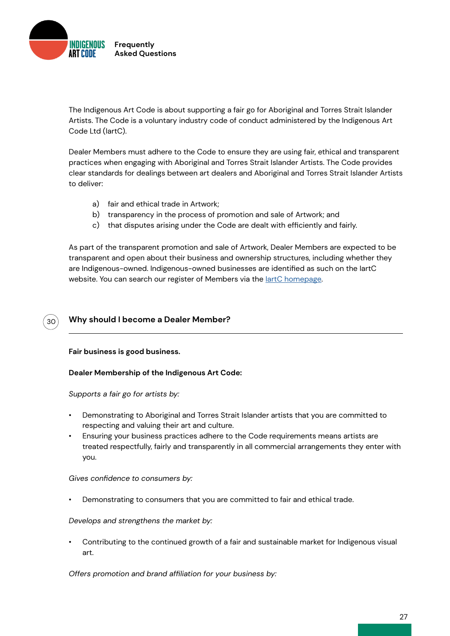<span id="page-26-0"></span>

The Indigenous Art Code is about supporting a fair go for Aboriginal and Torres Strait Islander Artists. The Code is a voluntary industry code of conduct administered by the Indigenous Art Code Ltd (IartC).

Dealer Members must adhere to the Code to ensure they are using fair, ethical and transparent practices when engaging with Aboriginal and Torres Strait Islander Artists. The Code provides clear standards for dealings between art dealers and Aboriginal and Torres Strait Islander Artists to deliver:

- a) fair and ethical trade in Artwork;
- b) transparency in the process of promotion and sale of Artwork; and
- that disputes arising under the Code are dealt with efficiently and fairly. c)

As part of the transparent promotion and sale of Artwork, Dealer Members are expected to be transparent and open about their business and ownership structures, including whether they are Indigenous-owned. Indigenous-owned businesses are identified as such on the IartC website. You can search our register of Members via the lartC homepage.

#### **Why should I become a Dealer Member?** 30

**Fair business is good business.**

#### **Dealer Membership of the Indigenous Art Code:**

*Supports a fair go for artists by:*

- Demonstrating to Aboriginal and Torres Strait Islander artists that you are committed to respecting and valuing their art and culture.
- Ensuring your business practices adhere to the Code requirements means artists are treated respectfully, fairly and transparently in all commercial arrangements they enter with you.

*Gives confidence to consumers by:*

• Demonstrating to consumers that you are committed to fair and ethical trade.

*Develops and strengthens the market by:*

• Contributing to the continued growth of a fair and sustainable market for Indigenous visual art.

*Offers promotion and brand affiliation for your business by:*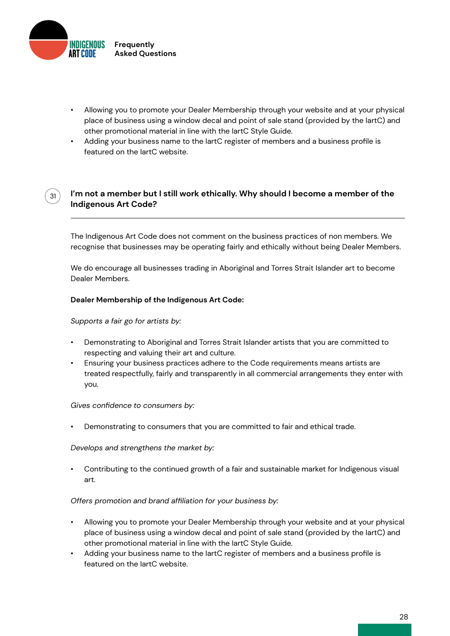<span id="page-27-0"></span>

 $31)$ 

- Allowing you to promote your Dealer Membership through your website and at your physical place of business using a window decal and point of sale stand (provided by the IartC) and other promotional material in line with the IartC Style Guide.
- Adding your business name to the lartC register of members and a business profile is featured on the IartC website.

### **I'm not a member but I still work ethically. Why should I become a member of the Indigenous Art Code?**

The Indigenous Art Code does not comment on the business practices of non members. We recognise that businesses may be operating fairly and ethically without being Dealer Members.

We do encourage all businesses trading in Aboriginal and Torres Strait Islander art to become Dealer Members.

#### **Dealer Membership of the Indigenous Art Code:**

*Supports a fair go for artists by:*

- Demonstrating to Aboriginal and Torres Strait Islander artists that you are committed to respecting and valuing their art and culture.
- Ensuring your business practices adhere to the Code requirements means artists are treated respectfully, fairly and transparently in all commercial arrangements they enter with you.

#### *Gives confidence to consumers by:*

• Demonstrating to consumers that you are committed to fair and ethical trade.

*Develops and strengthens the market by:*

• Contributing to the continued growth of a fair and sustainable market for Indigenous visual art.

#### *Offers promotion and brand affiliation for your business by:*

- Allowing you to promote your Dealer Membership through your website and at your physical place of business using a window decal and point of sale stand (provided by the IartC) and other promotional material in line with the IartC Style Guide.
- Adding your business name to the IartC register of members and a business profile is featured on the IartC website.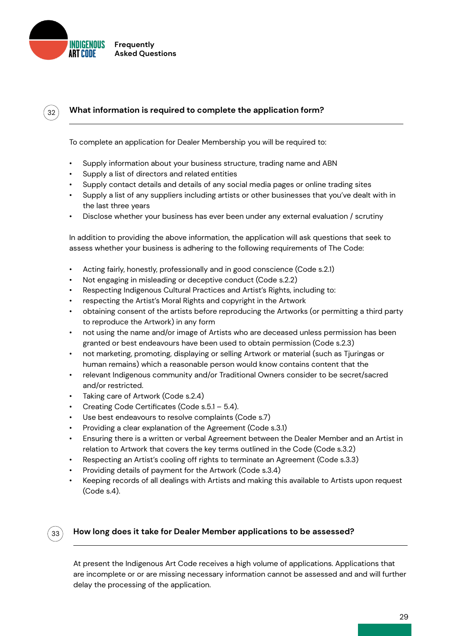<span id="page-28-0"></span>

 $32<sup>2</sup>$ 

## **What information is required to complete the application form?**

To complete an application for Dealer Membership you will be required to:

- Supply information about your business structure, trading name and ABN
- Supply a list of directors and related entities
- Supply contact details and details of any social media pages or online trading sites
- Supply a list of any suppliers including artists or other businesses that you've dealt with in the last three years
- Disclose whether your business has ever been under any external evaluation / scrutiny

In addition to providing the above information, the application will ask questions that seek to assess whether your business is adhering to the following requirements of The Code:

- Acting fairly, honestly, professionally and in good conscience (Code s.2.1)
- Not engaging in misleading or deceptive conduct (Code s.2.2)
- Respecting Indigenous Cultural Practices and Artist's Rights, including to:
- respecting the Artist's Moral Rights and copyright in the Artwork
- obtaining consent of the artists before reproducing the Artworks (or permitting a third party to reproduce the Artwork) in any form
- not using the name and/or image of Artists who are deceased unless permission has been granted or best endeavours have been used to obtain permission (Code s.2.3)
- not marketing, promoting, displaying or selling Artwork or material (such as Tjuringas or human remains) which a reasonable person would know contains content that the
- relevant Indigenous community and/or Traditional Owners consider to be secret/sacred and/or restricted.
- Taking care of Artwork (Code s.2.4)
- Creating Code Certificates (Code s.5.1 5.4).
- Use best endeavours to resolve complaints (Code s.7)
- Providing a clear explanation of the Agreement (Code s.3.1)
- Ensuring there is a written or verbal Agreement between the Dealer Member and an Artist in relation to Artwork that covers the key terms outlined in the Code (Code s.3.2)
- Respecting an Artist's cooling off rights to terminate an Agreement (Code s.3.3)
- Providing details of payment for the Artwork (Code s.3.4)
- Keeping records of all dealings with Artists and making this available to Artists upon request (Code s.4).

#### 33

#### **How long does it take for Dealer Member applications to be assessed?**

At present the Indigenous Art Code receives a high volume of applications. Applications that are incomplete or or are missing necessary information cannot be assessed and and will further delay the processing of the application.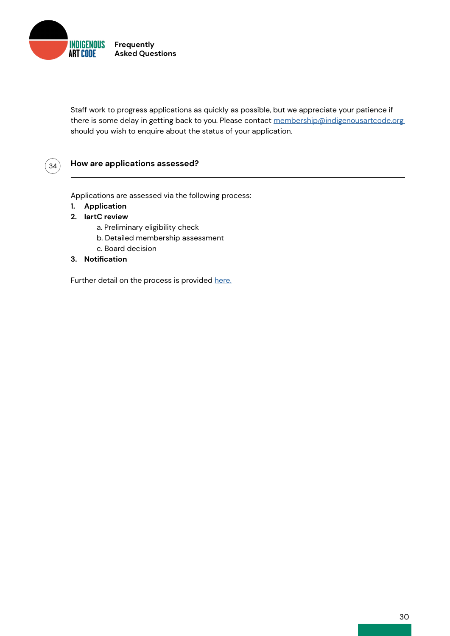<span id="page-29-0"></span>

Staff work to progress applications as quickly as possible, but we appreciate your patience if there is some delay in getting back to you. Please contact membership@indigenousartcode.org should you wish to enquire about the status of your application.



### **How are applications assessed?**

Applications are assessed via the following process:

- **1. Application**
- **2. IartC review**
	- a. Preliminary eligibility check
	- b. Detailed membership assessment
	- c. Board decision
- **3. Notification**

Further detail on the process is provided [here.](https://indigenousartcode.org/wp-content/uploads/2022/02/IartC-membership-process-map.pdf)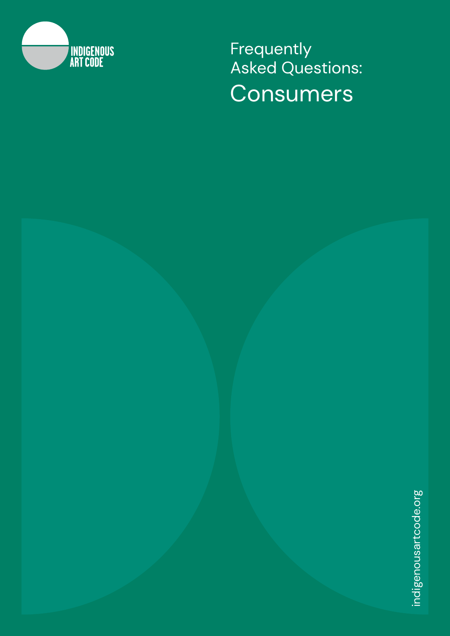<span id="page-30-0"></span>

**Frequently** Asked Questions: Consumers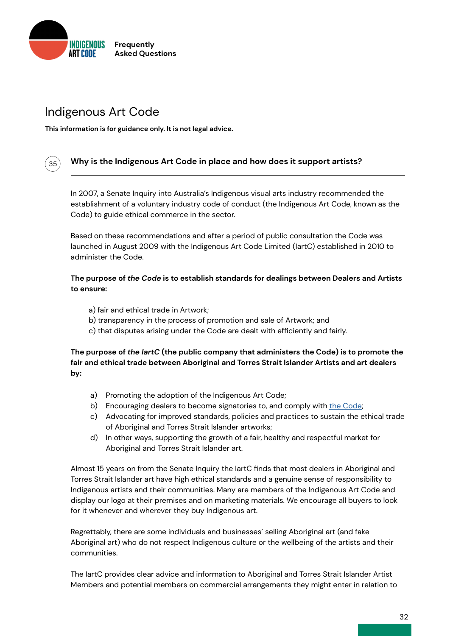<span id="page-31-0"></span>

# Indigenous Art Code

35

**This information is for guidance only. It is not legal advice.**

### **Why is the Indigenous Art Code in place and how does it support artists?**

In 2007, a Senate Inquiry into Australia's Indigenous visual arts industry recommended the establishment of a voluntary industry code of conduct (the Indigenous Art Code, known as the Code) to guide ethical commerce in the sector.

Based on these recommendations and after a period of public consultation the Code was launched in August 2009 with the Indigenous Art Code Limited (IartC) established in 2010 to administer the Code.

#### **The purpose of** *the Code* **is to establish standards for dealings between Dealers and Artists to ensure:**

- a) fair and ethical trade in Artwork;
- b) transparency in the process of promotion and sale of Artwork; and
- c) that disputes arising under the Code are dealt with efficiently and fairly.

**The purpose of** *the IartC* **(the public company that administers the Code) is to promote the fair and ethical trade between Aboriginal and Torres Strait Islander Artists and art dealers by:**

- a) Promoting the adoption of the Indigenous Art Code;
- b) Encouraging dealers to become signatories to, and comply with <u>[the Code](http://indigenousartcode.org/wp-content/uploads/2021/09/Indigenous-Art-Code.pdf)</u>;
- c) Advocating for improved standards, policies and practices to sustain the ethical trade of Aboriginal and Torres Strait Islander artworks;
- d) In other ways, supporting the growth of a fair, healthy and respectful market for Aboriginal and Torres Strait Islander art.

Almost 15 years on from the Senate Inquiry the IartC finds that most dealers in Aboriginal and Torres Strait Islander art have high ethical standards and a genuine sense of responsibility to Indigenous artists and their communities. Many are members of the Indigenous Art Code and display our logo at their premises and on marketing materials. We encourage all buyers to look for it whenever and wherever they buy Indigenous art.

Regrettably, there are some individuals and businesses' selling Aboriginal art (and fake Aboriginal art) who do not respect Indigenous culture or the wellbeing of the artists and their communities.

The IartC provides clear advice and information to Aboriginal and Torres Strait Islander Artist Members and potential members on commercial arrangements they might enter in relation to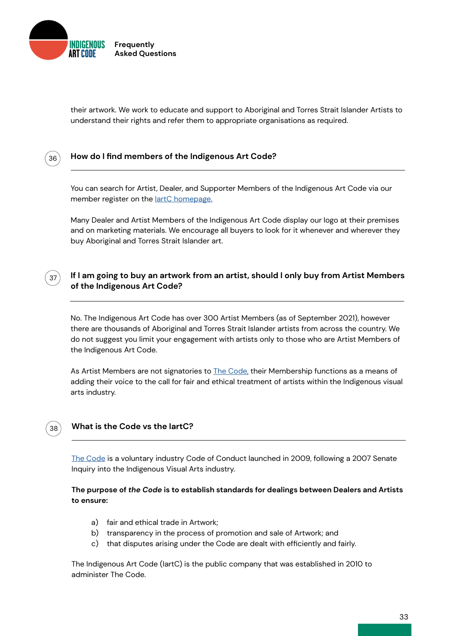<span id="page-32-0"></span>

their artwork. We work to educate and support to Aboriginal and Torres Strait Islander Artists to understand their rights and refer them to appropriate organisations as required.



38

#### **How do I find members of the Indigenous Art Code?**

You can search for Artist, Dealer, and Supporter Members of the Indigenous Art Code via our member register on the lartC homepage.

Many Dealer and Artist Members of the Indigenous Art Code display our logo at their premises and on marketing materials. We encourage all buyers to look for it whenever and wherever they buy Aboriginal and Torres Strait Islander art.

#### **If I am going to buy an artwork from an artist, should I only buy from Artist Members of the Indigenous Art Code?** 37

No. The Indigenous Art Code has over 300 Artist Members (as of September 2021), however there are thousands of Aboriginal and Torres Strait Islander artists from across the country. We do not suggest you limit your engagement with artists only to those who are Artist Members of the Indigenous Art Code.

As Artist Members are not signatories to [The Code,](http://indigenousartcode.org/wp-content/uploads/2021/09/Indigenous-Art-Code.pdf) their Membership functions as a means of adding their voice to the call for fair and ethical treatment of artists within the Indigenous visual arts industry.

#### **What is the Code vs the IartC?**

[The Code](http://indigenousartcode.org/wp-content/uploads/2021/09/Indigenous-Art-Code.pdf) is a voluntary industry Code of Conduct launched in 2009, following a 2007 Senate Inquiry into the Indigenous Visual Arts industry.

#### **The purpose of** *the Code* **is to establish standards for dealings between Dealers and Artists to ensure:**

- a) fair and ethical trade in Artwork;
- b) transparency in the process of promotion and sale of Artwork; and
- that disputes arising under the Code are dealt with efficiently and fairly. c)

The Indigenous Art Code (IartC) is the public company that was established in 2010 to administer The Code.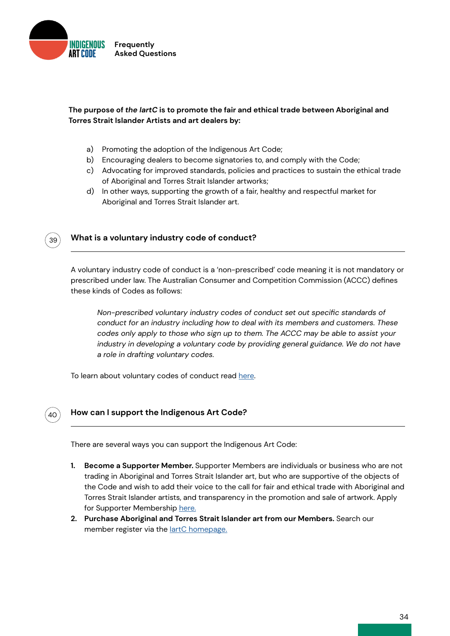<span id="page-33-0"></span>

#### **The purpose of** *the IartC* **is to promote the fair and ethical trade between Aboriginal and Torres Strait Islander Artists and art dealers by:**

- a) Promoting the adoption of the Indigenous Art Code;
- b) Encouraging dealers to become signatories to, and comply with the Code;
- c) Advocating for improved standards, policies and practices to sustain the ethical trade of Aboriginal and Torres Strait Islander artworks;
- d) In other ways, supporting the growth of a fair, healthy and respectful market for Aboriginal and Torres Strait Islander art.



#### **What is a voluntary industry code of conduct?**

A voluntary industry code of conduct is a 'non-prescribed' code meaning it is not mandatory or prescribed under law. The Australian Consumer and Competition Commission (ACCC) defines these kinds of Codes as follows:

*Non-prescribed voluntary industry codes of conduct set out specific standards of conduct for an industry including how to deal with its members and customers. These codes only apply to those who sign up to them. The ACCC may be able to assist your industry in developing a voluntary code by providing general guidance. We do not have a role in drafting voluntary codes.*

To learn about voluntary codes of conduct read [here](http://).



#### **How can I support the Indigenous Art Code?**

There are several ways you can support the Indigenous Art Code:

- **1. Become a Supporter Member.** Supporter Members are individuals or business who are not trading in Aboriginal and Torres Strait Islander art, but who are supportive of the objects of the Code and wish to add their voice to the call for fair and ethical trade with Aboriginal and Torres Strait Islander artists, and transparency in the promotion and sale of artwork. Apply for Supporter Membership [here.](https://indigenousartcode.org/become-a-member-or-supporter/)
- **2. Purchase Aboriginal and Torres Strait Islander art from our Members.** Search our member register via the lartC homepage.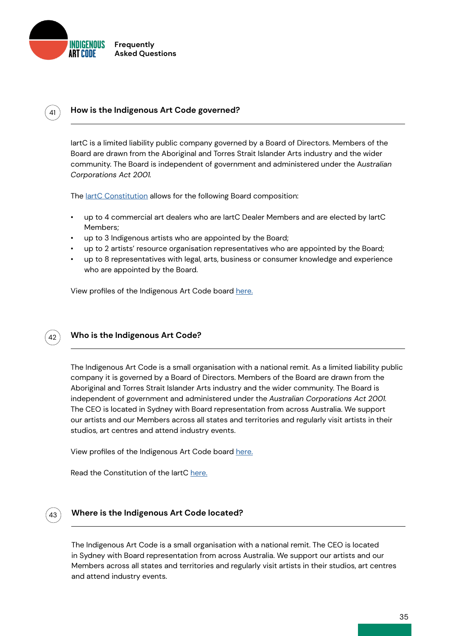<span id="page-34-0"></span>

### $\mathcal{L}_{41}$   $\parallel$  How is the Indigenous Art Code governed?

IartC is a limited liability public company governed by a Board of Directors. Members of the Board are drawn from the Aboriginal and Torres Strait Islander Arts industry and the wider community. The Board is independent of government and administered under the A*ustralian Corporations Act 2001.*

The [IartC Constitution](http://indigenousartcode.org/wp-content/uploads/2021/09/IartC-Constitution-web-2021.pdf) allows for the following Board composition:

- up to 4 commercial art dealers who are IartC Dealer Members and are elected by IartC Members;
- up to 3 Indigenous artists who are appointed by the Board;
- up to 2 artists' resource organisation representatives who are appointed by the Board;
- up to 8 representatives with legal, arts, business or consumer knowledge and experience who are appointed by the Board.

View profiles of the Indigenous Art Code board [here.](https://indigenousartcode.org/board-of-directors/)



#### **Who is the Indigenous Art Code?**

The Indigenous Art Code is a small organisation with a national remit. As a limited liability public company it is governed by a Board of Directors. Members of the Board are drawn from the Aboriginal and Torres Strait Islander Arts industry and the wider community. The Board is independent of government and administered under the *Australian Corporations Act 2001.*  The CEO is located in Sydney with Board representation from across Australia. We support our artists and our Members across all states and territories and regularly visit artists in their studios, art centres and attend industry events.

View profiles of the Indigenous Art Code board [here.](https://indigenousartcode.org/board-of-directors/)

Read the Constitution of the IartC [here.](http://indigenousartcode.org/wp-content/uploads/2021/09/IartC-Constitution-web-2021.pdf)



#### **Where is the Indigenous Art Code located?**

The Indigenous Art Code is a small organisation with a national remit. The CEO is located in Sydney with Board representation from across Australia. We support our artists and our Members across all states and territories and regularly visit artists in their studios, art centres and attend industry events.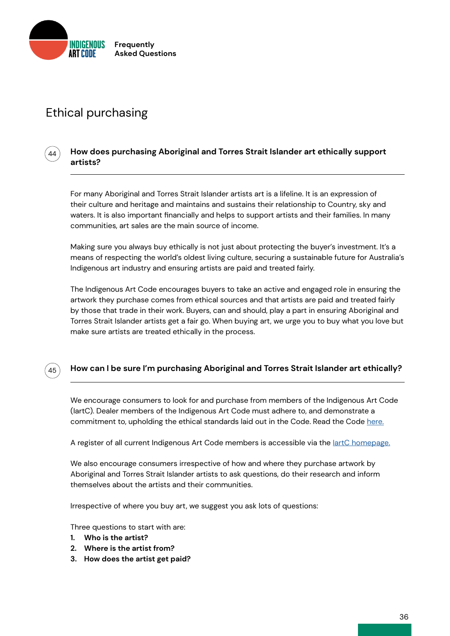<span id="page-35-0"></span>

# Ethical purchasing

#### **How does purchasing Aboriginal and Torres Strait Islander art ethically support artists?**

For many Aboriginal and Torres Strait Islander artists art is a lifeline. It is an expression of their culture and heritage and maintains and sustains their relationship to Country, sky and waters. It is also important financially and helps to support artists and their families. In many communities, art sales are the main source of income.

Making sure you always buy ethically is not just about protecting the buyer's investment. It's a means of respecting the world's oldest living culture, securing a sustainable future for Australia's Indigenous art industry and ensuring artists are paid and treated fairly.

The Indigenous Art Code encourages buyers to take an active and engaged role in ensuring the artwork they purchase comes from ethical sources and that artists are paid and treated fairly by those that trade in their work. Buyers, can and should, play a part in ensuring Aboriginal and Torres Strait Islander artists get a fair go. When buying art, we urge you to buy what you love but make sure artists are treated ethically in the process.



44

### **How can I be sure I'm purchasing Aboriginal and Torres Strait Islander art ethically?**

We encourage consumers to look for and purchase from members of the Indigenous Art Code (IartC). Dealer members of the Indigenous Art Code must adhere to, and demonstrate a commitment to, upholding the ethical standards laid out in the Code. Read the Code [here.](http://indigenousartcode.org/wp-content/uploads/2021/09/Indigenous-Art-Code.pdf)

A register of all current Indigenous Art Code members is accessible via the <u>lartC homepage.</u>

We also encourage consumers irrespective of how and where they purchase artwork by Aboriginal and Torres Strait Islander artists to ask questions, do their research and inform themselves about the artists and their communities.

Irrespective of where you buy art, we suggest you ask lots of questions:

Three questions to start with are:

- **1. Who is the artist?**
- **2. Where is the artist from?**
- **3. How does the artist get paid?**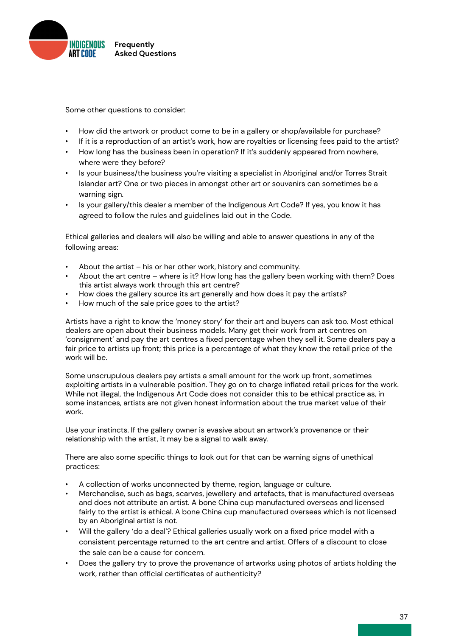

Some other questions to consider:

- How did the artwork or product come to be in a gallery or shop/available for purchase?
- If it is a reproduction of an artist's work, how are royalties or licensing fees paid to the artist?
- How long has the business been in operation? If it's suddenly appeared from nowhere, where were they before?
- Is your business/the business you're visiting a specialist in Aboriginal and/or Torres Strait Islander art? One or two pieces in amongst other art or souvenirs can sometimes be a warning sign.
- Is your gallery/this dealer a member of the Indigenous Art Code? If yes, you know it has agreed to follow the rules and guidelines laid out in the Code.

Ethical galleries and dealers will also be willing and able to answer questions in any of the following areas:

- About the artist his or her other work, history and community.
- About the art centre where is it? How long has the gallery been working with them? Does this artist always work through this art centre?
- How does the gallery source its art generally and how does it pay the artists?
- How much of the sale price goes to the artist?

Artists have a right to know the 'money story' for their art and buyers can ask too. Most ethical dealers are open about their business models. Many get their work from art centres on 'consignment' and pay the art centres a fixed percentage when they sell it. Some dealers pay a fair price to artists up front; this price is a percentage of what they know the retail price of the work will be.

Some unscrupulous dealers pay artists a small amount for the work up front, sometimes exploiting artists in a vulnerable position. They go on to charge inflated retail prices for the work. While not illegal, the Indigenous Art Code does not consider this to be ethical practice as, in some instances, artists are not given honest information about the true market value of their work.

Use your instincts. If the gallery owner is evasive about an artwork's provenance or their relationship with the artist, it may be a signal to walk away.

There are also some specific things to look out for that can be warning signs of unethical practices:

- A collection of works unconnected by theme, region, language or culture.
- Merchandise, such as bags, scarves, jewellery and artefacts, that is manufactured overseas and does not attribute an artist. A bone China cup manufactured overseas and licensed fairly to the artist is ethical. A bone China cup manufactured overseas which is not licensed by an Aboriginal artist is not.
- Will the gallery 'do a deal'? Ethical galleries usually work on a fixed price model with a consistent percentage returned to the art centre and artist. Offers of a discount to close the sale can be a cause for concern.
- Does the gallery try to prove the provenance of artworks using photos of artists holding the work, rather than official certificates of authenticity?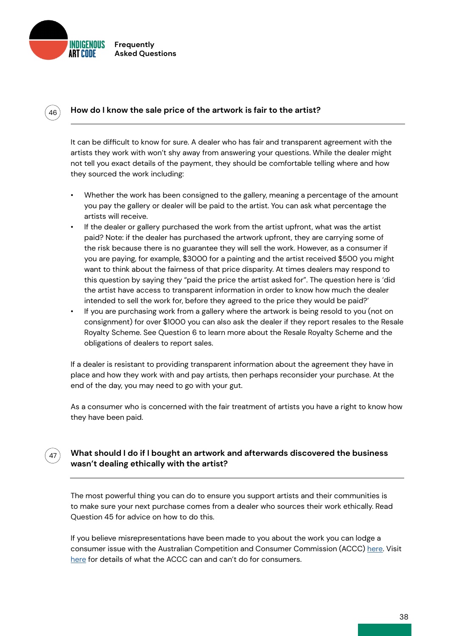

46

# **How do I know the sale price of the artwork is fair to the artist?**

It can be difficult to know for sure. A dealer who has fair and transparent agreement with the artists they work with won't shy away from answering your questions. While the dealer might not tell you exact details of the payment, they should be comfortable telling where and how they sourced the work including:

- Whether the work has been consigned to the gallery, meaning a percentage of the amount you pay the gallery or dealer will be paid to the artist. You can ask what percentage the artists will receive.
- If the dealer or gallery purchased the work from the artist upfront, what was the artist paid? Note: if the dealer has purchased the artwork upfront, they are carrying some of the risk because there is no guarantee they will sell the work. However, as a consumer if you are paying, for example, \$3000 for a painting and the artist received \$500 you might want to think about the fairness of that price disparity. At times dealers may respond to this question by saying they "paid the price the artist asked for". The question here is 'did the artist have access to transparent information in order to know how much the dealer intended to sell the work for, before they agreed to the price they would be paid?'
- If you are purchasing work from a gallery where the artwork is being resold to you (not on consignment) for over \$1000 you can also ask the dealer if they report resales to the Resale Royalty Scheme. See Question 6 to learn more about the Resale Royalty Scheme and the obligations of dealers to report sales.

If a dealer is resistant to providing transparent information about the agreement they have in place and how they work with and pay artists, then perhaps reconsider your purchase. At the end of the day, you may need to go with your gut.

As a consumer who is concerned with the fair treatment of artists you have a right to know how they have been paid.

#### **What should I do if I bought an artwork and afterwards discovered the business wasn't dealing ethically with the artist?** 47

The most powerful thing you can do to ensure you support artists and their communities is to make sure your next purchase comes from a dealer who sources their work ethically. Read Question 45 for advice on how to do this.

If you believe misrepresentations have been made to you about the work you can lodge a consumer issue with the Australian Competition and Consumer Commission (ACCC) [here](mailto:https://www.accc.gov.au/contact-us/contact-the-accc/report-a-consumer-issue?subject=). Visit [here](mailto:https://www.accc.gov.au/about-us/australian-competition-consumer-commission/service-charter/what-we-can-cant-do-for-consumers?subject=) for details of what the ACCC can and can't do for consumers.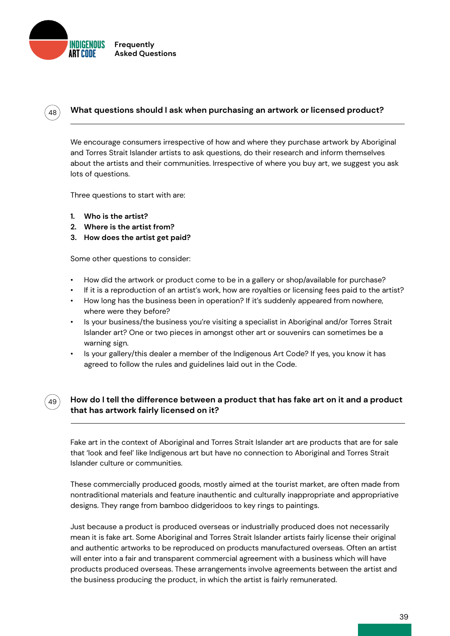

48

49

# **What questions should I ask when purchasing an artwork or licensed product?**

We encourage consumers irrespective of how and where they purchase artwork by Aboriginal and Torres Strait Islander artists to ask questions, do their research and inform themselves about the artists and their communities. Irrespective of where you buy art, we suggest you ask lots of questions.

Three questions to start with are:

- **1. Who is the artist?**
- **2. Where is the artist from?**
- **3. How does the artist get paid?**

Some other questions to consider:

- How did the artwork or product come to be in a gallery or shop/available for purchase?
- If it is a reproduction of an artist's work, how are royalties or licensing fees paid to the artist?
- How long has the business been in operation? If it's suddenly appeared from nowhere, where were they before?
- Is your business/the business you're visiting a specialist in Aboriginal and/or Torres Strait Islander art? One or two pieces in amongst other art or souvenirs can sometimes be a warning sign.
- Is your gallery/this dealer a member of the Indigenous Art Code? If yes, you know it has agreed to follow the rules and guidelines laid out in the Code.

# **How do I tell the difference between a product that has fake art on it and a product that has artwork fairly licensed on it?**

Fake art in the context of Aboriginal and Torres Strait Islander art are products that are for sale that 'look and feel' like Indigenous art but have no connection to Aboriginal and Torres Strait Islander culture or communities.

These commercially produced goods, mostly aimed at the tourist market, are often made from nontraditional materials and feature inauthentic and culturally inappropriate and appropriative designs. They range from bamboo didgeridoos to key rings to paintings.

Just because a product is produced overseas or industrially produced does not necessarily mean it is fake art. Some Aboriginal and Torres Strait Islander artists fairly license their original and authentic artworks to be reproduced on products manufactured overseas. Often an artist will enter into a fair and transparent commercial agreement with a business which will have products produced overseas. These arrangements involve agreements between the artist and the business producing the product, in which the artist is fairly remunerated.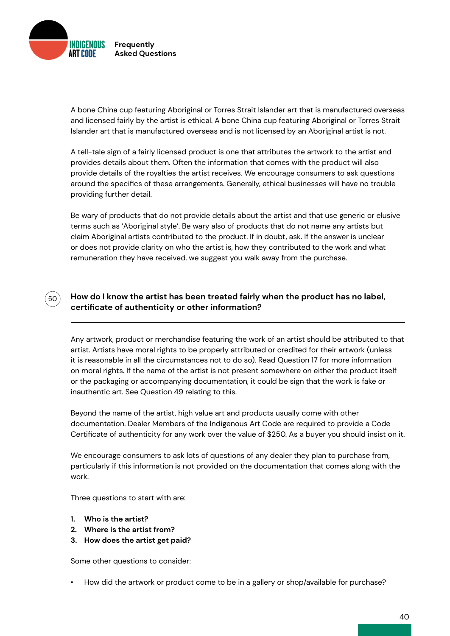

 $50^{\degree}$ 

A bone China cup featuring Aboriginal or Torres Strait Islander art that is manufactured overseas and licensed fairly by the artist is ethical. A bone China cup featuring Aboriginal or Torres Strait Islander art that is manufactured overseas and is not licensed by an Aboriginal artist is not.

A tell-tale sign of a fairly licensed product is one that attributes the artwork to the artist and provides details about them. Often the information that comes with the product will also provide details of the royalties the artist receives. We encourage consumers to ask questions around the specifics of these arrangements. Generally, ethical businesses will have no trouble providing further detail.

Be wary of products that do not provide details about the artist and that use generic or elusive terms such as 'Aboriginal style'. Be wary also of products that do not name any artists but claim Aboriginal artists contributed to the product. If in doubt, ask. If the answer is unclear or does not provide clarity on who the artist is, how they contributed to the work and what remuneration they have received, we suggest you walk away from the purchase.

# **How do I know the artist has been treated fairly when the product has no label, certificate of authenticity or other information?**

Any artwork, product or merchandise featuring the work of an artist should be attributed to that artist. Artists have moral rights to be properly attributed or credited for their artwork (unless it is reasonable in all the circumstances not to do so). Read Question 17 for more information on moral rights. If the name of the artist is not present somewhere on either the product itself or the packaging or accompanying documentation, it could be sign that the work is fake or inauthentic art. See Question 49 relating to this.

Beyond the name of the artist, high value art and products usually come with other documentation. Dealer Members of the Indigenous Art Code are required to provide a Code Certificate of authenticity for any work over the value of \$250. As a buyer you should insist on it.

We encourage consumers to ask lots of questions of any dealer they plan to purchase from, particularly if this information is not provided on the documentation that comes along with the work.

Three questions to start with are:

- **1. Who is the artist?**
- **2. Where is the artist from?**
- **3. How does the artist get paid?**

Some other questions to consider:

• How did the artwork or product come to be in a gallery or shop/available for purchase?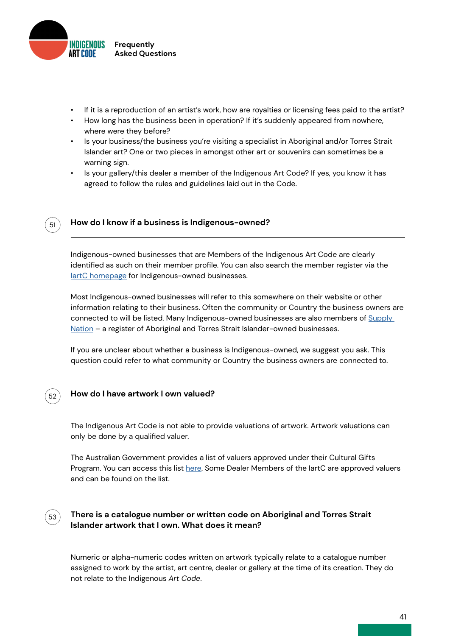

- If it is a reproduction of an artist's work, how are royalties or licensing fees paid to the artist?
- How long has the business been in operation? If it's suddenly appeared from nowhere, where were they before?
- Is your business/the business you're visiting a specialist in Aboriginal and/or Torres Strait Islander art? One or two pieces in amongst other art or souvenirs can sometimes be a warning sign.
- Is your gallery/this dealer a member of the Indigenous Art Code? If yes, you know it has agreed to follow the rules and guidelines laid out in the Code.



### **How do I know if a business is Indigenous-owned?**

Indigenous-owned businesses that are Members of the Indigenous Art Code are clearly identified as such on their member profile. You can also search the member register via the lartC homepage for Indigenous-owned businesses.

Most Indigenous-owned businesses will refer to this somewhere on their website or other information relating to their business. Often the community or Country the business owners are connected to will be listed. Many Indigenous-owned businesses are also members of Supply [Nation](http://) – a register of Aboriginal and Torres Strait Islander-owned businesses.

If you are unclear about whether a business is Indigenous-owned, we suggest you ask. This question could refer to what community or Country the business owners are connected to.



### **How do I have artwork I own valued?**

The Indigenous Art Code is not able to provide valuations of artwork. Artwork valuations can only be done by a qualified valuer.

The Australian Government provides a list of valuers approved under their Cultural Gifts Program. You can access this list [here](http://). Some Dealer Members of the IartC are approved valuers and can be found on the list.

# 53

# **There is a catalogue number or written code on Aboriginal and Torres Strait Islander artwork that I own. What does it mean?**

Numeric or alpha-numeric codes written on artwork typically relate to a catalogue number assigned to work by the artist, art centre, dealer or gallery at the time of its creation. They do not relate to the Indigenous *Art Code*.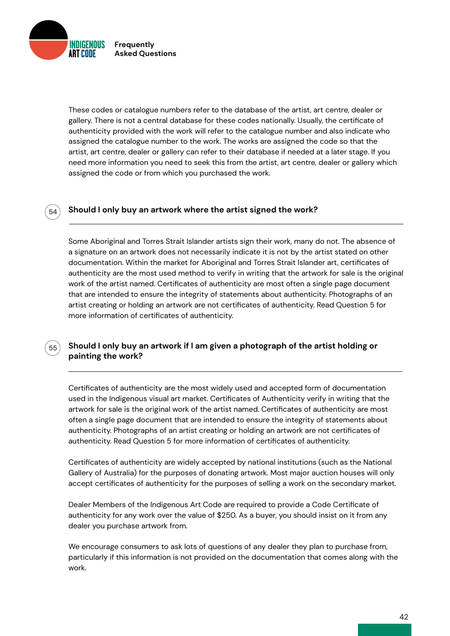**INDIGENOUS Frequently Asked Questions**

54

55

These codes or catalogue numbers refer to the database of the artist, art centre, dealer or gallery. There is not a central database for these codes nationally. Usually, the certificate of authenticity provided with the work will refer to the catalogue number and also indicate who assigned the catalogue number to the work. The works are assigned the code so that the artist, art centre, dealer or gallery can refer to their database if needed at a later stage. If you need more information you need to seek this from the artist, art centre, dealer or gallery which assigned the code or from which you purchased the work.

# **Should I only buy an artwork where the artist signed the work?**

Some Aboriginal and Torres Strait Islander artists sign their work, many do not. The absence of a signature on an artwork does not necessarily indicate it is not by the artist stated on other documentation. Within the market for Aboriginal and Torres Strait Islander art, certificates of authenticity are the most used method to verify in writing that the artwork for sale is the original work of the artist named. Certificates of authenticity are most often a single page document that are intended to ensure the integrity of statements about authenticity. Photographs of an artist creating or holding an artwork are not certificates of authenticity. Read Question 5 for more information of certificates of authenticity.

# **Should I only buy an artwork if I am given a photograph of the artist holding or painting the work?**

Certificates of authenticity are the most widely used and accepted form of documentation used in the Indigenous visual art market. Certificates of Authenticity verify in writing that the artwork for sale is the original work of the artist named. Certificates of authenticity are most often a single page document that are intended to ensure the integrity of statements about authenticity. Photographs of an artist creating or holding an artwork are not certificates of authenticity. Read Question 5 for more information of certificates of authenticity.

Certificates of authenticity are widely accepted by national institutions (such as the National Gallery of Australia) for the purposes of donating artwork. Most major auction houses will only accept certificates of authenticity for the purposes of selling a work on the secondary market.

Dealer Members of the Indigenous Art Code are required to provide a Code Certificate of authenticity for any work over the value of \$250. As a buyer, you should insist on it from any dealer you purchase artwork from.

We encourage consumers to ask lots of questions of any dealer they plan to purchase from, particularly if this information is not provided on the documentation that comes along with the work.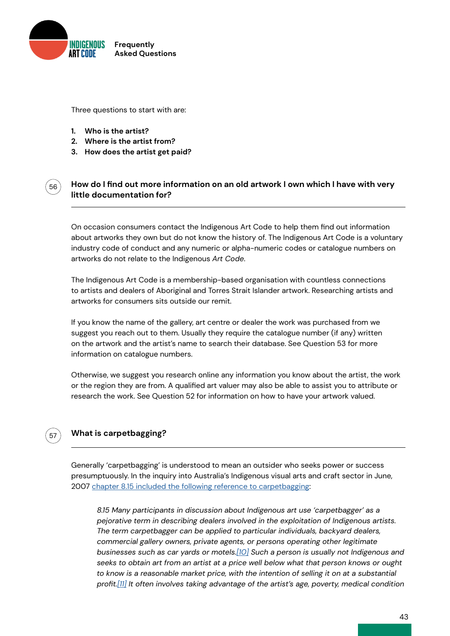

Three questions to start with are:

**1. Who is the artist?**

56

57

- **2. Where is the artist from?**
- **3. How does the artist get paid?**

# **How do I find out more information on an old artwork I own which I have with very little documentation for?**

On occasion consumers contact the Indigenous Art Code to help them find out information about artworks they own but do not know the history of. The Indigenous Art Code is a voluntary industry code of conduct and any numeric or alpha-numeric codes or catalogue numbers on artworks do not relate to the Indigenous *Art Code*.

The Indigenous Art Code is a membership-based organisation with countless connections to artists and dealers of Aboriginal and Torres Strait Islander artwork. Researching artists and artworks for consumers sits outside our remit.

If you know the name of the gallery, art centre or dealer the work was purchased from we suggest you reach out to them. Usually they require the catalogue number (if any) written on the artwork and the artist's name to search their database. See Question 53 for more information on catalogue numbers.

Otherwise, we suggest you research online any information you know about the artist, the work or the region they are from. A qualified art valuer may also be able to assist you to attribute or research the work. See Question 52 for information on how to have your artwork valued.

# **What is carpetbagging?**

Generally 'carpetbagging' is understood to mean an outsider who seeks power or success presumptuously. In the inquiry into Australia's Indigenous visual arts and craft sector in June, 2007 [chapter 8.15 included the following reference to carpetbagging](http://):

*8.15 Many participants in discussion about Indigenous art use 'carpetbagger' as a pejorative term in describing dealers involved in the exploitation of Indigenous artists. The term carpetbagger can be applied to particular individuals, backyard dealers, commercial gallery owners, private agents, or persons operating other legitimate businesses such as car yards or motels[.\[10\]](http://) Such a person is usually not Indigenous and seeks to obtain art from an artist at a price well below what that person knows or ought to know is a reasonable market price, with the intention of selling it on at a substantial profit.[\[11\]](http://) It often involves taking advantage of the artist's age, poverty, medical condition*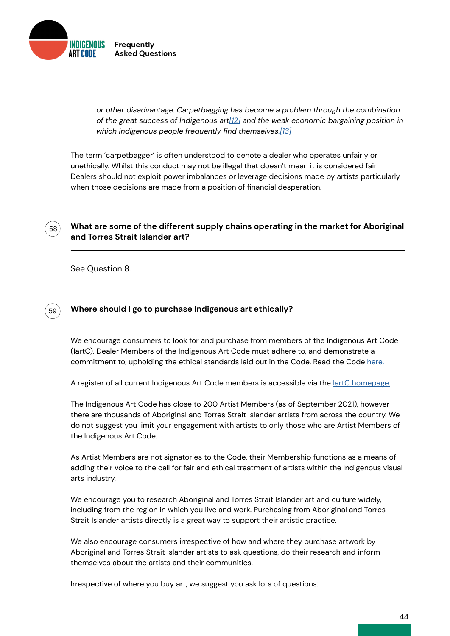

*or other disadvantage. Carpetbagging has become a problem through the combination of the great success of Indigenous ar[t\[12\]](http://) and the weak economic bargaining position in which Indigenous people frequently find themselves[.\[13\]](http://)*

The term 'carpetbagger' is often understood to denote a dealer who operates unfairly or unethically. Whilst this conduct may not be illegal that doesn't mean it is considered fair. Dealers should not exploit power imbalances or leverage decisions made by artists particularly when those decisions are made from a position of financial desperation.

# **What are some of the different supply chains operating in the market for Aboriginal and Torres Strait Islander art?**

See Question 8.

58

59

# **Where should I go to purchase Indigenous art ethically?**

We encourage consumers to look for and purchase from members of the Indigenous Art Code (IartC). Dealer Members of the Indigenous Art Code must adhere to, and demonstrate a commitment to, upholding the ethical standards laid out in the Code. Read the Code [here.](http://indigenousartcode.org/wp-content/uploads/2021/09/Indigenous-Art-Code.pdf)

A register of all current Indigenous Art Code members is accessible via the lartC homepage.

The Indigenous Art Code has close to 200 Artist Members (as of September 2021), however there are thousands of Aboriginal and Torres Strait Islander artists from across the country. We do not suggest you limit your engagement with artists to only those who are Artist Members of the Indigenous Art Code.

As Artist Members are not signatories to the Code, their Membership functions as a means of adding their voice to the call for fair and ethical treatment of artists within the Indigenous visual arts industry.

We encourage you to research Aboriginal and Torres Strait Islander art and culture widely, including from the region in which you live and work. Purchasing from Aboriginal and Torres Strait Islander artists directly is a great way to support their artistic practice.

We also encourage consumers irrespective of how and where they purchase artwork by Aboriginal and Torres Strait Islander artists to ask questions, do their research and inform themselves about the artists and their communities.

Irrespective of where you buy art, we suggest you ask lots of questions: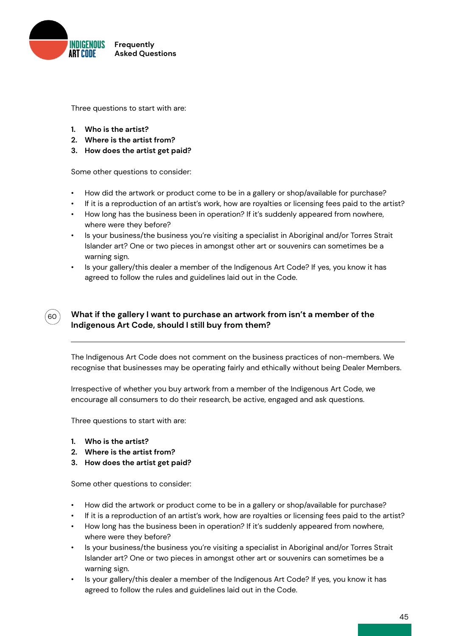

Three questions to start with are:

- **1. Who is the artist?**
- **2. Where is the artist from?**
- **3. How does the artist get paid?**

Some other questions to consider:

- How did the artwork or product come to be in a gallery or shop/available for purchase?
- If it is a reproduction of an artist's work, how are royalties or licensing fees paid to the artist?
- How long has the business been in operation? If it's suddenly appeared from nowhere, where were they before?
- Is your business/the business you're visiting a specialist in Aboriginal and/or Torres Strait Islander art? One or two pieces in amongst other art or souvenirs can sometimes be a warning sign.
- Is your gallery/this dealer a member of the Indigenous Art Code? If yes, you know it has agreed to follow the rules and guidelines laid out in the Code.



# **What if the gallery I want to purchase an artwork from isn't a member of the Indigenous Art Code, should I still buy from them?**

The Indigenous Art Code does not comment on the business practices of non-members. We recognise that businesses may be operating fairly and ethically without being Dealer Members.

Irrespective of whether you buy artwork from a member of the Indigenous Art Code, we encourage all consumers to do their research, be active, engaged and ask questions.

Three questions to start with are:

- **1. Who is the artist?**
- **2. Where is the artist from?**
- **3. How does the artist get paid?**

Some other questions to consider:

- How did the artwork or product come to be in a gallery or shop/available for purchase?
- If it is a reproduction of an artist's work, how are royalties or licensing fees paid to the artist?
- How long has the business been in operation? If it's suddenly appeared from nowhere, where were they before?
- Is your business/the business you're visiting a specialist in Aboriginal and/or Torres Strait Islander art? One or two pieces in amongst other art or souvenirs can sometimes be a warning sign.
- Is your gallery/this dealer a member of the Indigenous Art Code? If yes, you know it has agreed to follow the rules and guidelines laid out in the Code.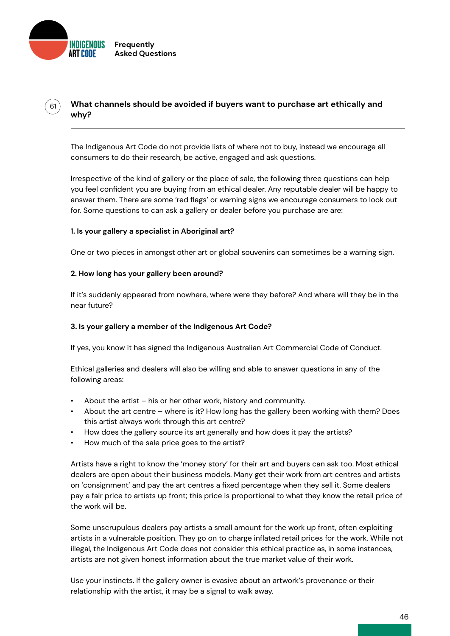

61

**What channels should be avoided if buyers want to purchase art ethically and why?**

The Indigenous Art Code do not provide lists of where not to buy, instead we encourage all consumers to do their research, be active, engaged and ask questions.

Irrespective of the kind of gallery or the place of sale, the following three questions can help you feel confident you are buying from an ethical dealer. Any reputable dealer will be happy to answer them. There are some 'red flags' or warning signs we encourage consumers to look out for. Some questions to can ask a gallery or dealer before you purchase are are:

### **1. Is your gallery a specialist in Aboriginal art?**

One or two pieces in amongst other art or global souvenirs can sometimes be a warning sign.

### **2. How long has your gallery been around?**

If it's suddenly appeared from nowhere, where were they before? And where will they be in the near future?

### **3. Is your gallery a member of the Indigenous Art Code?**

If yes, you know it has signed the Indigenous Australian Art Commercial Code of Conduct.

Ethical galleries and dealers will also be willing and able to answer questions in any of the following areas:

- About the artist his or her other work, history and community.
- About the art centre where is it? How long has the gallery been working with them? Does this artist always work through this art centre?
- How does the gallery source its art generally and how does it pay the artists?
- How much of the sale price goes to the artist?

Artists have a right to know the 'money story' for their art and buyers can ask too. Most ethical dealers are open about their business models. Many get their work from art centres and artists on 'consignment' and pay the art centres a fixed percentage when they sell it. Some dealers pay a fair price to artists up front; this price is proportional to what they know the retail price of the work will be.

Some unscrupulous dealers pay artists a small amount for the work up front, often exploiting artists in a vulnerable position. They go on to charge inflated retail prices for the work. While not illegal, the Indigenous Art Code does not consider this ethical practice as, in some instances, artists are not given honest information about the true market value of their work.

Use your instincts. If the gallery owner is evasive about an artwork's provenance or their relationship with the artist, it may be a signal to walk away.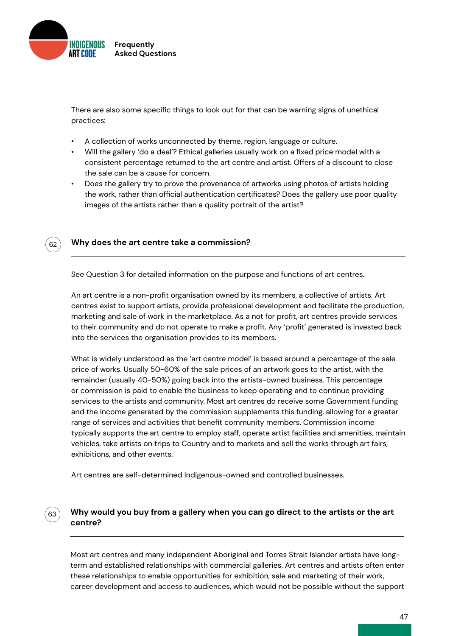

There are also some specific things to look out for that can be warning signs of unethical practices:

- A collection of works unconnected by theme, region, language or culture.
- Will the gallery 'do a deal'? Ethical galleries usually work on a fixed price model with a consistent percentage returned to the art centre and artist. Offers of a discount to close the sale can be a cause for concern.
- Does the gallery try to prove the provenance of artworks using photos of artists holding the work, rather than official authentication certificates? Does the gallery use poor quality images of the artists rather than a quality portrait of the artist?



63

### **Why does the art centre take a commission?**

See Question 3 for detailed information on the purpose and functions of art centres.

An art centre is a non-profit organisation owned by its members, a collective of artists. Art centres exist to support artists, provide professional development and facilitate the production, marketing and sale of work in the marketplace. As a not for profit, art centres provide services to their community and do not operate to make a profit. Any 'profit' generated is invested back into the services the organisation provides to its members.

What is widely understood as the 'art centre model' is based around a percentage of the sale price of works. Usually 50-60% of the sale prices of an artwork goes to the artist, with the remainder (usually 40-50%) going back into the artists-owned business. This percentage or commission is paid to enable the business to keep operating and to continue providing services to the artists and community. Most art centres do receive some Government funding and the income generated by the commission supplements this funding, allowing for a greater range of services and activities that benefit community members. Commission income typically supports the art centre to employ staff, operate artist facilities and amenities, maintain vehicles, take artists on trips to Country and to markets and sell the works through art fairs, exhibitions, and other events.

Art centres are self-determined Indigenous-owned and controlled businesses.

# **Why would you buy from a gallery when you can go direct to the artists or the art centre?**

Most art centres and many independent Aboriginal and Torres Strait Islander artists have longterm and established relationships with commercial galleries. Art centres and artists often enter these relationships to enable opportunities for exhibition, sale and marketing of their work, career development and access to audiences, which would not be possible without the support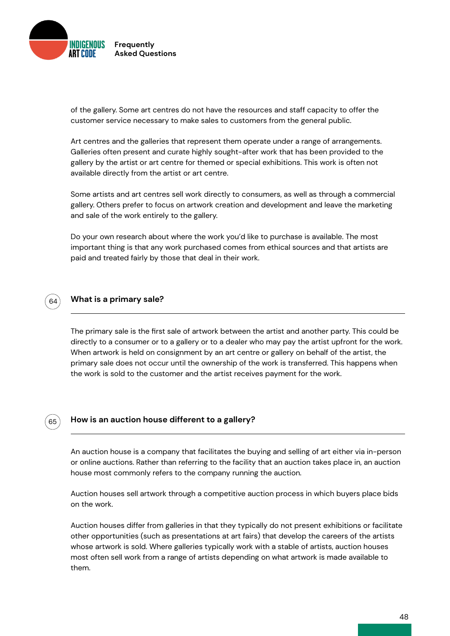

of the gallery. Some art centres do not have the resources and staff capacity to offer the customer service necessary to make sales to customers from the general public.

Art centres and the galleries that represent them operate under a range of arrangements. Galleries often present and curate highly sought-after work that has been provided to the gallery by the artist or art centre for themed or special exhibitions. This work is often not available directly from the artist or art centre.

Some artists and art centres sell work directly to consumers, as well as through a commercial gallery. Others prefer to focus on artwork creation and development and leave the marketing and sale of the work entirely to the gallery.

Do your own research about where the work you'd like to purchase is available. The most important thing is that any work purchased comes from ethical sources and that artists are paid and treated fairly by those that deal in their work.



### **What is a primary sale?**

The primary sale is the first sale of artwork between the artist and another party. This could be directly to a consumer or to a gallery or to a dealer who may pay the artist upfront for the work. When artwork is held on consignment by an art centre or gallery on behalf of the artist, the primary sale does not occur until the ownership of the work is transferred. This happens when the work is sold to the customer and the artist receives payment for the work.

# 65

### **How is an auction house different to a gallery?**

An auction house is a company that facilitates the buying and selling of art either via in-person or online auctions. Rather than referring to the facility that an auction takes place in, an auction house most commonly refers to the company running the auction.

Auction houses sell artwork through a competitive auction process in which buyers place bids on the work.

Auction houses differ from galleries in that they typically do not present exhibitions or facilitate other opportunities (such as presentations at art fairs) that develop the careers of the artists whose artwork is sold. Where galleries typically work with a stable of artists, auction houses most often sell work from a range of artists depending on what artwork is made available to them.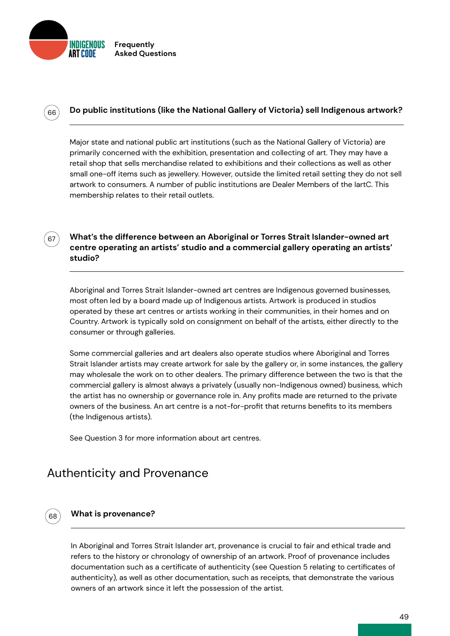

 $66^\circ$ 

67

68

# **Do public institutions (like the National Gallery of Victoria) sell Indigenous artwork?**

Major state and national public art institutions (such as the National Gallery of Victoria) are primarily concerned with the exhibition, presentation and collecting of art. They may have a retail shop that sells merchandise related to exhibitions and their collections as well as other small one-off items such as jewellery. However, outside the limited retail setting they do not sell artwork to consumers. A number of public institutions are Dealer Members of the IartC. This membership relates to their retail outlets.

**What's the difference between an Aboriginal or Torres Strait Islander-owned art centre operating an artists' studio and a commercial gallery operating an artists' studio?**

Aboriginal and Torres Strait Islander-owned art centres are Indigenous governed businesses, most often led by a board made up of Indigenous artists. Artwork is produced in studios operated by these art centres or artists working in their communities, in their homes and on Country. Artwork is typically sold on consignment on behalf of the artists, either directly to the consumer or through galleries.

Some commercial galleries and art dealers also operate studios where Aboriginal and Torres Strait Islander artists may create artwork for sale by the gallery or, in some instances, the gallery may wholesale the work on to other dealers. The primary difference between the two is that the commercial gallery is almost always a privately (usually non-Indigenous owned) business, which the artist has no ownership or governance role in. Any profits made are returned to the private owners of the business. An art centre is a not-for-profit that returns benefits to its members (the Indigenous artists).

See Question 3 for more information about art centres.

# Authenticity and Provenance

### **What is provenance?**

In Aboriginal and Torres Strait Islander art, provenance is crucial to fair and ethical trade and refers to the history or chronology of ownership of an artwork. Proof of provenance includes documentation such as a certificate of authenticity (see Question 5 relating to certificates of authenticity), as well as other documentation, such as receipts, that demonstrate the various owners of an artwork since it left the possession of the artist.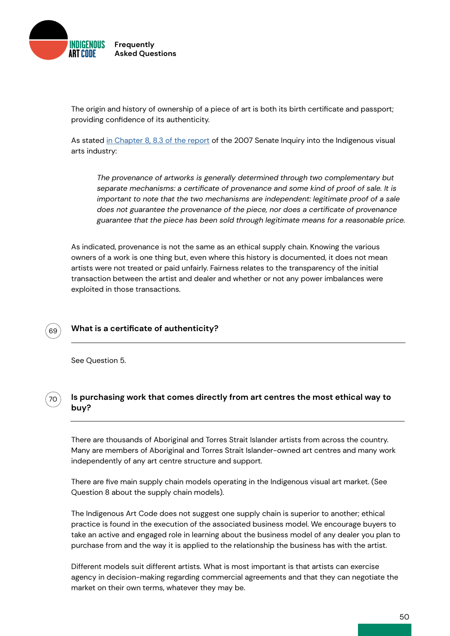

The origin and history of ownership of a piece of art is both its birth certificate and passport; providing confidence of its authenticity.

As stated [in Chapter 8, 8.3 of the report](http://) of the 2007 Senate Inquiry into the Indigenous visual arts industry:

*The provenance of artworks is generally determined through two complementary but separate mechanisms: a certificate of provenance and some kind of proof of sale. It is important to note that the two mechanisms are independent: legitimate proof of a sale does not guarantee the provenance of the piece, nor does a certificate of provenance guarantee that the piece has been sold through legitimate means for a reasonable price.*

As indicated, provenance is not the same as an ethical supply chain. Knowing the various owners of a work is one thing but, even where this history is documented, it does not mean artists were not treated or paid unfairly. Fairness relates to the transparency of the initial transaction between the artist and dealer and whether or not any power imbalances were exploited in those transactions.

# **What is a certificate of authenticity?**

See Question 5.



69

# **Is purchasing work that comes directly from art centres the most ethical way to buy?**

There are thousands of Aboriginal and Torres Strait Islander artists from across the country. Many are members of Aboriginal and Torres Strait Islander-owned art centres and many work independently of any art centre structure and support.

There are five main supply chain models operating in the Indigenous visual art market. (See Question 8 about the supply chain models).

The Indigenous Art Code does not suggest one supply chain is superior to another; ethical practice is found in the execution of the associated business model. We encourage buyers to take an active and engaged role in learning about the business model of any dealer you plan to purchase from and the way it is applied to the relationship the business has with the artist.

Different models suit different artists. What is most important is that artists can exercise agency in decision-making regarding commercial agreements and that they can negotiate the market on their own terms, whatever they may be.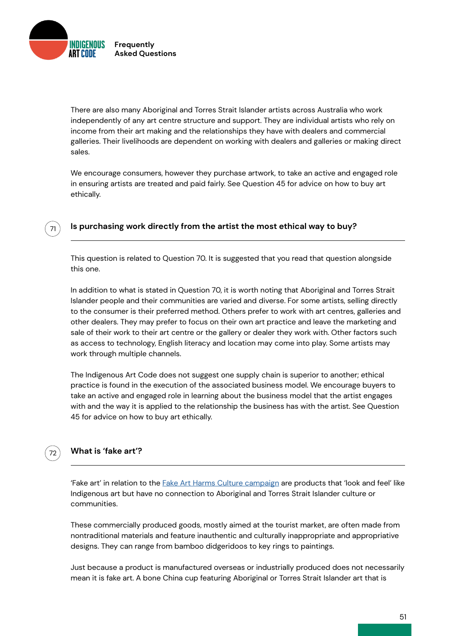INDIGENOUS **Frequently Asked Questions**

71

72

There are also many Aboriginal and Torres Strait Islander artists across Australia who work independently of any art centre structure and support. They are individual artists who rely on income from their art making and the relationships they have with dealers and commercial galleries. Their livelihoods are dependent on working with dealers and galleries or making direct sales.

We encourage consumers, however they purchase artwork, to take an active and engaged role in ensuring artists are treated and paid fairly. See Question 45 for advice on how to buy art ethically.

# **Is purchasing work directly from the artist the most ethical way to buy?**

This question is related to Question 70. It is suggested that you read that question alongside this one.

In addition to what is stated in Question 70, it is worth noting that Aboriginal and Torres Strait Islander people and their communities are varied and diverse. For some artists, selling directly to the consumer is their preferred method. Others prefer to work with art centres, galleries and other dealers. They may prefer to focus on their own art practice and leave the marketing and sale of their work to their art centre or the gallery or dealer they work with. Other factors such as access to technology, English literacy and location may come into play. Some artists may work through multiple channels.

The Indigenous Art Code does not suggest one supply chain is superior to another; ethical practice is found in the execution of the associated business model. We encourage buyers to take an active and engaged role in learning about the business model that the artist engages with and the way it is applied to the relationship the business has with the artist. See Question 45 for advice on how to buy art ethically.

# **What is 'fake art'?**

'Fake art' in relation to the [Fake Art Harms Culture campaign](https://indigenousartcode.org/fake-art-harms-culture/) are products that 'look and feel' like Indigenous art but have no connection to Aboriginal and Torres Strait Islander culture or communities.

These commercially produced goods, mostly aimed at the tourist market, are often made from nontraditional materials and feature inauthentic and culturally inappropriate and appropriative designs. They can range from bamboo didgeridoos to key rings to paintings.

Just because a product is manufactured overseas or industrially produced does not necessarily mean it is fake art. A bone China cup featuring Aboriginal or Torres Strait Islander art that is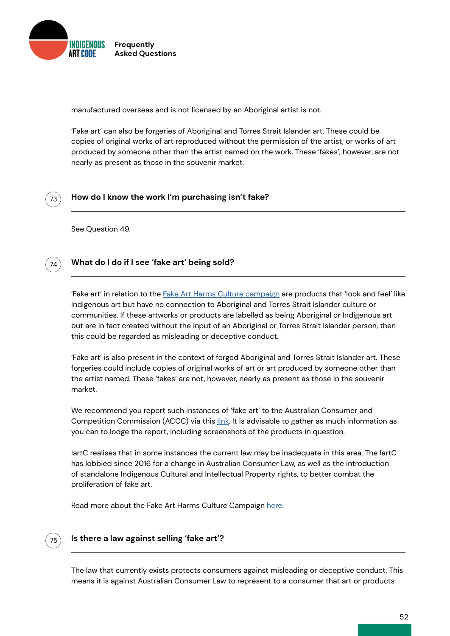

manufactured overseas and is not licensed by an Aboriginal artist is not.

'Fake art' can also be forgeries of Aboriginal and Torres Strait Islander art. These could be copies of original works of art reproduced without the permission of the artist, or works of art produced by someone other than the artist named on the work. These 'fakes', however, are not nearly as present as those in the souvenir market.



### **How do I know the work I'm purchasing isn't fake?**

See Question 49.



# **What do I do if I see 'fake art' being sold?**

'Fake art' in relation to the [Fake Art Harms Culture campaign](https://indigenousartcode.org/fake-art-harms-culture/) are products that 'look and feel' like Indigenous art but have no connection to Aboriginal and Torres Strait Islander culture or communities. If these artworks or products are labelled as being Aboriginal or Indigenous art but are in fact created without the input of an Aboriginal or Torres Strait Islander person, then this could be regarded as misleading or deceptive conduct.

'Fake art' is also present in the context of forged Aboriginal and Torres Strait Islander art. These forgeries could include copies of original works of art or art produced by someone other than the artist named. These 'fakes' are not, however, nearly as present as those in the souvenir market.

We recommend you report such instances of 'fake art' to the Australian Consumer and Competition Commission (ACCC) via this [link](http://). It is advisable to gather as much information as you can to lodge the report, including screenshots of the products in question.

IartC realises that in some instances the current law may be inadequate in this area. The IartC has lobbied since 2016 for a change in Australian Consumer Law, as well as the introduction of standalone Indigenous Cultural and Intellectual Property rights, to better combat the proliferation of fake art.

Read more about the Fake Art Harms Culture Campaign [here.](https://indigenousartcode.org/fake-art-harms-culture/)



### **Is there a law against selling 'fake art'?**

The law that currently exists protects consumers against misleading or deceptive conduct. This means it is against Australian Consumer Law to represent to a consumer that art or products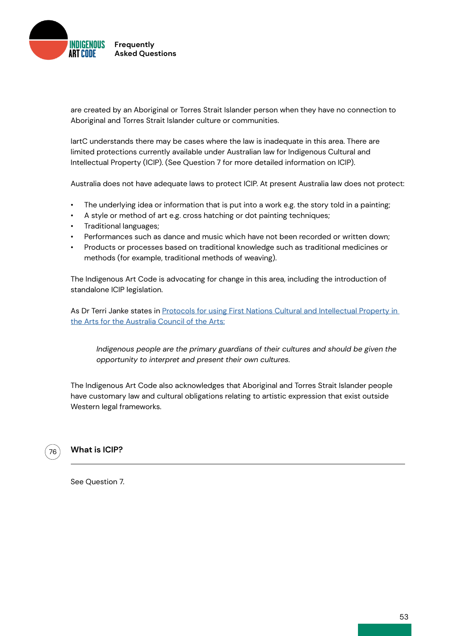

are created by an Aboriginal or Torres Strait Islander person when they have no connection to Aboriginal and Torres Strait Islander culture or communities.

IartC understands there may be cases where the law is inadequate in this area. There are limited protections currently available under Australian law for Indigenous Cultural and Intellectual Property (ICIP). (See Question 7 for more detailed information on ICIP).

Australia does not have adequate laws to protect ICIP. At present Australia law does not protect:

- The underlying idea or information that is put into a work e.g. the story told in a painting;
- A style or method of art e.g. cross hatching or dot painting techniques;
- Traditional languages;
- Performances such as dance and music which have not been recorded or written down;
- Products or processes based on traditional knowledge such as traditional medicines or methods (for example, traditional methods of weaving).

The Indigenous Art Code is advocating for change in this area, including the introduction of standalone ICIP legislation.

As Dr Terri Janke states in Protocols for using First Nations Cultural and Intellectual Property in [the Arts for the Australia Council of the Arts:](https://australiacouncil.gov.au/investment-and-development/protocols-and-resources/protocols-for-using-first-nations-cultural-and-intellectual-property-in-the-arts/)

*Indigenous people are the primary guardians of their cultures and should be given the opportunity to interpret and present their own cultures.*

The Indigenous Art Code also acknowledges that Aboriginal and Torres Strait Islander people have customary law and cultural obligations relating to artistic expression that exist outside Western legal frameworks.



### **What is ICIP?**

See Question 7.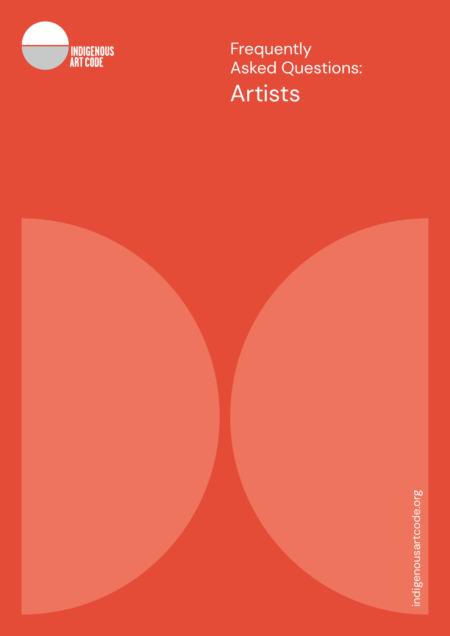

**Frequently** Asked Questions: Artists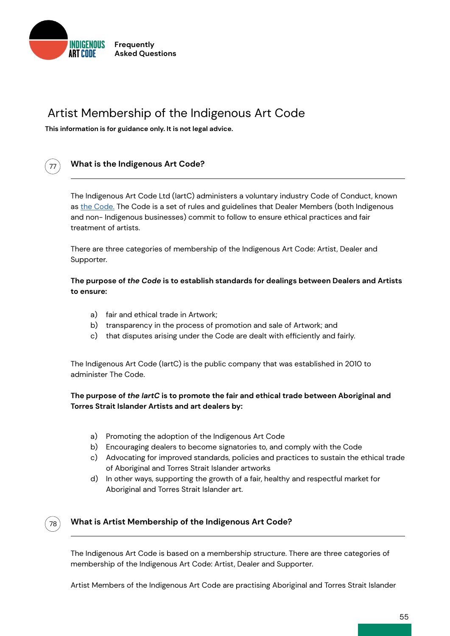

# Artist Membership of the Indigenous Art Code

**This information is for guidance only. It is not legal advice.**



# **What is the Indigenous Art Code?**

The Indigenous Art Code Ltd (IartC) administers a voluntary industry Code of Conduct, known as [the Code.](http://indigenousartcode.org/wp-content/uploads/2021/09/Indigenous-Art-Code.pdf) The Code is a set of rules and guidelines that Dealer Members (both Indigenous and non- Indigenous businesses) commit to follow to ensure ethical practices and fair treatment of artists.

There are three categories of membership of the Indigenous Art Code: Artist, Dealer and Supporter.

# **The purpose of** *the Code* **is to establish standards for dealings between Dealers and Artists to ensure:**

- a) fair and ethical trade in Artwork;
- b) transparency in the process of promotion and sale of Artwork; and
- that disputes arising under the Code are dealt with efficiently and fairly. c)

The Indigenous Art Code (IartC) is the public company that was established in 2010 to administer The Code.

# **The purpose of** *the IartC* **is to promote the fair and ethical trade between Aboriginal and Torres Strait Islander Artists and art dealers by:**

- a) Promoting the adoption of the Indigenous Art Code
- b) Encouraging dealers to become signatories to, and comply with the Code
- c) Advocating for improved standards, policies and practices to sustain the ethical trade of Aboriginal and Torres Strait Islander artworks
- d) In other ways, supporting the growth of a fair, healthy and respectful market for Aboriginal and Torres Strait Islander art.



# **What is Artist Membership of the Indigenous Art Code?**

The Indigenous Art Code is based on a membership structure. There are three categories of membership of the Indigenous Art Code: Artist, Dealer and Supporter.

Artist Members of the Indigenous Art Code are practising Aboriginal and Torres Strait Islander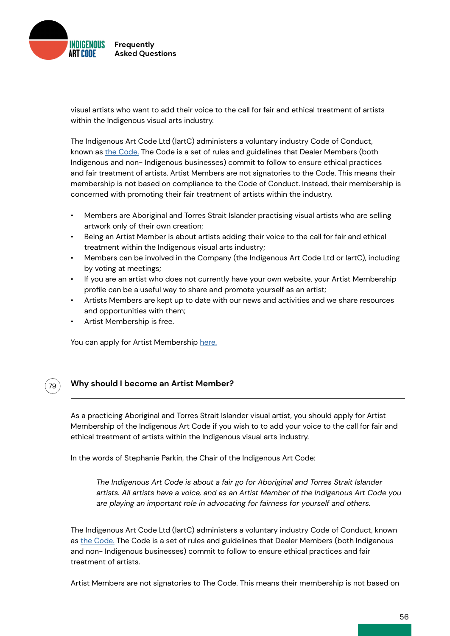

visual artists who want to add their voice to the call for fair and ethical treatment of artists within the Indigenous visual arts industry.

The Indigenous Art Code Ltd (IartC) administers a voluntary industry Code of Conduct, known as [the Code.](http://indigenousartcode.org/wp-content/uploads/2021/09/Indigenous-Art-Code.pdf) The Code is a set of rules and guidelines that Dealer Members (both Indigenous and non- Indigenous businesses) commit to follow to ensure ethical practices and fair treatment of artists. Artist Members are not signatories to the Code. This means their membership is not based on compliance to the Code of Conduct. Instead, their membership is concerned with promoting their fair treatment of artists within the industry.

- Members are Aboriginal and Torres Strait Islander practising visual artists who are selling artwork only of their own creation;
- Being an Artist Member is about artists adding their voice to the call for fair and ethical treatment within the Indigenous visual arts industry;
- Members can be involved in the Company (the Indigenous Art Code Ltd or IartC), including by voting at meetings;
- If you are an artist who does not currently have your own website, your Artist Membership profile can be a useful way to share and promote yourself as an artist;
- Artists Members are kept up to date with our news and activities and we share resources and opportunities with them;
- Artist Membership is free.

79

You can apply for Artist Membership [here.](https://indigenousartcode.org/become-a-member-or-supporter/)

# **Why should I become an Artist Member?**

As a practicing Aboriginal and Torres Strait Islander visual artist, you should apply for Artist Membership of the Indigenous Art Code if you wish to to add your voice to the call for fair and ethical treatment of artists within the Indigenous visual arts industry.

In the words of Stephanie Parkin, the Chair of the Indigenous Art Code:

*The Indigenous Art Code is about a fair go for Aboriginal and Torres Strait Islander artists. All artists have a voice, and as an Artist Member of the Indigenous Art Code you are playing an important role in advocating for fairness for yourself and others.*

The Indigenous Art Code Ltd (IartC) administers a voluntary industry Code of Conduct, known as [the Code.](http://indigenousartcode.org/wp-content/uploads/2021/09/Indigenous-Art-Code.pdf) The Code is a set of rules and guidelines that Dealer Members (both Indigenous and non- Indigenous businesses) commit to follow to ensure ethical practices and fair treatment of artists.

Artist Members are not signatories to The Code. This means their membership is not based on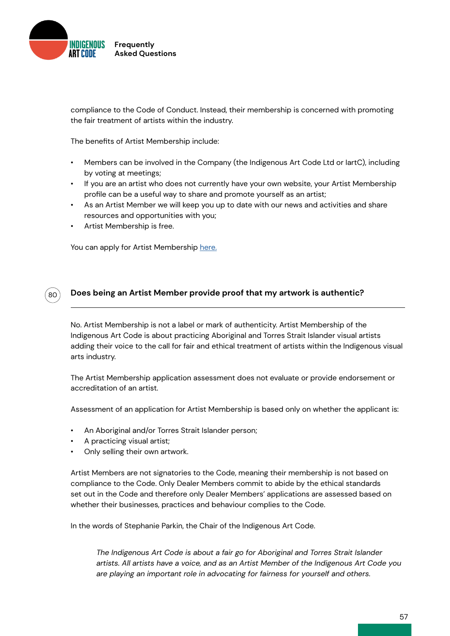

compliance to the Code of Conduct. Instead, their membership is concerned with promoting the fair treatment of artists within the industry.

The benefits of Artist Membership include:

- Members can be involved in the Company (the Indigenous Art Code Ltd or IartC), including by voting at meetings;
- If you are an artist who does not currently have your own website, your Artist Membership profile can be a useful way to share and promote yourself as an artist;
- As an Artist Member we will keep you up to date with our news and activities and share resources and opportunities with you;
- Artist Membership is free.

 $80$ 

You can apply for Artist Membership [here.](https://indigenousartcode.org/become-a-member-or-supporter/)

### **Does being an Artist Member provide proof that my artwork is authentic?**

No. Artist Membership is not a label or mark of authenticity. Artist Membership of the Indigenous Art Code is about practicing Aboriginal and Torres Strait Islander visual artists adding their voice to the call for fair and ethical treatment of artists within the Indigenous visual arts industry.

The Artist Membership application assessment does not evaluate or provide endorsement or accreditation of an artist.

Assessment of an application for Artist Membership is based only on whether the applicant is:

- An Aboriginal and/or Torres Strait Islander person;
- A practicing visual artist;
- Only selling their own artwork.

Artist Members are not signatories to the Code, meaning their membership is not based on compliance to the Code. Only Dealer Members commit to abide by the ethical standards set out in the Code and therefore only Dealer Members' applications are assessed based on whether their businesses, practices and behaviour complies to the Code.

In the words of Stephanie Parkin, the Chair of the Indigenous Art Code.

*The Indigenous Art Code is about a fair go for Aboriginal and Torres Strait Islander artists. All artists have a voice, and as an Artist Member of the Indigenous Art Code you are playing an important role in advocating for fairness for yourself and others.*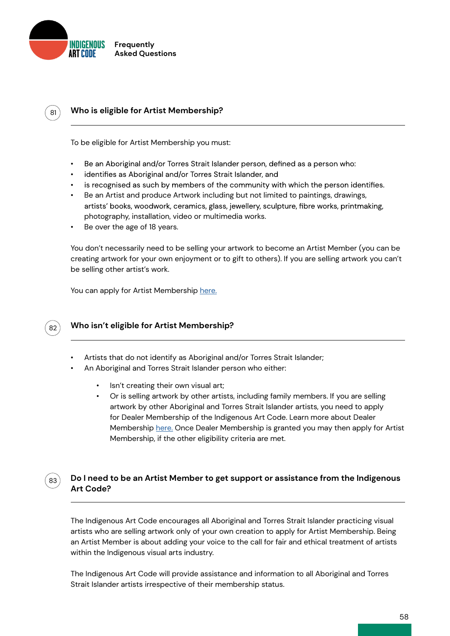

# **Who is eligible for Artist Membership?**

To be eligible for Artist Membership you must:

- Be an Aboriginal and/or Torres Strait Islander person, defined as a person who: •
- identifies as Aboriginal and/or Torres Strait Islander, and
- is recognised as such by members of the community with which the person identifies. •
- Be an Artist and produce Artwork including but not limited to paintings, drawings, artists' books, woodwork, ceramics, glass, jewellery, sculpture, fibre works, printmaking, photography, installation, video or multimedia works.
- Be over the age of 18 years.

You don't necessarily need to be selling your artwork to become an Artist Member (you can be creating artwork for your own enjoyment or to gift to others). If you are selling artwork you can't be selling other artist's work.

You can apply for Artist Membership [here.](https://indigenousartcode.org/become-a-member-or-supporter/)



83

81

### **Who isn't eligible for Artist Membership?**

- Artists that do not identify as Aboriginal and/or Torres Strait Islander;
- An Aboriginal and Torres Strait Islander person who either:
	- Isn't creating their own visual art;
	- Or is selling artwork by other artists, including family members. If you are selling artwork by other Aboriginal and Torres Strait Islander artists, you need to apply for Dealer Membership of the Indigenous Art Code. Learn more about Dealer Membership [here.](https://indigenousartcode.org/become-a-member-or-supporter/) Once Dealer Membership is granted you may then apply for Artist Membership, if the other eligibility criteria are met.

# **Do I need to be an Artist Member to get support or assistance from the Indigenous Art Code?**

The Indigenous Art Code encourages all Aboriginal and Torres Strait Islander practicing visual artists who are selling artwork only of your own creation to apply for Artist Membership. Being an Artist Member is about adding your voice to the call for fair and ethical treatment of artists within the Indigenous visual arts industry.

The Indigenous Art Code will provide assistance and information to all Aboriginal and Torres Strait Islander artists irrespective of their membership status.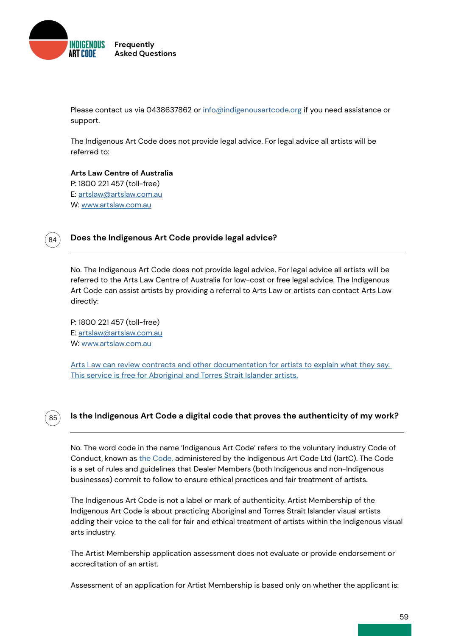

Please contact us via 0438637862 or [info@indigenousartcode.org](mailto:info%40indigenousartcode.org?subject=) if you need assistance or support.

The Indigenous Art Code does not provide legal advice. For legal advice all artists will be referred to:

**Arts Law Centre of Australia** P: 1800 221 457 (toll-free) E: [artslaw@artslaw.com.au](mailto:artslaw%40artslaw.com.au?subject=) W: [www.artslaw.com.au](http://www.artslaw.com.au)



### **Does the Indigenous Art Code provide legal advice?**

No. The Indigenous Art Code does not provide legal advice. For legal advice all artists will be referred to the Arts Law Centre of Australia for low-cost or free legal advice. The Indigenous Art Code can assist artists by providing a referral to Arts Law or artists can contact Arts Law directly:

P: 1800 221 457 (toll-free) E: [artslaw@artslaw.com.au](mailto:artslaw%40artslaw.com.au?subject=) W: [www.artslaw.com.au](http://www.artslaw.com.au)

[Arts Law can review contracts and other documentation for artists to explain what they say.](http://)  [This service is free for Aboriginal and Torres Strait Islander artists.](http://)

# 85

# **Is the Indigenous Art Code a digital code that proves the authenticity of my work?**

No. The word code in the name 'Indigenous Art Code' refers to the voluntary industry Code of Conduct, known as [the Code,](http://) administered by the Indigenous Art Code Ltd (IartC). The Code is a set of rules and guidelines that Dealer Members (both Indigenous and non-Indigenous businesses) commit to follow to ensure ethical practices and fair treatment of artists.

The Indigenous Art Code is not a label or mark of authenticity. Artist Membership of the Indigenous Art Code is about practicing Aboriginal and Torres Strait Islander visual artists adding their voice to the call for fair and ethical treatment of artists within the Indigenous visual arts industry.

The Artist Membership application assessment does not evaluate or provide endorsement or accreditation of an artist.

Assessment of an application for Artist Membership is based only on whether the applicant is: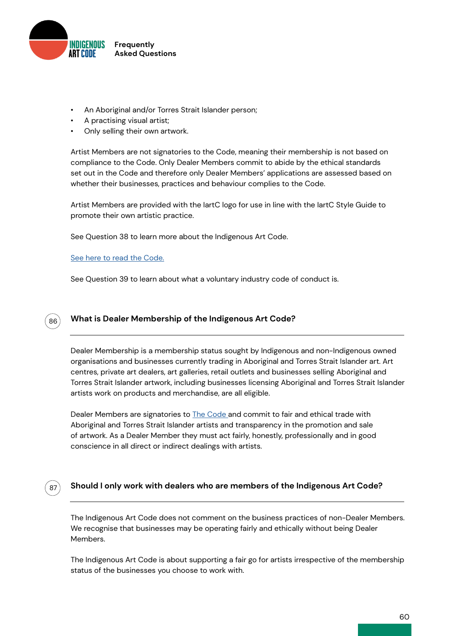

- An Aboriginal and/or Torres Strait Islander person;
- A practising visual artist;
- Only selling their own artwork.

Artist Members are not signatories to the Code, meaning their membership is not based on compliance to the Code. Only Dealer Members commit to abide by the ethical standards set out in the Code and therefore only Dealer Members' applications are assessed based on whether their businesses, practices and behaviour complies to the Code.

Artist Members are provided with the IartC logo for use in line with the IartC Style Guide to promote their own artistic practice.

See Question 38 to learn more about the Indigenous Art Code.

### [See here to read the Code.](http://)

87

See Question 39 to learn about what a voluntary industry code of conduct is.

#### **What is Dealer Membership of the Indigenous Art Code?** 86

Dealer Membership is a membership status sought by Indigenous and non-Indigenous owned organisations and businesses currently trading in Aboriginal and Torres Strait Islander art. Art centres, private art dealers, art galleries, retail outlets and businesses selling Aboriginal and Torres Strait Islander artwork, including businesses licensing Aboriginal and Torres Strait Islander artists work on products and merchandise, are all eligible.

Dealer Members are signatories to [The Code a](http://)nd commit to fair and ethical trade with Aboriginal and Torres Strait Islander artists and transparency in the promotion and sale of artwork. As a Dealer Member they must act fairly, honestly, professionally and in good conscience in all direct or indirect dealings with artists.

# **Should I only work with dealers who are members of the Indigenous Art Code?**

The Indigenous Art Code does not comment on the business practices of non-Dealer Members. We recognise that businesses may be operating fairly and ethically without being Dealer Members.

The Indigenous Art Code is about supporting a fair go for artists irrespective of the membership status of the businesses you choose to work with.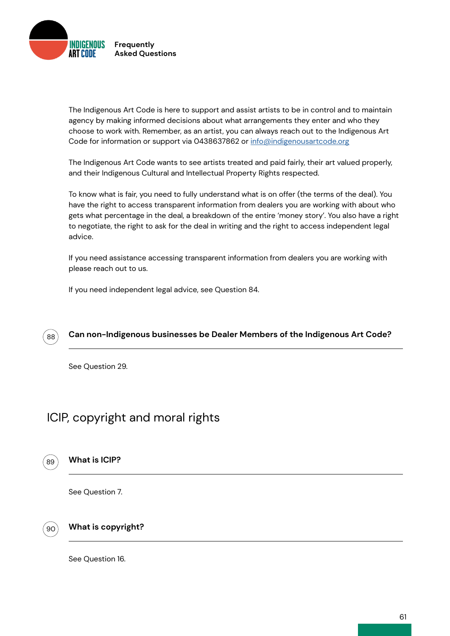

The Indigenous Art Code is here to support and assist artists to be in control and to maintain agency by making informed decisions about what arrangements they enter and who they choose to work with. Remember, as an artist, you can always reach out to the Indigenous Art Code for information or support via 0438637862 or [info@indigenousartcode.org](mailto:info%40indigenousartcode.org?subject=)

The Indigenous Art Code wants to see artists treated and paid fairly, their art valued properly, and their Indigenous Cultural and Intellectual Property Rights respected.

To know what is fair, you need to fully understand what is on offer (the terms of the deal). You have the right to access transparent information from dealers you are working with about who gets what percentage in the deal, a breakdown of the entire 'money story'. You also have a right to negotiate, the right to ask for the deal in writing and the right to access independent legal advice.

If you need assistance accessing transparent information from dealers you are working with please reach out to us.

If you need independent legal advice, see Question 84.



See Question 29.

# ICIP, copyright and moral rights

89

# **What is ICIP?**

See Question 7.

90

# **What is copyright?**

See Question 16.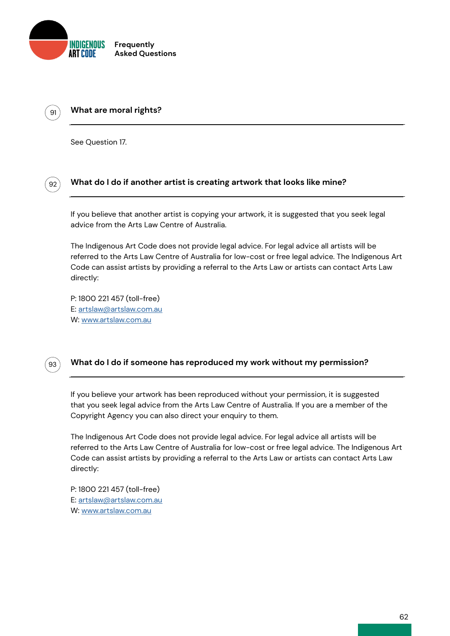

# **What are moral rights?**

See Question 17.

 $91$ 

92

# **What do I do if another artist is creating artwork that looks like mine?**

If you believe that another artist is copying your artwork, it is suggested that you seek legal advice from the Arts Law Centre of Australia.

The Indigenous Art Code does not provide legal advice. For legal advice all artists will be referred to the Arts Law Centre of Australia for low-cost or free legal advice. The Indigenous Art Code can assist artists by providing a referral to the Arts Law or artists can contact Arts Law directly:

P: 1800 221 457 (toll-free) E: [artslaw@artslaw.com.au](mailto:artslaw%40artslaw.com.au?subject=) W: [www.artslaw.com.au](http://www.artslaw.com.au)



# **What do I do if someone has reproduced my work without my permission?**

If you believe your artwork has been reproduced without your permission, it is suggested that you seek legal advice from the Arts Law Centre of Australia. If you are a member of the Copyright Agency you can also direct your enquiry to them.

The Indigenous Art Code does not provide legal advice. For legal advice all artists will be referred to the Arts Law Centre of Australia for low-cost or free legal advice. The Indigenous Art Code can assist artists by providing a referral to the Arts Law or artists can contact Arts Law directly:

P: 1800 221 457 (toll-free) E: [artslaw@artslaw.com.au](mailto:artslaw%40artslaw.com.au?subject=) W: [www.artslaw.com.au](http://www.artslaw.com.au)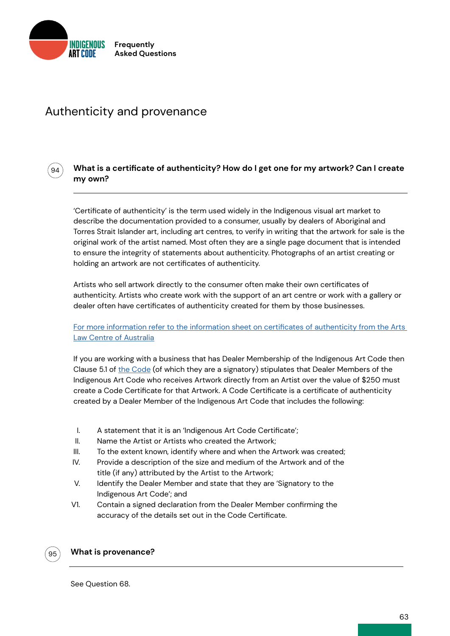

94

# Authenticity and provenance

# **What is a certificate of authenticity? How do I get one for my artwork? Can I create my own?**

'Certificate of authenticity' is the term used widely in the Indigenous visual art market to describe the documentation provided to a consumer, usually by dealers of Aboriginal and Torres Strait Islander art, including art centres, to verify in writing that the artwork for sale is the original work of the artist named. Most often they are a single page document that is intended to ensure the integrity of statements about authenticity. Photographs of an artist creating or holding an artwork are not certificates of authenticity.

Artists who sell artwork directly to the consumer often make their own certificates of authenticity. Artists who create work with the support of an art centre or work with a gallery or dealer often have certificates of authenticity created for them by those businesses.

# [For more information refer to the information sheet on certificates of authenticity from the Arts](http://)  [Law Centre of Australia](http://)

If you are working with a business that has Dealer Membership of the Indigenous Art Code then Clause 5.1 of [the Code](http://indigenousartcode.org/wp-content/uploads/2021/09/Indigenous-Art-Code.pdf) (of which they are a signatory) stipulates that Dealer Members of the Indigenous Art Code who receives Artwork directly from an Artist over the value of \$250 must create a Code Certificate for that Artwork. A Code Certificate is a certificate of authenticity created by a Dealer Member of the Indigenous Art Code that includes the following:

- I. A statement that it is an 'Indigenous Art Code Certificate';
- II. Name the Artist or Artists who created the Artwork;
- III. To the extent known, identify where and when the Artwork was created;
- IV. Provide a description of the size and medium of the Artwork and of the title (if any) attributed by the Artist to the Artwork;
- V. Identify the Dealer Member and state that they are 'Signatory to the Indigenous Art Code'; and
- V1. Contain a signed declaration from the Dealer Member confirming the accuracy of the details set out in the Code Certificate.



### **What is provenance?**

See Question 68.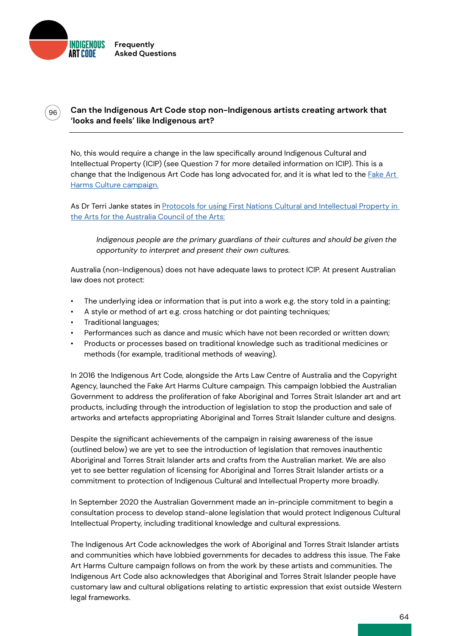

 $\degree$ 96 $\degree$ 

# **Can the Indigenous Art Code stop non-Indigenous artists creating artwork that 'looks and feels' like Indigenous art?**

No, this would require a change in the law specifically around Indigenous Cultural and Intellectual Property (ICIP) (see Question 7 for more detailed information on ICIP). This is a change that the Indigenous Art Code has long advocated for, and it is what led to the **Fake Art** [Harms Culture campaign.](https://indigenousartcode.org/fake-art-harms-culture/)

As Dr Terri Janke states in Protocols for using First Nations Cultural and Intellectual Property in [the Arts for the Australia Council of the Arts:](https://australiacouncil.gov.au/investment-and-development/protocols-and-resources/protocols-for-using-first-nations-cultural-and-intellectual-property-in-the-arts/)

*Indigenous people are the primary guardians of their cultures and should be given the opportunity to interpret and present their own cultures.*

Australia (non-Indigenous) does not have adequate laws to protect ICIP. At present Australian law does not protect:

- The underlying idea or information that is put into a work e.g. the story told in a painting;
- A style or method of art e.g. cross hatching or dot painting techniques;
- Traditional languages;
- Performances such as dance and music which have not been recorded or written down;
- Products or processes based on traditional knowledge such as traditional medicines or methods (for example, traditional methods of weaving).

In 2016 the Indigenous Art Code, alongside the Arts Law Centre of Australia and the Copyright Agency, launched the Fake Art Harms Culture campaign. This campaign lobbied the Australian Government to address the proliferation of fake Aboriginal and Torres Strait Islander art and art products, including through the introduction of legislation to stop the production and sale of artworks and artefacts appropriating Aboriginal and Torres Strait Islander culture and designs.

Despite the significant achievements of the campaign in raising awareness of the issue (outlined below) we are yet to see the introduction of legislation that removes inauthentic Aboriginal and Torres Strait Islander arts and crafts from the Australian market. We are also yet to see better regulation of licensing for Aboriginal and Torres Strait Islander artists or a commitment to protection of Indigenous Cultural and Intellectual Property more broadly.

In September 2020 the Australian Government made an in-principle commitment to begin a consultation process to develop stand-alone legislation that would protect Indigenous Cultural Intellectual Property, including traditional knowledge and cultural expressions.

The Indigenous Art Code acknowledges the work of Aboriginal and Torres Strait Islander artists and communities which have lobbied governments for decades to address this issue. The Fake Art Harms Culture campaign follows on from the work by these artists and communities. The Indigenous Art Code also acknowledges that Aboriginal and Torres Strait Islander people have customary law and cultural obligations relating to artistic expression that exist outside Western legal frameworks.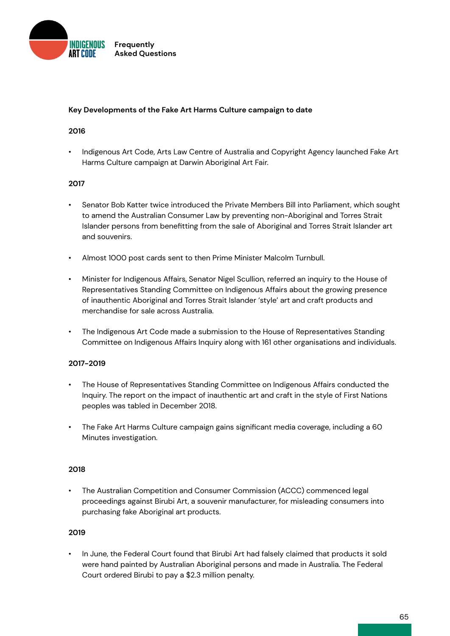

### **Key Developments of the Fake Art Harms Culture campaign to date**

### **2016**

• Indigenous Art Code, Arts Law Centre of Australia and Copyright Agency launched Fake Art Harms Culture campaign at Darwin Aboriginal Art Fair.

### **2017**

- Senator Bob Katter twice introduced the Private Members Bill into Parliament, which sought to amend the Australian Consumer Law by preventing non-Aboriginal and Torres Strait Islander persons from benefitting from the sale of Aboriginal and Torres Strait Islander art and souvenirs.
- Almost 1000 post cards sent to then Prime Minister Malcolm Turnbull.
- Minister for Indigenous Affairs, Senator Nigel Scullion, referred an inquiry to the House of Representatives Standing Committee on Indigenous Affairs about the growing presence of inauthentic Aboriginal and Torres Strait Islander 'style' art and craft products and merchandise for sale across Australia.
- The Indigenous Art Code made a submission to the House of Representatives Standing Committee on Indigenous Affairs Inquiry along with 161 other organisations and individuals.

# **2017-2019**

- The House of Representatives Standing Committee on Indigenous Affairs conducted the Inquiry. The report on the impact of inauthentic art and craft in the style of First Nations peoples was tabled in December 2018.
- The Fake Art Harms Culture campaign gains significant media coverage, including a 60 Minutes investigation.

### **2018**

• The Australian Competition and Consumer Commission (ACCC) commenced legal proceedings against Birubi Art, a souvenir manufacturer, for misleading consumers into purchasing fake Aboriginal art products.

### **2019**

• In June, the Federal Court found that Birubi Art had falsely claimed that products it sold were hand painted by Australian Aboriginal persons and made in Australia. The Federal Court ordered Birubi to pay a \$2.3 million penalty.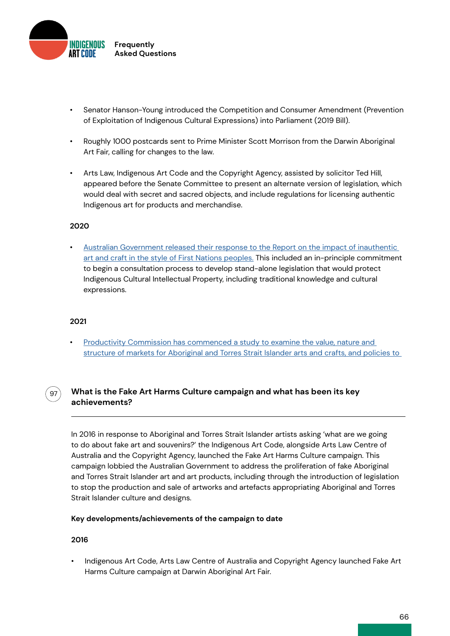

- Senator Hanson-Young introduced the Competition and Consumer Amendment (Prevention of Exploitation of Indigenous Cultural Expressions) into Parliament (2019 Bill).
- Roughly 1000 postcards sent to Prime Minister Scott Morrison from the Darwin Aboriginal Art Fair, calling for changes to the law.
- Arts Law, Indigenous Art Code and the Copyright Agency, assisted by solicitor Ted Hill, appeared before the Senate Committee to present an alternate version of legislation, which would deal with secret and sacred objects, and include regulations for licensing authentic Indigenous art for products and merchandise.

# **2020**

• [Australian Government released their response to the Report on the impact of inauthentic](https://www.arts.gov.au/documents/australian-government-response-house-representatives-standing-committee-indigenous-affairs-report)  [art and craft in the style of First Nations peoples.](https://www.arts.gov.au/documents/australian-government-response-house-representatives-standing-committee-indigenous-affairs-report) This included an in-principle commitment to begin a consultation process to develop stand-alone legislation that would protect Indigenous Cultural Intellectual Property, including traditional knowledge and cultural expressions.

### **2021**

97

• [Productivity Commission has commenced a study to examine the value, nature and](https://www.pc.gov.au/inquiries/current/indigenous-arts#draft)  [structure of markets for Aboriginal and Torres Strait Islander arts and crafts, and policies to](https://www.pc.gov.au/inquiries/current/indigenous-arts#draft) 

# **What is the Fake Art Harms Culture campaign and what has been its key achievements?**

In 2016 in response to Aboriginal and Torres Strait Islander artists asking 'what are we going to do about fake art and souvenirs?' the Indigenous Art Code, alongside Arts Law Centre of Australia and the Copyright Agency, launched the Fake Art Harms Culture campaign. This campaign lobbied the Australian Government to address the proliferation of fake Aboriginal and Torres Strait Islander art and art products, including through the introduction of legislation to stop the production and sale of artworks and artefacts appropriating Aboriginal and Torres Strait Islander culture and designs.

### **Key developments/achievements of the campaign to date**

### **2016**

• Indigenous Art Code, Arts Law Centre of Australia and Copyright Agency launched Fake Art Harms Culture campaign at Darwin Aboriginal Art Fair.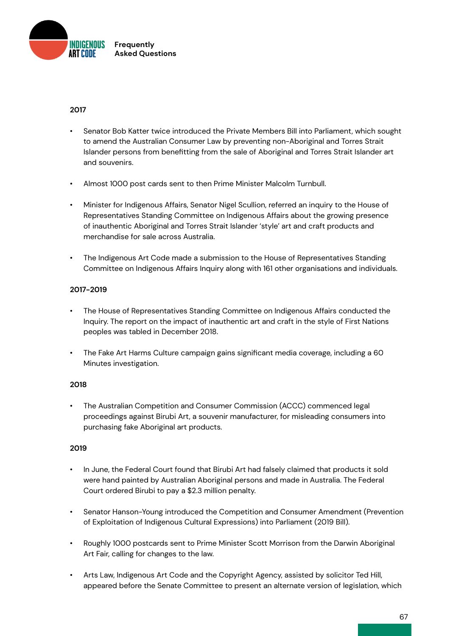

# **2017**

- Senator Bob Katter twice introduced the Private Members Bill into Parliament, which sought to amend the Australian Consumer Law by preventing non-Aboriginal and Torres Strait Islander persons from benefitting from the sale of Aboriginal and Torres Strait Islander art and souvenirs.
- Almost 1000 post cards sent to then Prime Minister Malcolm Turnbull.
- Minister for Indigenous Affairs, Senator Nigel Scullion, referred an inquiry to the House of Representatives Standing Committee on Indigenous Affairs about the growing presence of inauthentic Aboriginal and Torres Strait Islander 'style' art and craft products and merchandise for sale across Australia.
- The Indigenous Art Code made a submission to the House of Representatives Standing Committee on Indigenous Affairs Inquiry along with 161 other organisations and individuals.

# **2017-2019**

- The House of Representatives Standing Committee on Indigenous Affairs conducted the Inquiry. The report on the impact of inauthentic art and craft in the style of First Nations peoples was tabled in December 2018.
- The Fake Art Harms Culture campaign gains significant media coverage, including a 60 Minutes investigation.

# **2018**

• The Australian Competition and Consumer Commission (ACCC) commenced legal proceedings against Birubi Art, a souvenir manufacturer, for misleading consumers into purchasing fake Aboriginal art products.

# **2019**

- In June, the Federal Court found that Birubi Art had falsely claimed that products it sold were hand painted by Australian Aboriginal persons and made in Australia. The Federal Court ordered Birubi to pay a \$2.3 million penalty.
- Senator Hanson-Young introduced the Competition and Consumer Amendment (Prevention of Exploitation of Indigenous Cultural Expressions) into Parliament (2019 Bill).
- Roughly 1000 postcards sent to Prime Minister Scott Morrison from the Darwin Aboriginal Art Fair, calling for changes to the law.
- Arts Law, Indigenous Art Code and the Copyright Agency, assisted by solicitor Ted Hill, appeared before the Senate Committee to present an alternate version of legislation, which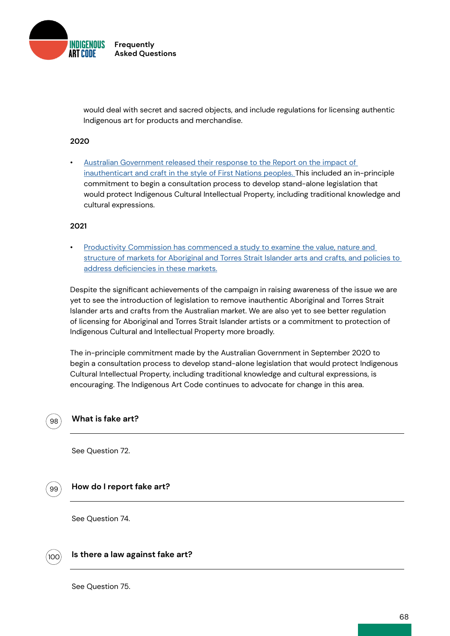

would deal with secret and sacred objects, and include regulations for licensing authentic Indigenous art for products and merchandise.

### **2020**

• [Australian Government released their response to the Report on the impact of](https://www.arts.gov.au/documents/australian-government-response-house-representatives-standing-committee-indigenous-affairs-report)  [inauthenticart and craft in the style of First Nations peoples. T](https://www.arts.gov.au/documents/australian-government-response-house-representatives-standing-committee-indigenous-affairs-report)his included an in-principle commitment to begin a consultation process to develop stand-alone legislation that would protect Indigenous Cultural Intellectual Property, including traditional knowledge and cultural expressions.

### **2021**

• [Productivity Commission has commenced a study to examine the value, nature and](http://)  [structure of markets for Aboriginal and Torres Strait Islander arts and crafts, and policies to](http://)  [address deficiencies in these markets.](http://)

Despite the significant achievements of the campaign in raising awareness of the issue we are yet to see the introduction of legislation to remove inauthentic Aboriginal and Torres Strait Islander arts and crafts from the Australian market. We are also yet to see better regulation of licensing for Aboriginal and Torres Strait Islander artists or a commitment to protection of Indigenous Cultural and Intellectual Property more broadly.

The in-principle commitment made by the Australian Government in September 2020 to begin a consultation process to develop stand-alone legislation that would protect Indigenous Cultural Intellectual Property, including traditional knowledge and cultural expressions, is encouraging. The Indigenous Art Code continues to advocate for change in this area.

### **What is fake art?**

See Question 72.

99

98

### **How do I report fake art?**

See Question 74.



# **Is there a law against fake art?**

See Question 75.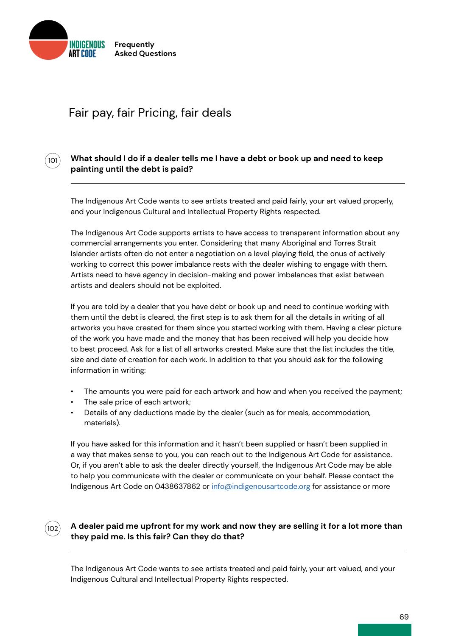

101

# Fair pay, fair Pricing, fair deals

# **What should I do if a dealer tells me I have a debt or book up and need to keep painting until the debt is paid?**

The Indigenous Art Code wants to see artists treated and paid fairly, your art valued properly, and your Indigenous Cultural and Intellectual Property Rights respected.

The Indigenous Art Code supports artists to have access to transparent information about any commercial arrangements you enter. Considering that many Aboriginal and Torres Strait Islander artists often do not enter a negotiation on a level playing field, the onus of actively working to correct this power imbalance rests with the dealer wishing to engage with them. Artists need to have agency in decision-making and power imbalances that exist between artists and dealers should not be exploited.

If you are told by a dealer that you have debt or book up and need to continue working with them until the debt is cleared, the first step is to ask them for all the details in writing of all artworks you have created for them since you started working with them. Having a clear picture of the work you have made and the money that has been received will help you decide how to best proceed. Ask for a list of all artworks created. Make sure that the list includes the title, size and date of creation for each work. In addition to that you should ask for the following information in writing:

- The amounts you were paid for each artwork and how and when you received the payment;
- The sale price of each artwork:
- Details of any deductions made by the dealer (such as for meals, accommodation, materials).

If you have asked for this information and it hasn't been supplied or hasn't been supplied in a way that makes sense to you, you can reach out to the Indigenous Art Code for assistance. Or, if you aren't able to ask the dealer directly yourself, the Indigenous Art Code may be able to help you communicate with the dealer or communicate on your behalf. Please contact the Indigenous Art Code on 0438637862 or [info@indigenousartcode.org](mailto:info%40indigenousartcode.org?subject=) for assistance or more



# **A dealer paid me upfront for my work and now they are selling it for a lot more than they paid me. Is this fair? Can they do that?**

The Indigenous Art Code wants to see artists treated and paid fairly, your art valued, and your Indigenous Cultural and Intellectual Property Rights respected.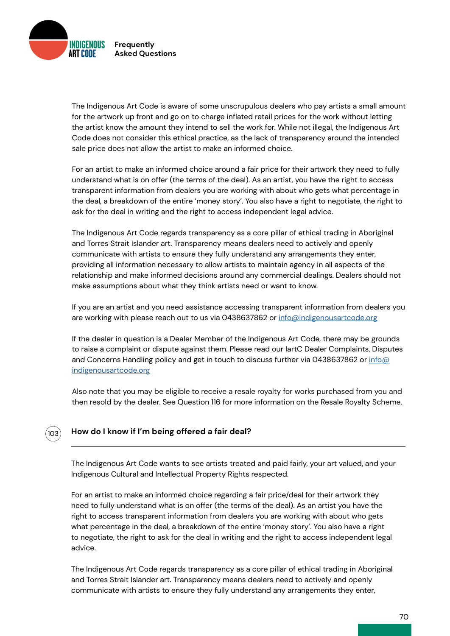

The Indigenous Art Code is aware of some unscrupulous dealers who pay artists a small amount for the artwork up front and go on to charge inflated retail prices for the work without letting the artist know the amount they intend to sell the work for. While not illegal, the Indigenous Art Code does not consider this ethical practice, as the lack of transparency around the intended sale price does not allow the artist to make an informed choice.

For an artist to make an informed choice around a fair price for their artwork they need to fully understand what is on offer (the terms of the deal). As an artist, you have the right to access transparent information from dealers you are working with about who gets what percentage in the deal, a breakdown of the entire 'money story'. You also have a right to negotiate, the right to ask for the deal in writing and the right to access independent legal advice.

The Indigenous Art Code regards transparency as a core pillar of ethical trading in Aboriginal and Torres Strait Islander art. Transparency means dealers need to actively and openly communicate with artists to ensure they fully understand any arrangements they enter, providing all information necessary to allow artists to maintain agency in all aspects of the relationship and make informed decisions around any commercial dealings. Dealers should not make assumptions about what they think artists need or want to know.

If you are an artist and you need assistance accessing transparent information from dealers you are working with please reach out to us via 0438637862 or [info@indigenousartcode.org](mailto:info%40indigenousartcode.org?subject=)

If the dealer in question is a Dealer Member of the Indigenous Art Code, there may be grounds to raise a complaint or dispute against them. Please read our IartC Dealer Complaints, Disputes and Concerns Handling policy and get in touch to discuss further via 0438637862 or info $\varpi$ [indigenousartcode.org](mailto:info%40indigenousartcode.org%20?subject=)

Also note that you may be eligible to receive a resale royalty for works purchased from you and then resold by the dealer. See Question 116 for more information on the Resale Royalty Scheme.

# $103$

# **How do I know if I'm being offered a fair deal?**

The Indigenous Art Code wants to see artists treated and paid fairly, your art valued, and your Indigenous Cultural and Intellectual Property Rights respected.

For an artist to make an informed choice regarding a fair price/deal for their artwork they need to fully understand what is on offer (the terms of the deal). As an artist you have the right to access transparent information from dealers you are working with about who gets what percentage in the deal, a breakdown of the entire 'money story'. You also have a right to negotiate, the right to ask for the deal in writing and the right to access independent legal advice.

The Indigenous Art Code regards transparency as a core pillar of ethical trading in Aboriginal and Torres Strait Islander art. Transparency means dealers need to actively and openly communicate with artists to ensure they fully understand any arrangements they enter,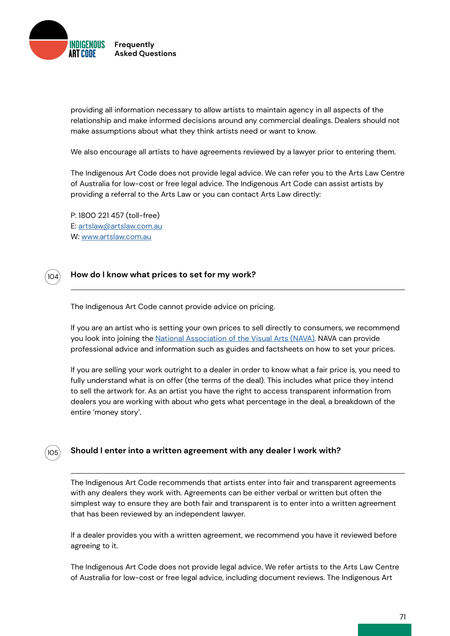

providing all information necessary to allow artists to maintain agency in all aspects of the relationship and make informed decisions around any commercial dealings. Dealers should not make assumptions about what they think artists need or want to know.

We also encourage all artists to have agreements reviewed by a lawyer prior to entering them.

The Indigenous Art Code does not provide legal advice. We can refer you to the Arts Law Centre of Australia for low-cost or free legal advice. The Indigenous Art Code can assist artists by providing a referral to the Arts Law or you can contact Arts Law directly:

P: 1800 221 457 (toll-free) E: [artslaw@artslaw.com.au](mailto:artslaw%40artslaw.com.au?subject=) W: [www.artslaw.com.au](http://www.artslaw.com.au)

 $1<sub>0</sub>4$ 

105

### **How do I know what prices to set for my work?**

The Indigenous Art Code cannot provide advice on pricing.

If you are an artist who is setting your own prices to sell directly to consumers, we recommend you look into joining the [National Association of the Visual Arts \(NAVA\)](http://). NAVA can provide professional advice and information such as guides and factsheets on how to set your prices.

If you are selling your work outright to a dealer in order to know what a fair price is, you need to fully understand what is on offer (the terms of the deal). This includes what price they intend to sell the artwork for. As an artist you have the right to access transparent information from dealers you are working with about who gets what percentage in the deal, a breakdown of the entire 'money story'.

# **Should I enter into a written agreement with any dealer I work with?**

The Indigenous Art Code recommends that artists enter into fair and transparent agreements with any dealers they work with. Agreements can be either verbal or written but often the simplest way to ensure they are both fair and transparent is to enter into a written agreement that has been reviewed by an independent lawyer.

If a dealer provides you with a written agreement, we recommend you have it reviewed before agreeing to it.

The Indigenous Art Code does not provide legal advice. We refer artists to the Arts Law Centre of Australia for low-cost or free legal advice, including document reviews. The Indigenous Art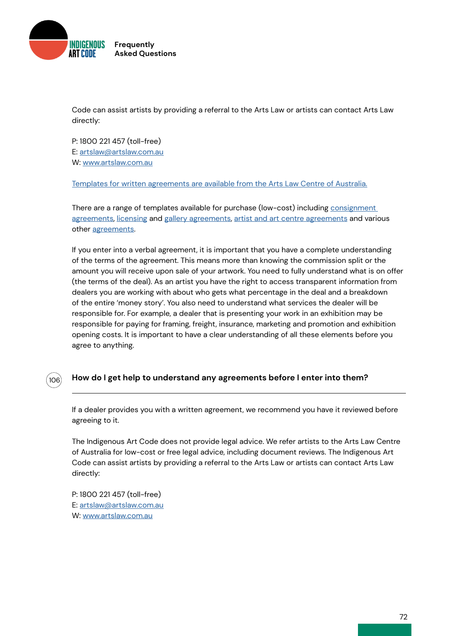

Code can assist artists by providing a referral to the Arts Law or artists can contact Arts Law directly:

P: 1800 221 457 (toll-free) E: [artslaw@artslaw.com.au](mailto:artslaw%40artslaw.com.au?subject=) W: [www.artslaw.com.au](http://www.artslaw.com.au)

[Templates for written agreements are available from the Arts Law Centre of Australia.](http://)

There are a range of templates available for purchase (low-cost) including [consignment](http://)  [agreements](http://), [licensing](http://) and [gallery agreements](https://www.artslaw.com.au/info-hub/results?i_am=anybody&looking_for=sample-agreements&about_search=anything&paginate=1&order_by=alphabetical&query=), [artist and art centre agreements](http://) and various other [agreements](http://).

If you enter into a verbal agreement, it is important that you have a complete understanding of the terms of the agreement. This means more than knowing the commission split or the amount you will receive upon sale of your artwork. You need to fully understand what is on offer (the terms of the deal). As an artist you have the right to access transparent information from dealers you are working with about who gets what percentage in the deal and a breakdown of the entire 'money story'. You also need to understand what services the dealer will be responsible for. For example, a dealer that is presenting your work in an exhibition may be responsible for paying for framing, freight, insurance, marketing and promotion and exhibition opening costs. It is important to have a clear understanding of all these elements before you agree to anything.

# **How do I get help to understand any agreements before I enter into them?**

If a dealer provides you with a written agreement, we recommend you have it reviewed before agreeing to it.

The Indigenous Art Code does not provide legal advice. We refer artists to the Arts Law Centre of Australia for low-cost or free legal advice, including document reviews. The Indigenous Art Code can assist artists by providing a referral to the Arts Law or artists can contact Arts Law directly:

P: 1800 221 457 (toll-free) E: [artslaw@artslaw.com.au](mailto:artslaw%40artslaw.com.au?subject=) W: [www.artslaw.com.au](http://www.artslaw.com.au)

106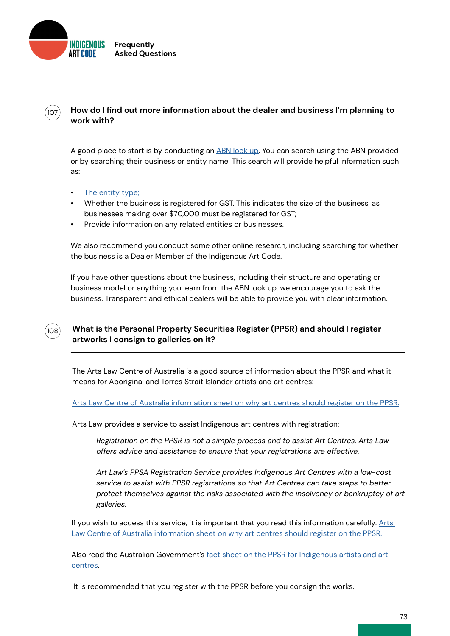

# **How do I find out more information about the dealer and business I'm planning to work with?**

A good place to start is by conducting an [ABN look up](http://). You can search using the ABN provided or by searching their business or entity name. This search will provide helpful information such as:

[The entity type;](http://)

108

 $107$ 

- Whether the business is registered for GST. This indicates the size of the business, as businesses making over \$70,000 must be registered for GST;
- Provide information on any related entities or businesses.

We also recommend you conduct some other online research, including searching for whether the business is a Dealer Member of the Indigenous Art Code.

If you have other questions about the business, including their structure and operating or business model or anything you learn from the ABN look up, we encourage you to ask the business. Transparent and ethical dealers will be able to provide you with clear information.

### **What is the Personal Property Securities Register (PPSR) and should I register artworks I consign to galleries on it?**

The Arts Law Centre of Australia is a good source of information about the PPSR and what it means for Aboriginal and Torres Strait Islander artists and art centres:

[Arts Law Centre of Australia information sheet on why art centres should register on the PPSR.](http://)

Arts Law provides a service to assist Indigenous art centres with registration:

*Registration on the PPSR is not a simple process and to assist Art Centres, Arts Law offers advice and assistance to ensure that your registrations are effective.*

*Art Law's PPSA Registration Service provides Indigenous Art Centres with a low-cost service to assist with PPSR registrations so that Art Centres can take steps to better protect themselves against the risks associated with the insolvency or bankruptcy of art galleries.*

If you wish to access this service, it is important that you read this information carefully: Arts [Law Centre of Australia information sheet on why art centres should register on the PPSR.](http://)

Also read the Australian Government's [fact sheet on the PPSR for Indigenous artists and art](http://)  [centres.](http://)

It is recommended that you register with the PPSR before you consign the works.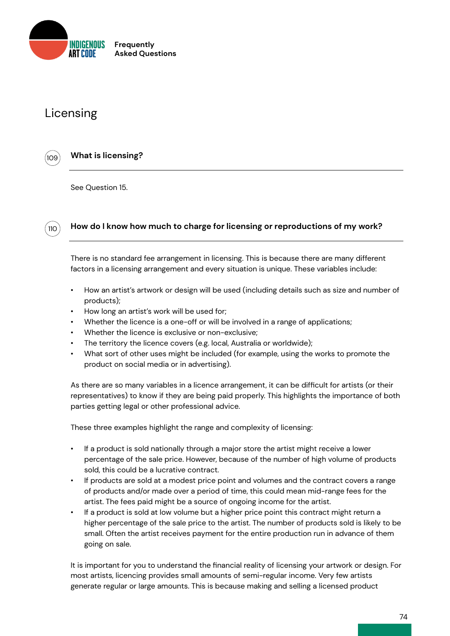

# Licensing

109

 $110$ 

# **What is licensing?**

See Question 15.

# **How do I know how much to charge for licensing or reproductions of my work?**

There is no standard fee arrangement in licensing. This is because there are many different factors in a licensing arrangement and every situation is unique. These variables include:

- How an artist's artwork or design will be used (including details such as size and number of products);
- How long an artist's work will be used for;
- Whether the licence is a one-off or will be involved in a range of applications;
- Whether the licence is exclusive or non-exclusive;
- The territory the licence covers (e.g. local, Australia or worldwide);
- What sort of other uses might be included (for example, using the works to promote the product on social media or in advertising).

As there are so many variables in a licence arrangement, it can be difficult for artists (or their representatives) to know if they are being paid properly. This highlights the importance of both parties getting legal or other professional advice.

These three examples highlight the range and complexity of licensing:

- If a product is sold nationally through a major store the artist might receive a lower percentage of the sale price. However, because of the number of high volume of products sold, this could be a lucrative contract.
- If products are sold at a modest price point and volumes and the contract covers a range of products and/or made over a period of time, this could mean mid-range fees for the artist. The fees paid might be a source of ongoing income for the artist.
- If a product is sold at low volume but a higher price point this contract might return a higher percentage of the sale price to the artist. The number of products sold is likely to be small. Often the artist receives payment for the entire production run in advance of them going on sale.

It is important for you to understand the financial reality of licensing your artwork or design. For most artists, licencing provides small amounts of semi-regular income. Very few artists generate regular or large amounts. This is because making and selling a licensed product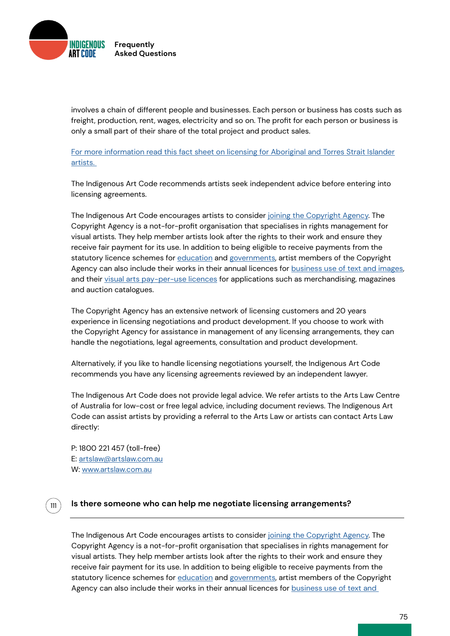

involves a chain of different people and businesses. Each person or business has costs such as freight, production, rent, wages, electricity and so on. The profit for each person or business is only a small part of their share of the total project and product sales.

[For more information read this fact sheet on licensing for Aboriginal and Torres Strait Islander](https://indigenousartcode.org/wp-content/uploads/2022/02/Licensing-Aboriginal-and-Torres-Strait-Islander-Art-FACTSHEET.pdf ) [artists.](https://indigenousartcode.org/wp-content/uploads/2022/02/Licensing-Aboriginal-and-Torres-Strait-Islander-Art-FACTSHEET.pdf ) 

The Indigenous Art Code recommends artists seek independent advice before entering into licensing agreements.

The Indigenous Art Code encourages artists to consider [joining the Copyright Agency](http://). The Copyright Agency is a not-for-profit organisation that specialises in rights management for visual artists. They help member artists look after the rights to their work and ensure they receive fair payment for its use. In addition to being eligible to receive payments from the statutory licence schemes for [education](http://) and [governments](http://), artist members of the Copyright Agency can also include their works in their annual licences for [business use of text and images](http://), and their [visual arts pay-per-use licences](http://) for applications such as merchandising, magazines and auction catalogues.

The Copyright Agency has an extensive network of licensing customers and 20 years experience in licensing negotiations and product development. If you choose to work with the Copyright Agency for assistance in management of any licensing arrangements, they can handle the negotiations, legal agreements, consultation and product development.

Alternatively, if you like to handle licensing negotiations yourself, the Indigenous Art Code recommends you have any licensing agreements reviewed by an independent lawyer.

The Indigenous Art Code does not provide legal advice. We refer artists to the Arts Law Centre of Australia for low-cost or free legal advice, including document reviews. The Indigenous Art Code can assist artists by providing a referral to the Arts Law or artists can contact Arts Law directly:

P: 1800 221 457 (toll-free) E: [artslaw@artslaw.com.au](mailto:artslaw%40artslaw.com.au?subject=) W: [www.artslaw.com.au](http://www.artslaw.com.au)

111

### **Is there someone who can help me negotiate licensing arrangements?**

The Indigenous Art Code encourages artists to consider [joining the Copyright Agency.](http://) The Copyright Agency is a not-for-profit organisation that specialises in rights management for visual artists. They help member artists look after the rights to their work and ensure they receive fair payment for its use. In addition to being eligible to receive payments from the statutory licence schemes for [education](http://) and [governments](http://), artist members of the Copyright Agency can also include their works in their annual licences for business use of text and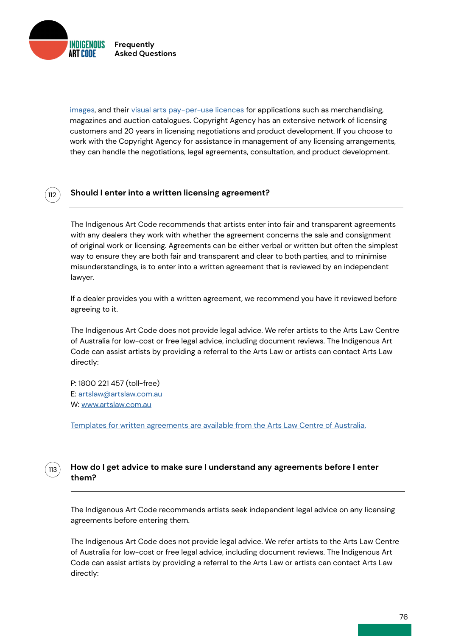INDIGENOUS **Frequently Asked Questions**

112

images, and their [visual arts pay-per-use licences](http://) for applications such as merchandising, magazines and auction catalogues. Copyright Agency has an extensive network of licensing customers and 20 years in licensing negotiations and product development. If you choose to work with the Copyright Agency for assistance in management of any licensing arrangements, they can handle the negotiations, legal agreements, consultation, and product development.

### **Should I enter into a written licensing agreement?**

The Indigenous Art Code recommends that artists enter into fair and transparent agreements with any dealers they work with whether the agreement concerns the sale and consignment of original work or licensing. Agreements can be either verbal or written but often the simplest way to ensure they are both fair and transparent and clear to both parties, and to minimise misunderstandings, is to enter into a written agreement that is reviewed by an independent lawyer.

If a dealer provides you with a written agreement, we recommend you have it reviewed before agreeing to it.

The Indigenous Art Code does not provide legal advice. We refer artists to the Arts Law Centre of Australia for low-cost or free legal advice, including document reviews. The Indigenous Art Code can assist artists by providing a referral to the Arts Law or artists can contact Arts Law directly:

P: 1800 221 457 (toll-free) E: [artslaw@artslaw.com.au](mailto:artslaw%40artslaw.com.au?subject=) W: [www.artslaw.com.au](http://www.artslaw.com.au)

[Templates for written agreements are available from the Arts Law Centre of Australia.](http://)

#### **How do I get advice to make sure I understand any agreements before I enter them?**  $113$

The Indigenous Art Code recommends artists seek independent legal advice on any licensing agreements before entering them.

The Indigenous Art Code does not provide legal advice. We refer artists to the Arts Law Centre of Australia for low-cost or free legal advice, including document reviews. The Indigenous Art Code can assist artists by providing a referral to the Arts Law or artists can contact Arts Law directly: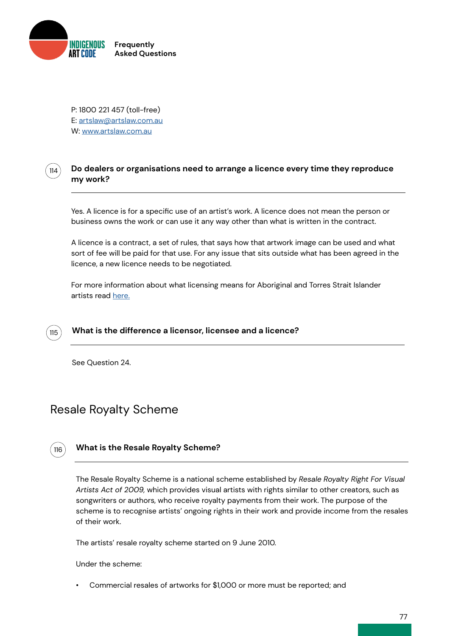

P: 1800 221 457 (toll-free) E: [artslaw@artslaw.com.au](mailto:artslaw%40artslaw.com.au?subject=) W: [www.artslaw.com.au](http://www.artslaw.com.au)

#### **Do dealers or organisations need to arrange a licence every time they reproduce my work?** 114

Yes. A licence is for a specific use of an artist's work. A licence does not mean the person or business owns the work or can use it any way other than what is written in the contract.

A licence is a contract, a set of rules, that says how that artwork image can be used and what sort of fee will be paid for that use. For any issue that sits outside what has been agreed in the licence, a new licence needs to be negotiated.

For more information about what licensing means for Aboriginal and Torres Strait Islander artists read [here.](https://indigenousartcode.org/wp-content/uploads/2022/02/Licensing-Aboriginal-and-Torres-Strait-Islander-Art-FACTSHEET.pdf)



See Question 24.

# Resale Royalty Scheme



### **What is the Resale Royalty Scheme?**

The Resale Royalty Scheme is a national scheme established by *Resale Royalty Right For Visual Artists Act of 2009,* which provides visual artists with rights similar to other creators, such as songwriters or authors, who receive royalty payments from their work. The purpose of the scheme is to recognise artists' ongoing rights in their work and provide income from the resales of their work.

The artists' resale royalty scheme started on 9 June 2010.

Under the scheme:

• Commercial resales of artworks for \$1,000 or more must be reported; and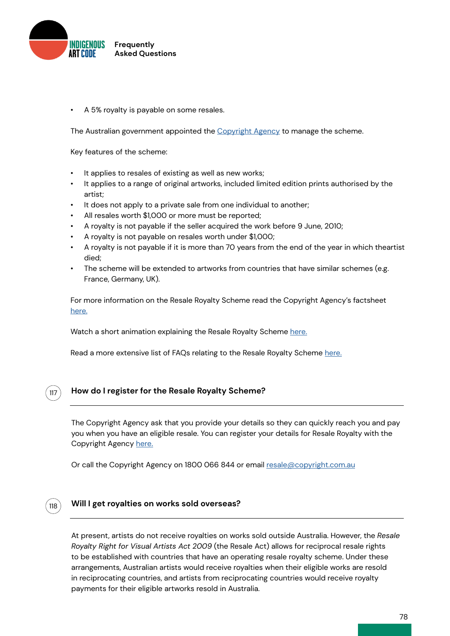

• A 5% royalty is payable on some resales.

The Australian government appointed the [Copyright Agency](http://) to manage the scheme.

Key features of the scheme:

- It applies to resales of existing as well as new works;
- It applies to a range of original artworks, included limited edition prints authorised by the artist;
- It does not apply to a private sale from one individual to another;
- All resales worth \$1,000 or more must be reported;
- A royalty is not payable if the seller acquired the work before 9 June, 2010;
- A royalty is not payable on resales worth under \$1,000;
- A royalty is not payable if it is more than 70 years from the end of the year in which theartist died;
- The scheme will be extended to artworks from countries that have similar schemes (e.g. France, Germany, UK).

For more information on the Resale Royalty Scheme read the Copyright Agency's factsheet [here.](http://)

Watch a short animation explaining the Resale Royalty Scheme [here.](http://)

Read a more extensive list of FAQs relating to the Resale Royalty Scheme [here.](http://)

# 117

118

### **How do I register for the Resale Royalty Scheme?**

The Copyright Agency ask that you provide your details so they can quickly reach you and pay you when you have an eligible resale. You can register your details for Resale Royalty with the Copyright Agency [here.](http://)

Or call the Copyright Agency on 1800 066 844 or email [resale@copyright.com.au](mailto:?subject=)

### **Will I get royalties on works sold overseas?**

At present, artists do not receive royalties on works sold outside Australia. However, the *Resale Royalty Right for Visual Artists Act 2009* (the Resale Act) allows for reciprocal resale rights to be established with countries that have an operating resale royalty scheme. Under these arrangements, Australian artists would receive royalties when their eligible works are resold in reciprocating countries, and artists from reciprocating countries would receive royalty payments for their eligible artworks resold in Australia.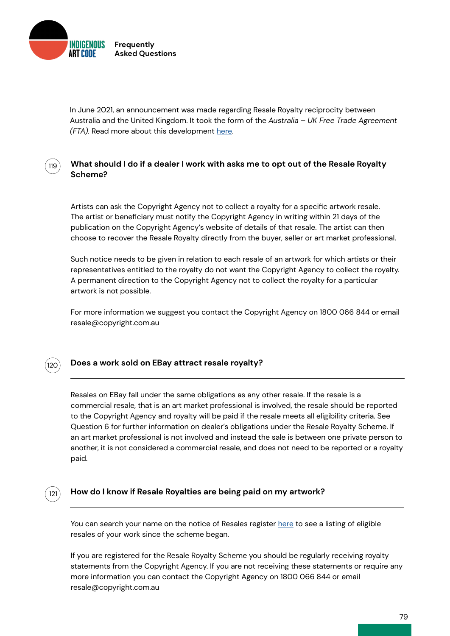

In June 2021, an announcement was made regarding Resale Royalty reciprocity between Australia and the United Kingdom. It took the form of the *Australia* – *UK Free Trade Agreement (FTA).* Read more about this development [here](https://www.copyright.com.au/2021/09/resale-royalty-and-interational-reciprocity/).

## **What should I do if a dealer I work with asks me to opt out of the Resale Royalty Scheme?**

Artists can ask the Copyright Agency not to collect a royalty for a specific artwork resale. The artist or beneficiary must notify the Copyright Agency in writing within 21 days of the publication on the Copyright Agency's website of details of that resale. The artist can then choose to recover the Resale Royalty directly from the buyer, seller or art market professional.

Such notice needs to be given in relation to each resale of an artwork for which artists or their representatives entitled to the royalty do not want the Copyright Agency to collect the royalty. A permanent direction to the Copyright Agency not to collect the royalty for a particular artwork is not possible.

For more information we suggest you contact the Copyright Agency on 1800 066 844 or email resale@copyright.com.au



121

119

### **Does a work sold on EBay attract resale royalty?**

Resales on EBay fall under the same obligations as any other resale. If the resale is a commercial resale, that is an art market professional is involved, the resale should be reported to the Copyright Agency and royalty will be paid if the resale meets all eligibility criteria. See Question 6 for further information on dealer's obligations under the Resale Royalty Scheme. If an art market professional is not involved and instead the sale is between one private person to another, it is not considered a commercial resale, and does not need to be reported or a royalty paid.

#### **How do I know if Resale Royalties are being paid on my artwork?**

You can search your name on the notice of Resales register [here](https://www.resaleroyalty.org.au/Notice_of_resale.aspx) to see a listing of eligible resales of your work since the scheme began.

If you are registered for the Resale Royalty Scheme you should be regularly receiving royalty statements from the Copyright Agency. If you are not receiving these statements or require any more information you can contact the Copyright Agency on 1800 066 844 or email resale@copyright.com.au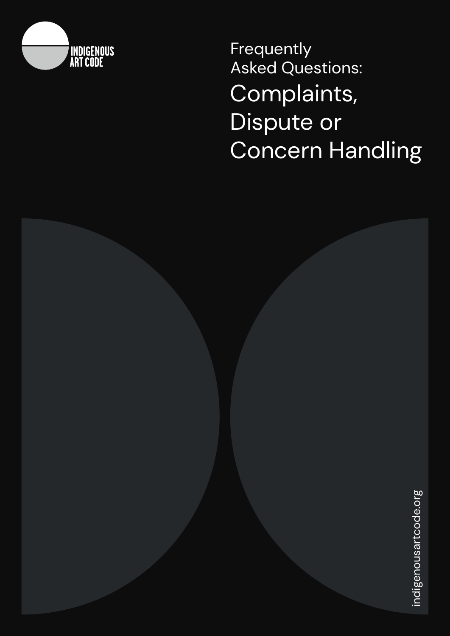

Frequently Asked Questions: Complaints, Dispute or Concern Handling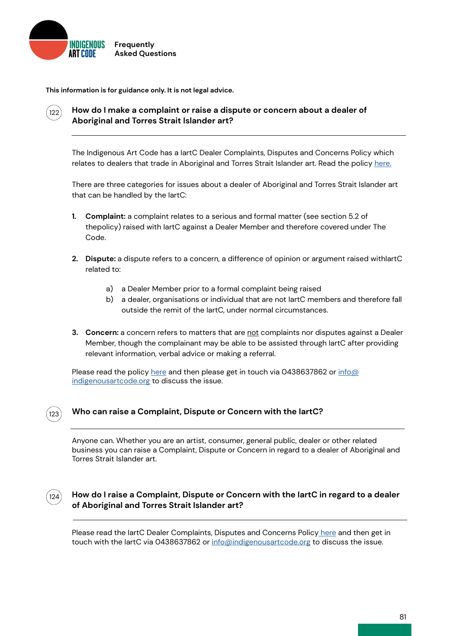

**This information is for guidance only. It is not legal advice.**



## **How do I make a complaint or raise a dispute or concern about a dealer of Aboriginal and Torres Strait Islander art?**

The Indigenous Art Code has a IartC Dealer Complaints, Disputes and Concerns Policy which relates to dealers that trade in Aboriginal and Torres Strait Islander art. Read the policy [here.](https://indigenousartcode.org/wp-content/uploads/2022/02/IartC_ComplaintsHandlingPolicy_2021.pdf)

There are three categories for issues about a dealer of Aboriginal and Torres Strait Islander art that can be handled by the IartC:

- **1. Complaint:** a complaint relates to a serious and formal matter (see section 5.2 of thepolicy) raised with IartC against a Dealer Member and therefore covered under The Code.
- **2. Dispute:** a dispute refers to a concern, a difference of opinion or argument raised withIartC related to:
	- a) a Dealer Member prior to a formal complaint being raised
	- b) a dealer, organisations or individual that are not lartC members and therefore fall outside the remit of the IartC, under normal circumstances.
- **3. Concern:** a concern refers to matters that are not complaints nor disputes against a Dealer Member, though the complainant may be able to be assisted through IartC after providing relevant information, verbal advice or making a referral.

Please read the policy [here](https://indigenousartcode.org/wp-content/uploads/2022/02/IartC_ComplaintsHandlingPolicy_2021.pdf) and then please get in touch via 0438637862 or [info@](mailto:info%40indigenousartcode.org?subject=) [indigenousartcode.org](mailto:info%40indigenousartcode.org?subject=) to discuss the issue.



### **Who can raise a Complaint, Dispute or Concern with the IartC?**

Anyone can. Whether you are an artist, consumer, general public, dealer or other related business you can raise a Complaint, Dispute or Concern in regard to a dealer of Aboriginal and Torres Strait Islander art.



### **How do I raise a Complaint, Dispute or Concern with the IartC in regard to a dealer of Aboriginal and Torres Strait Islander art?**

Please read the lartC Dealer Complaints, Disputes and Concerns Policy [here](http://) and then get in touch with the lartC via 0438637862 or [info@indigenousartcode.org](mailto:info%40indigenousartcode.org?subject=) to discuss the issue.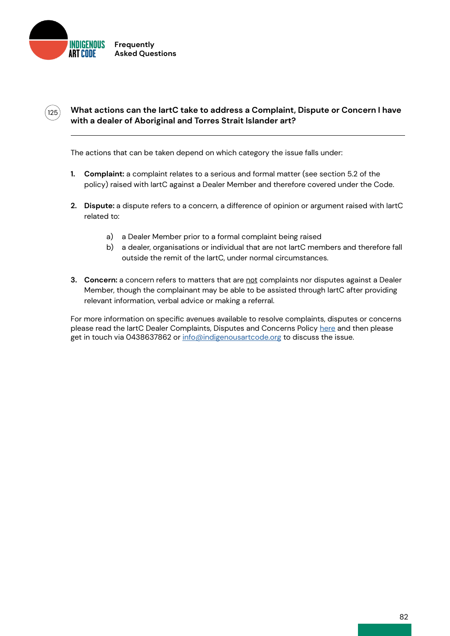

 $(125)$ 

# **What actions can the IartC take to address a Complaint, Dispute or Concern I have with a dealer of Aboriginal and Torres Strait Islander art?**

The actions that can be taken depend on which category the issue falls under:

- **1. Complaint:** a complaint relates to a serious and formal matter (see section 5.2 of the policy) raised with IartC against a Dealer Member and therefore covered under the Code.
- **2. Dispute:** a dispute refers to a concern, a difference of opinion or argument raised with IartC related to:
	- a) a Dealer Member prior to a formal complaint being raised
	- b) a dealer, organisations or individual that are not lartC members and therefore fall outside the remit of the IartC, under normal circumstances.
- **3. Concern:** a concern refers to matters that are not complaints nor disputes against a Dealer Member, though the complainant may be able to be assisted through IartC after providing relevant information, verbal advice or making a referral.

For more information on specific avenues available to resolve complaints, disputes or concerns please read the IartC Dealer Complaints, Disputes and Concerns Policy [here](mailto:https://indigenousartcode.org/wp-content/uploads/2022/02/IartC_ComplaintsHandlingPolicy_2021.pdf?subject=) and then please get in touch via 0438637862 or [info@indigenousartcode.org](mailto:info%40indigenousartcode.org?subject=) to discuss the issue.